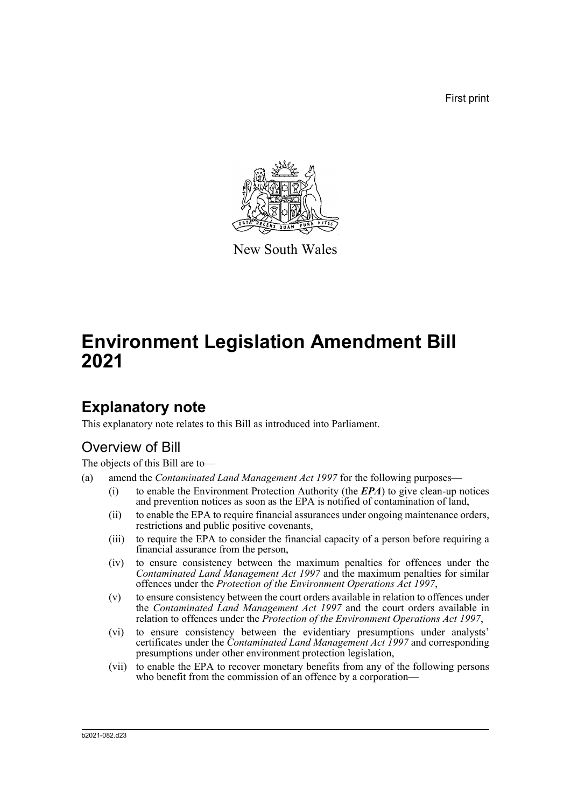First print



New South Wales

# **Environment Legislation Amendment Bill 2021**

## **Explanatory note**

This explanatory note relates to this Bill as introduced into Parliament.

## Overview of Bill

The objects of this Bill are to—

- (a) amend the *Contaminated Land Management Act 1997* for the following purposes—
	- (i) to enable the Environment Protection Authority (the *EPA*) to give clean-up notices and prevention notices as soon as the EPA is notified of contamination of land,
	- (ii) to enable the EPA to require financial assurances under ongoing maintenance orders, restrictions and public positive covenants,
	- (iii) to require the EPA to consider the financial capacity of a person before requiring a financial assurance from the person,
	- (iv) to ensure consistency between the maximum penalties for offences under the *Contaminated Land Management Act 1997* and the maximum penalties for similar offences under the *Protection of the Environment Operations Act 1997*,
	- (v) to ensure consistency between the court orders available in relation to offences under the *Contaminated Land Management Act 1997* and the court orders available in relation to offences under the *Protection of the Environment Operations Act 1997*,
	- (vi) to ensure consistency between the evidentiary presumptions under analysts' certificates under the *Contaminated Land Management Act 1997* and corresponding presumptions under other environment protection legislation,
	- (vii) to enable the EPA to recover monetary benefits from any of the following persons who benefit from the commission of an offence by a corporation—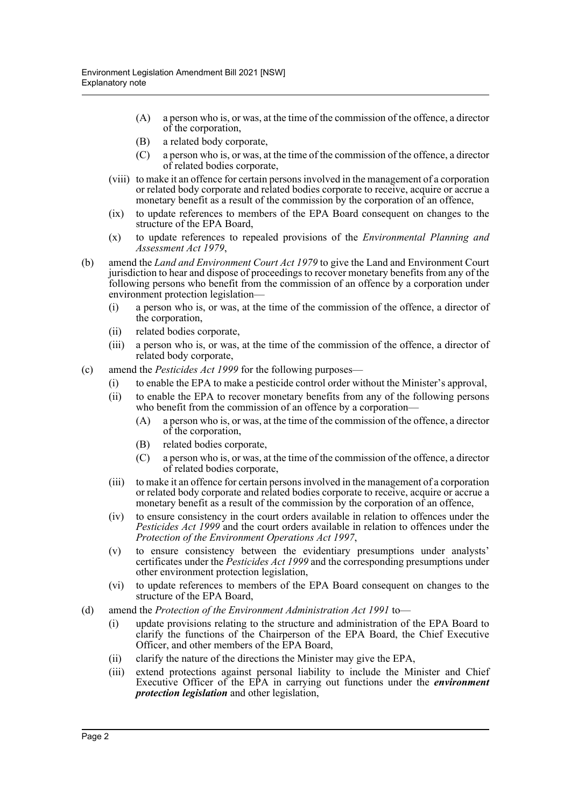- (A) a person who is, or was, at the time of the commission of the offence, a director of the corporation,
- (B) a related body corporate,
- (C) a person who is, or was, at the time of the commission of the offence, a director of related bodies corporate,
- (viii) to make it an offence for certain persons involved in the management of a corporation or related body corporate and related bodies corporate to receive, acquire or accrue a monetary benefit as a result of the commission by the corporation of an offence,
- (ix) to update references to members of the EPA Board consequent on changes to the structure of the EPA Board,
- (x) to update references to repealed provisions of the *Environmental Planning and Assessment Act 1979*,
- (b) amend the *Land and Environment Court Act 1979* to give the Land and Environment Court jurisdiction to hear and dispose of proceedings to recover monetary benefits from any of the following persons who benefit from the commission of an offence by a corporation under environment protection legislation—
	- (i) a person who is, or was, at the time of the commission of the offence, a director of the corporation,
	- (ii) related bodies corporate,
	- (iii) a person who is, or was, at the time of the commission of the offence, a director of related body corporate,
- (c) amend the *Pesticides Act 1999* for the following purposes—
	- (i) to enable the EPA to make a pesticide control order without the Minister's approval,
	- (ii) to enable the EPA to recover monetary benefits from any of the following persons who benefit from the commission of an offence by a corporation–
		- (A) a person who is, or was, at the time of the commission of the offence, a director of the corporation,
		- (B) related bodies corporate,
		- (C) a person who is, or was, at the time of the commission of the offence, a director of related bodies corporate,
	- (iii) to make it an offence for certain persons involved in the management of a corporation or related body corporate and related bodies corporate to receive, acquire or accrue a monetary benefit as a result of the commission by the corporation of an offence,
	- (iv) to ensure consistency in the court orders available in relation to offences under the *Pesticides Act 1999* and the court orders available in relation to offences under the *Protection of the Environment Operations Act 1997*,
	- (v) to ensure consistency between the evidentiary presumptions under analysts' certificates under the *Pesticides Act 1999* and the corresponding presumptions under other environment protection legislation,
	- (vi) to update references to members of the EPA Board consequent on changes to the structure of the EPA Board,
- (d) amend the *Protection of the Environment Administration Act 1991* to—
	- (i) update provisions relating to the structure and administration of the EPA Board to clarify the functions of the Chairperson of the EPA Board, the Chief Executive Officer, and other members of the EPA Board,
	- (ii) clarify the nature of the directions the Minister may give the EPA,
	- (iii) extend protections against personal liability to include the Minister and Chief Executive Officer of the EPA in carrying out functions under the *environment protection legislation* and other legislation,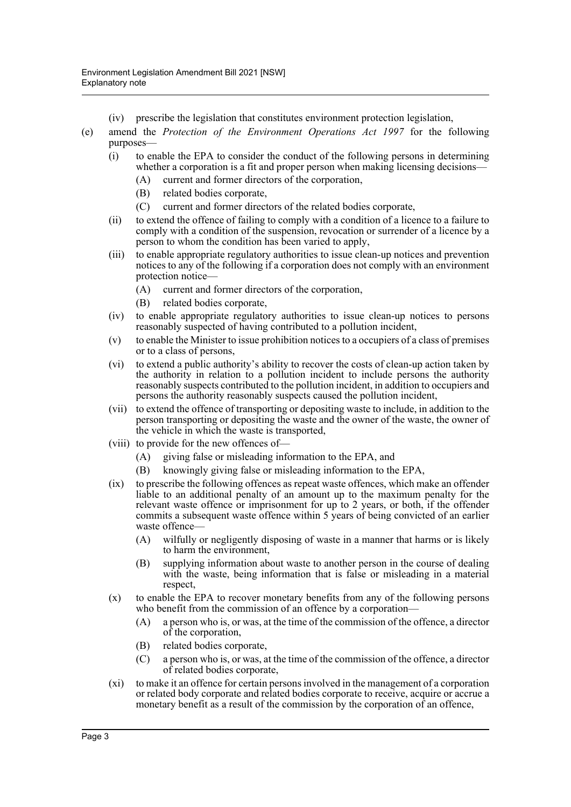- (iv) prescribe the legislation that constitutes environment protection legislation,
- (e) amend the *Protection of the Environment Operations Act 1997* for the following purposes—
	- (i) to enable the EPA to consider the conduct of the following persons in determining whether a corporation is a fit and proper person when making licensing decisions—
		- (A) current and former directors of the corporation,
		- (B) related bodies corporate,
		- (C) current and former directors of the related bodies corporate,
	- (ii) to extend the offence of failing to comply with a condition of a licence to a failure to comply with a condition of the suspension, revocation or surrender of a licence by a person to whom the condition has been varied to apply,
	- (iii) to enable appropriate regulatory authorities to issue clean-up notices and prevention notices to any of the following if a corporation does not comply with an environment protection notice—
		- (A) current and former directors of the corporation,
		- (B) related bodies corporate,
	- (iv) to enable appropriate regulatory authorities to issue clean-up notices to persons reasonably suspected of having contributed to a pollution incident,
	- (v) to enable the Minister to issue prohibition notices to a occupiers of a class of premises or to a class of persons,
	- (vi) to extend a public authority's ability to recover the costs of clean-up action taken by the authority in relation to a pollution incident to include persons the authority reasonably suspects contributed to the pollution incident, in addition to occupiers and persons the authority reasonably suspects caused the pollution incident,
	- (vii) to extend the offence of transporting or depositing waste to include, in addition to the person transporting or depositing the waste and the owner of the waste, the owner of the vehicle in which the waste is transported,
	- (viii) to provide for the new offences of—
		- (A) giving false or misleading information to the EPA, and
		- (B) knowingly giving false or misleading information to the EPA,
	- (ix) to prescribe the following offences as repeat waste offences, which make an offender liable to an additional penalty of an amount up to the maximum penalty for the relevant waste offence or imprisonment for up to 2 years, or both, if the offender commits a subsequent waste offence within 5 years of being convicted of an earlier waste offence-
		- (A) wilfully or negligently disposing of waste in a manner that harms or is likely to harm the environment,
		- (B) supplying information about waste to another person in the course of dealing with the waste, being information that is false or misleading in a material respect,
	- (x) to enable the EPA to recover monetary benefits from any of the following persons who benefit from the commission of an offence by a corporation-
		- (A) a person who is, or was, at the time of the commission of the offence, a director of the corporation,
		- (B) related bodies corporate,
		- (C) a person who is, or was, at the time of the commission of the offence, a director of related bodies corporate,
	- (xi) to make it an offence for certain persons involved in the management of a corporation or related body corporate and related bodies corporate to receive, acquire or accrue a monetary benefit as a result of the commission by the corporation of an offence,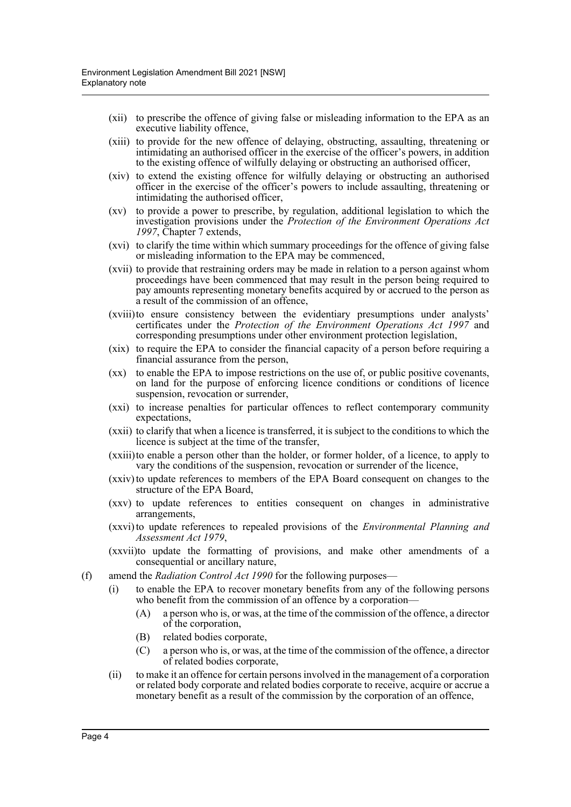- (xii) to prescribe the offence of giving false or misleading information to the EPA as an executive liability offence,
- (xiii) to provide for the new offence of delaying, obstructing, assaulting, threatening or intimidating an authorised officer in the exercise of the officer's powers, in addition to the existing offence of wilfully delaying or obstructing an authorised officer,
- (xiv) to extend the existing offence for wilfully delaying or obstructing an authorised officer in the exercise of the officer's powers to include assaulting, threatening or intimidating the authorised officer,
- (xv) to provide a power to prescribe, by regulation, additional legislation to which the investigation provisions under the *Protection of the Environment Operations Act 1997*, Chapter 7 extends,
- (xvi) to clarify the time within which summary proceedings for the offence of giving false or misleading information to the EPA may be commenced,
- (xvii) to provide that restraining orders may be made in relation to a person against whom proceedings have been commenced that may result in the person being required to pay amounts representing monetary benefits acquired by or accrued to the person as a result of the commission of an offence,
- (xviii)to ensure consistency between the evidentiary presumptions under analysts' certificates under the *Protection of the Environment Operations Act 1997* and corresponding presumptions under other environment protection legislation,
- (xix) to require the EPA to consider the financial capacity of a person before requiring a financial assurance from the person,
- (xx) to enable the EPA to impose restrictions on the use of, or public positive covenants, on land for the purpose of enforcing licence conditions or conditions of licence suspension, revocation or surrender,
- (xxi) to increase penalties for particular offences to reflect contemporary community expectations,
- (xxii) to clarify that when a licence is transferred, it is subject to the conditions to which the licence is subject at the time of the transfer,
- (xxiii)to enable a person other than the holder, or former holder, of a licence, to apply to vary the conditions of the suspension, revocation or surrender of the licence,
- (xxiv) to update references to members of the EPA Board consequent on changes to the structure of the EPA Board,
- (xxv) to update references to entities consequent on changes in administrative arrangements,
- (xxvi) to update references to repealed provisions of the *Environmental Planning and Assessment Act 1979*,
- (xxvii)to update the formatting of provisions, and make other amendments of a consequential or ancillary nature,
- (f) amend the *Radiation Control Act 1990* for the following purposes—
	- (i) to enable the EPA to recover monetary benefits from any of the following persons who benefit from the commission of an offence by a corporation-
		- (A) a person who is, or was, at the time of the commission of the offence, a director of the corporation,
		- (B) related bodies corporate,
		- (C) a person who is, or was, at the time of the commission of the offence, a director of related bodies corporate,
	- (ii) to make it an offence for certain persons involved in the management of a corporation or related body corporate and related bodies corporate to receive, acquire or accrue a monetary benefit as a result of the commission by the corporation of an offence,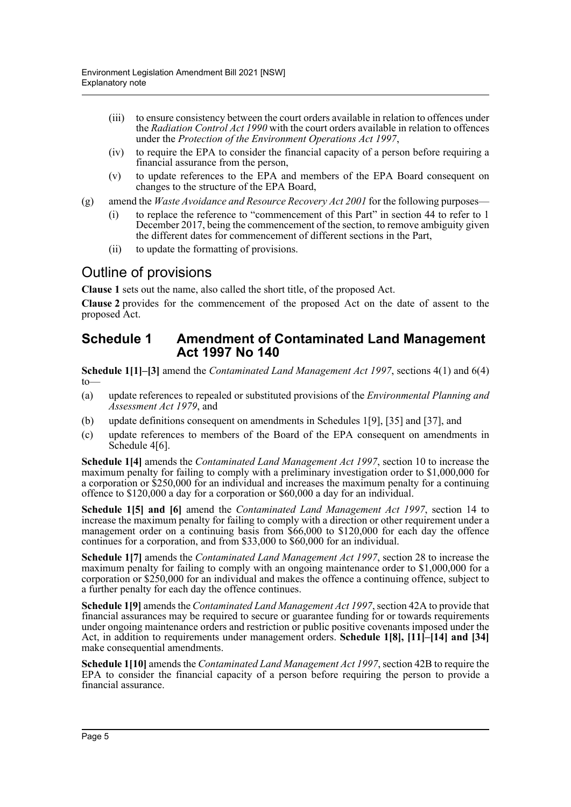- (iii) to ensure consistency between the court orders available in relation to offences under the *Radiation Control Act 1990* with the court orders available in relation to offences under the *Protection of the Environment Operations Act 1997*,
- (iv) to require the EPA to consider the financial capacity of a person before requiring a financial assurance from the person,
- (v) to update references to the EPA and members of the EPA Board consequent on changes to the structure of the EPA Board,
- (g) amend the *Waste Avoidance and Resource Recovery Act 2001* for the following purposes—
	- (i) to replace the reference to "commencement of this Part" in section 44 to refer to 1 December 2017, being the commencement of the section, to remove ambiguity given the different dates for commencement of different sections in the Part,
	- (ii) to update the formatting of provisions.

## Outline of provisions

**Clause 1** sets out the name, also called the short title, of the proposed Act.

**Clause 2** provides for the commencement of the proposed Act on the date of assent to the proposed Act.

## **Schedule 1 Amendment of Contaminated Land Management Act 1997 No 140**

**Schedule 1[1]–[3]** amend the *Contaminated Land Management Act 1997*, sections 4(1) and 6(4) to—

- (a) update references to repealed or substituted provisions of the *Environmental Planning and Assessment Act 1979*, and
- (b) update definitions consequent on amendments in Schedules 1[9], [35] and [37], and
- (c) update references to members of the Board of the EPA consequent on amendments in Schedule 4[6].

**Schedule 1[4]** amends the *Contaminated Land Management Act 1997*, section 10 to increase the maximum penalty for failing to comply with a preliminary investigation order to \$1,000,000 for a corporation or \$250,000 for an individual and increases the maximum penalty for a continuing offence to \$120,000 a day for a corporation or \$60,000 a day for an individual.

**Schedule 1[5] and [6]** amend the *Contaminated Land Management Act 1997*, section 14 to increase the maximum penalty for failing to comply with a direction or other requirement under a management order on a continuing basis from \$66,000 to \$120,000 for each day the offence continues for a corporation, and from \$33,000 to \$60,000 for an individual.

**Schedule 1[7]** amends the *Contaminated Land Management Act 1997*, section 28 to increase the maximum penalty for failing to comply with an ongoing maintenance order to \$1,000,000 for a corporation or \$250,000 for an individual and makes the offence a continuing offence, subject to a further penalty for each day the offence continues.

**Schedule 1[9]** amends the *Contaminated Land Management Act 1997*, section 42A to provide that financial assurances may be required to secure or guarantee funding for or towards requirements under ongoing maintenance orders and restriction or public positive covenants imposed under the Act, in addition to requirements under management orders. **Schedule 1[8], [11]–[14] and [34]** make consequential amendments.

**Schedule 1[10]** amends the *Contaminated Land Management Act 1997*, section 42B to require the EPA to consider the financial capacity of a person before requiring the person to provide a financial assurance.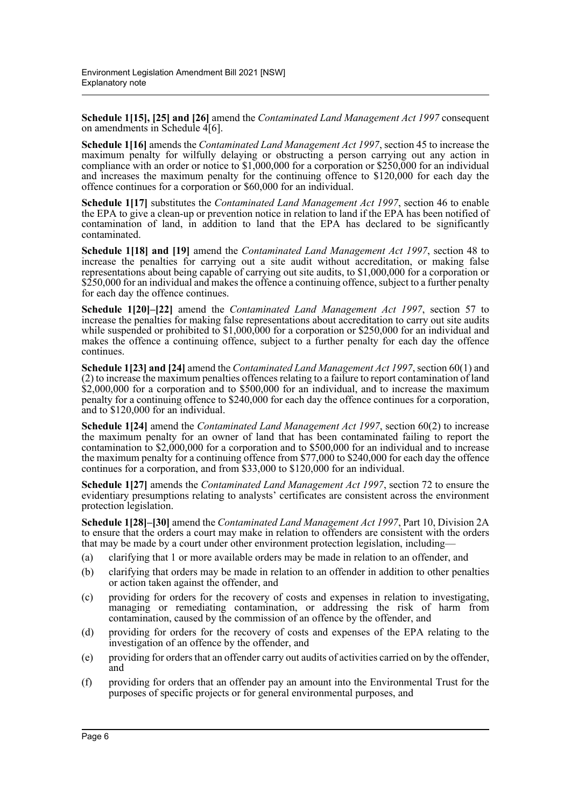**Schedule 1[15], [25] and [26]** amend the *Contaminated Land Management Act 1997* consequent on amendments in Schedule 4[6].

**Schedule 1[16]** amends the *Contaminated Land Management Act 1997*, section 45 to increase the maximum penalty for wilfully delaying or obstructing a person carrying out any action in compliance with an order or notice to \$1,000,000 for a corporation or \$250,000 for an individual and increases the maximum penalty for the continuing offence to \$120,000 for each day the offence continues for a corporation or \$60,000 for an individual.

**Schedule 1[17]** substitutes the *Contaminated Land Management Act 1997*, section 46 to enable the EPA to give a clean-up or prevention notice in relation to land if the EPA has been notified of contamination of land, in addition to land that the EPA has declared to be significantly contaminated.

**Schedule 1[18] and [19]** amend the *Contaminated Land Management Act 1997*, section 48 to increase the penalties for carrying out a site audit without accreditation, or making false representations about being capable of carrying out site audits, to \$1,000,000 for a corporation or \$250,000 for an individual and makes the offence a continuing offence, subject to a further penalty for each day the offence continues.

**Schedule 1[20]–[22]** amend the *Contaminated Land Management Act 1997*, section 57 to increase the penalties for making false representations about accreditation to carry out site audits while suspended or prohibited to \$1,000,000 for a corporation or \$250,000 for an individual and makes the offence a continuing offence, subject to a further penalty for each day the offence continues.

**Schedule 1[23] and [24]** amend the *Contaminated Land Management Act 1997*, section 60(1) and (2) to increase the maximum penalties offences relating to a failure to report contamination of land \$2,000,000 for a corporation and to \$500,000 for an individual, and to increase the maximum penalty for a continuing offence to \$240,000 for each day the offence continues for a corporation, and to \$120,000 for an individual.

**Schedule 1[24]** amend the *Contaminated Land Management Act 1997*, section 60(2) to increase the maximum penalty for an owner of land that has been contaminated failing to report the contamination to  $$2,000,000$  for a corporation and to  $$500,000$  for an individual and to increase the maximum penalty for a continuing offence from \$77,000 to \$240,000 for each day the offence continues for a corporation, and from \$33,000 to \$120,000 for an individual.

**Schedule 1[27]** amends the *Contaminated Land Management Act 1997*, section 72 to ensure the evidentiary presumptions relating to analysts' certificates are consistent across the environment protection legislation.

**Schedule 1[28]–[30]** amend the *Contaminated Land Management Act 1997*, Part 10, Division 2A to ensure that the orders a court may make in relation to offenders are consistent with the orders that may be made by a court under other environment protection legislation, including—

- (a) clarifying that 1 or more available orders may be made in relation to an offender, and
- (b) clarifying that orders may be made in relation to an offender in addition to other penalties or action taken against the offender, and
- (c) providing for orders for the recovery of costs and expenses in relation to investigating, managing or remediating contamination, or addressing the risk of harm from contamination, caused by the commission of an offence by the offender, and
- (d) providing for orders for the recovery of costs and expenses of the EPA relating to the investigation of an offence by the offender, and
- (e) providing for orders that an offender carry out audits of activities carried on by the offender, and
- (f) providing for orders that an offender pay an amount into the Environmental Trust for the purposes of specific projects or for general environmental purposes, and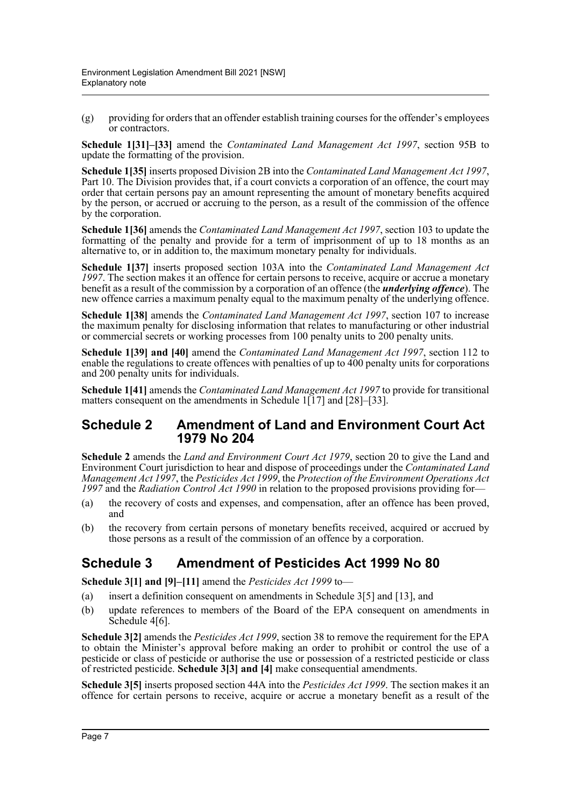(g) providing for orders that an offender establish training courses for the offender's employees or contractors.

**Schedule 1[31]–[33]** amend the *Contaminated Land Management Act 1997*, section 95B to update the formatting of the provision.

**Schedule 1[35]** inserts proposed Division 2B into the *Contaminated Land Management Act 1997*, Part 10. The Division provides that, if a court convicts a corporation of an offence, the court may order that certain persons pay an amount representing the amount of monetary benefits acquired by the person, or accrued or accruing to the person, as a result of the commission of the offence by the corporation.

**Schedule 1[36]** amends the *Contaminated Land Management Act 1997*, section 103 to update the formatting of the penalty and provide for a term of imprisonment of up to 18 months as an alternative to, or in addition to, the maximum monetary penalty for individuals.

**Schedule 1[37]** inserts proposed section 103A into the *Contaminated Land Management Act 1997*. The section makes it an offence for certain persons to receive, acquire or accrue a monetary benefit as a result of the commission by a corporation of an offence (the *underlying offence*). The new offence carries a maximum penalty equal to the maximum penalty of the underlying offence.

**Schedule 1[38]** amends the *Contaminated Land Management Act 1997*, section 107 to increase the maximum penalty for disclosing information that relates to manufacturing or other industrial or commercial secrets or working processes from 100 penalty units to 200 penalty units.

**Schedule 1[39] and [40]** amend the *Contaminated Land Management Act 1997*, section 112 to enable the regulations to create offences with penalties of up to 400 penalty units for corporations and 200 penalty units for individuals.

**Schedule 1[41]** amends the *Contaminated Land Management Act 1997* to provide for transitional matters consequent on the amendments in Schedule 1[17] and [28]–[33].

### **Schedule 2 Amendment of Land and Environment Court Act 1979 No 204**

**Schedule 2** amends the *Land and Environment Court Act 1979*, section 20 to give the Land and Environment Court jurisdiction to hear and dispose of proceedings under the *Contaminated Land Management Act 1997*, the *Pesticides Act 1999*, the *Protection of the Environment Operations Act 1997* and the *Radiation Control Act 1990* in relation to the proposed provisions providing for—

- (a) the recovery of costs and expenses, and compensation, after an offence has been proved, and
- (b) the recovery from certain persons of monetary benefits received, acquired or accrued by those persons as a result of the commission of an offence by a corporation.

## **Schedule 3 Amendment of Pesticides Act 1999 No 80**

**Schedule 3[1] and [9]–[11]** amend the *Pesticides Act 1999* to—

- (a) insert a definition consequent on amendments in Schedule 3[5] and [13], and
- (b) update references to members of the Board of the EPA consequent on amendments in Schedule 4[6].

**Schedule 3[2]** amends the *Pesticides Act 1999*, section 38 to remove the requirement for the EPA to obtain the Minister's approval before making an order to prohibit or control the use of a pesticide or class of pesticide or authorise the use or possession of a restricted pesticide or class of restricted pesticide. **Schedule 3[3] and [4]** make consequential amendments.

**Schedule 3[5]** inserts proposed section 44A into the *Pesticides Act 1999*. The section makes it an offence for certain persons to receive, acquire or accrue a monetary benefit as a result of the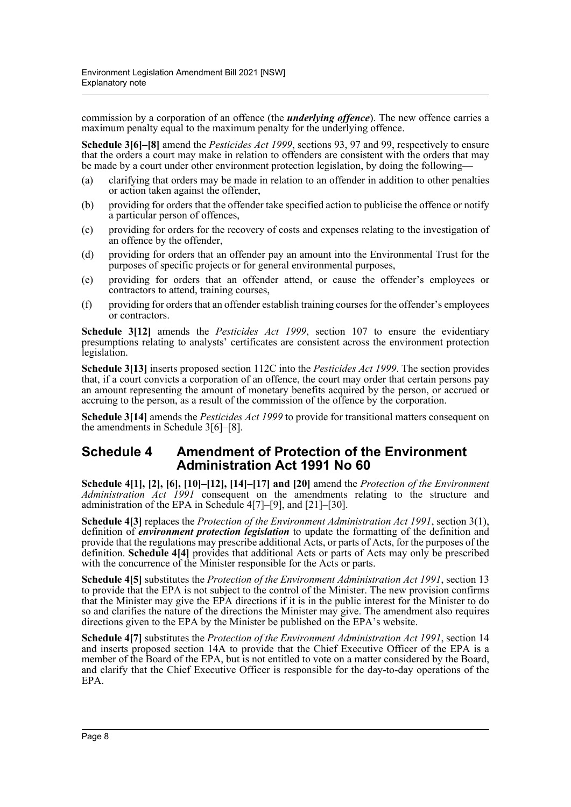commission by a corporation of an offence (the *underlying offence*). The new offence carries a maximum penalty equal to the maximum penalty for the underlying offence.

**Schedule 3[6]–[8]** amend the *Pesticides Act 1999*, sections 93, 97 and 99, respectively to ensure that the orders a court may make in relation to offenders are consistent with the orders that may be made by a court under other environment protection legislation, by doing the following—

- (a) clarifying that orders may be made in relation to an offender in addition to other penalties or action taken against the offender,
- (b) providing for orders that the offender take specified action to publicise the offence or notify a particular person of offences,
- (c) providing for orders for the recovery of costs and expenses relating to the investigation of an offence by the offender,
- (d) providing for orders that an offender pay an amount into the Environmental Trust for the purposes of specific projects or for general environmental purposes,
- (e) providing for orders that an offender attend, or cause the offender's employees or contractors to attend, training courses,
- (f) providing for orders that an offender establish training courses for the offender's employees or contractors.

**Schedule 3[12]** amends the *Pesticides Act 1999*, section 107 to ensure the evidentiary presumptions relating to analysts' certificates are consistent across the environment protection legislation.

**Schedule 3[13]** inserts proposed section 112C into the *Pesticides Act 1999*. The section provides that, if a court convicts a corporation of an offence, the court may order that certain persons pay an amount representing the amount of monetary benefits acquired by the person, or accrued or accruing to the person, as a result of the commission of the offence by the corporation.

**Schedule 3[14]** amends the *Pesticides Act 1999* to provide for transitional matters consequent on the amendments in Schedule 3[6]–[8].

## **Schedule 4 Amendment of Protection of the Environment Administration Act 1991 No 60**

**Schedule 4[1], [2], [6], [10]–[12], [14]–[17] and [20]** amend the *Protection of the Environment Administration Act 1991* consequent on the amendments relating to the structure and administration of the EPA in Schedule 4[7]–[9], and [21]–[30].

**Schedule 4[3]** replaces the *Protection of the Environment Administration Act 1991*, section 3(1), definition of *environment protection legislation* to update the formatting of the definition and provide that the regulations may prescribe additional Acts, or parts of Acts, for the purposes of the definition. **Schedule 4[4]** provides that additional Acts or parts of Acts may only be prescribed with the concurrence of the Minister responsible for the Acts or parts.

**Schedule 4[5]** substitutes the *Protection of the Environment Administration Act 1991*, section 13 to provide that the EPA is not subject to the control of the Minister. The new provision confirms that the Minister may give the EPA directions if it is in the public interest for the Minister to do so and clarifies the nature of the directions the Minister may give. The amendment also requires directions given to the EPA by the Minister be published on the EPA's website.

**Schedule 4[7]** substitutes the *Protection of the Environment Administration Act 1991*, section 14 and inserts proposed section 14A to provide that the Chief Executive Officer of the EPA is a member of the Board of the EPA, but is not entitled to vote on a matter considered by the Board, and clarify that the Chief Executive Officer is responsible for the day-to-day operations of the EPA.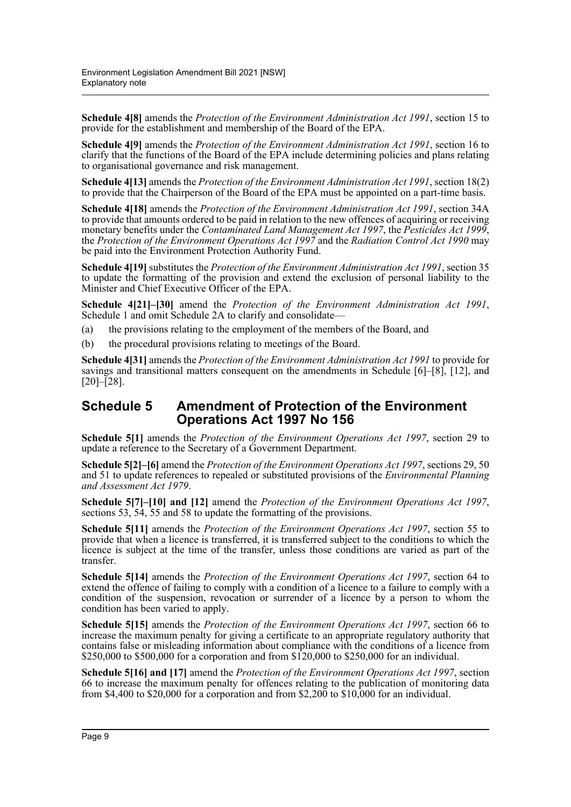**Schedule 4[8]** amends the *Protection of the Environment Administration Act 1991*, section 15 to provide for the establishment and membership of the Board of the EPA.

**Schedule 4[9]** amends the *Protection of the Environment Administration Act 1991*, section 16 to clarify that the functions of the Board of the EPA include determining policies and plans relating to organisational governance and risk management.

**Schedule 4[13]** amends the *Protection of the Environment Administration Act 1991*, section 18(2) to provide that the Chairperson of the Board of the EPA must be appointed on a part-time basis.

**Schedule 4[18]** amends the *Protection of the Environment Administration Act 1991*, section 34A to provide that amounts ordered to be paid in relation to the new offences of acquiring or receiving monetary benefits under the *Contaminated Land Management Act 1997*, the *Pesticides Act 1999*, the *Protection of the Environment Operations Act 1997* and the *Radiation Control Act 1990* may be paid into the Environment Protection Authority Fund.

**Schedule 4[19]** substitutes the *Protection of the Environment Administration Act 1991*, section 35 to update the formatting of the provision and extend the exclusion of personal liability to the Minister and Chief Executive Officer of the EPA.

**Schedule 4[21]–[30]** amend the *Protection of the Environment Administration Act 1991*, Schedule 1 and omit Schedule 2A to clarify and consolidate—

- (a) the provisions relating to the employment of the members of the Board, and
- (b) the procedural provisions relating to meetings of the Board.

**Schedule 4[31]** amends the *Protection of the Environment Administration Act 1991* to provide for savings and transitional matters consequent on the amendments in Schedule [6]–[8], [12], and [20]–[28].

## **Schedule 5 Amendment of Protection of the Environment Operations Act 1997 No 156**

**Schedule 5[1]** amends the *Protection of the Environment Operations Act 1997*, section 29 to update a reference to the Secretary of a Government Department.

**Schedule 5[2]–[6]** amend the *Protection of the Environment Operations Act 1997*, sections 29, 50 and 51 to update references to repealed or substituted provisions of the *Environmental Planning and Assessment Act 1979*.

**Schedule 5[7]–[10] and [12]** amend the *Protection of the Environment Operations Act 1997*, sections 53, 54, 55 and 58 to update the formatting of the provisions.

**Schedule 5[11]** amends the *Protection of the Environment Operations Act 1997*, section 55 to provide that when a licence is transferred, it is transferred subject to the conditions to which the licence is subject at the time of the transfer, unless those conditions are varied as part of the transfer.

**Schedule 5[14]** amends the *Protection of the Environment Operations Act 1997*, section 64 to extend the offence of failing to comply with a condition of a licence to a failure to comply with a condition of the suspension, revocation or surrender of a licence by a person to whom the condition has been varied to apply.

**Schedule 5[15]** amends the *Protection of the Environment Operations Act 1997*, section 66 to increase the maximum penalty for giving a certificate to an appropriate regulatory authority that contains false or misleading information about compliance with the conditions of a licence from \$250,000 to \$500,000 for a corporation and from \$120,000 to \$250,000 for an individual.

**Schedule 5[16] and [17]** amend the *Protection of the Environment Operations Act 1997*, section 66 to increase the maximum penalty for offences relating to the publication of monitoring data from \$4,400 to \$20,000 for a corporation and from \$2,200 to \$10,000 for an individual.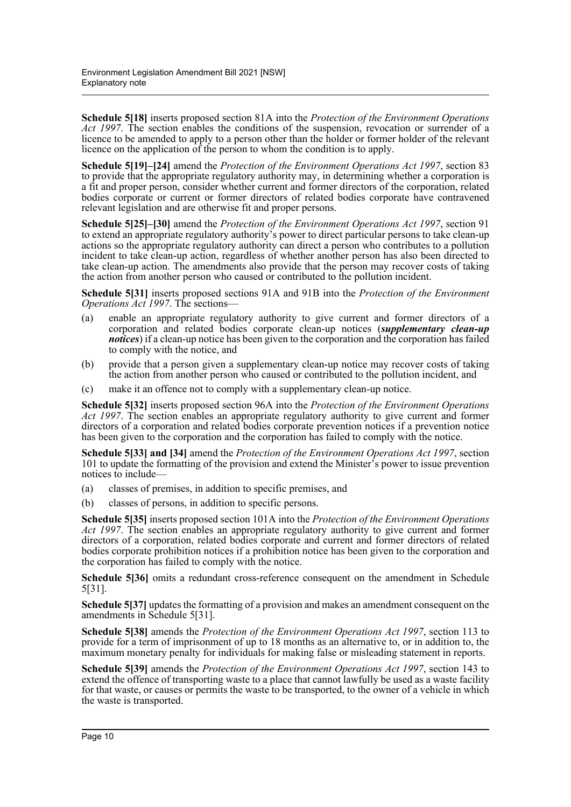**Schedule 5[18]** inserts proposed section 81A into the *Protection of the Environment Operations Act 1997*. The section enables the conditions of the suspension, revocation or surrender of a licence to be amended to apply to a person other than the holder or former holder of the relevant licence on the application of the person to whom the condition is to apply.

**Schedule 5[19]–[24]** amend the *Protection of the Environment Operations Act 1997*, section 83 to provide that the appropriate regulatory authority may, in determining whether a corporation is a fit and proper person, consider whether current and former directors of the corporation, related bodies corporate or current or former directors of related bodies corporate have contravened relevant legislation and are otherwise fit and proper persons.

**Schedule 5[25]–[30]** amend the *Protection of the Environment Operations Act 1997*, section 91 to extend an appropriate regulatory authority's power to direct particular persons to take clean-up actions so the appropriate regulatory authority can direct a person who contributes to a pollution incident to take clean-up action, regardless of whether another person has also been directed to take clean-up action. The amendments also provide that the person may recover costs of taking the action from another person who caused or contributed to the pollution incident.

**Schedule 5[31]** inserts proposed sections 91A and 91B into the *Protection of the Environment Operations Act 1997*. The sections—

- (a) enable an appropriate regulatory authority to give current and former directors of a corporation and related bodies corporate clean-up notices (*supplementary clean-up notices*) if a clean-up notice has been given to the corporation and the corporation has failed to comply with the notice, and
- (b) provide that a person given a supplementary clean-up notice may recover costs of taking the action from another person who caused or contributed to the pollution incident, and
- (c) make it an offence not to comply with a supplementary clean-up notice.

**Schedule 5[32]** inserts proposed section 96A into the *Protection of the Environment Operations Act 1997*. The section enables an appropriate regulatory authority to give current and former directors of a corporation and related bodies corporate prevention notices if a prevention notice has been given to the corporation and the corporation has failed to comply with the notice.

**Schedule 5[33] and [34]** amend the *Protection of the Environment Operations Act 1997*, section 101 to update the formatting of the provision and extend the Minister's power to issue prevention notices to include—

- (a) classes of premises, in addition to specific premises, and
- (b) classes of persons, in addition to specific persons.

**Schedule 5[35]** inserts proposed section 101A into the *Protection of the Environment Operations Act 1997*. The section enables an appropriate regulatory authority to give current and former directors of a corporation, related bodies corporate and current and former directors of related bodies corporate prohibition notices if a prohibition notice has been given to the corporation and the corporation has failed to comply with the notice.

**Schedule 5[36]** omits a redundant cross-reference consequent on the amendment in Schedule 5[31].

**Schedule 5[37]** updates the formatting of a provision and makes an amendment consequent on the amendments in Schedule 5[31].

**Schedule 5[38]** amends the *Protection of the Environment Operations Act 1997*, section 113 to provide for a term of imprisonment of up to 18 months as an alternative to, or in addition to, the maximum monetary penalty for individuals for making false or misleading statement in reports.

**Schedule 5[39]** amends the *Protection of the Environment Operations Act 1997*, section 143 to extend the offence of transporting waste to a place that cannot lawfully be used as a waste facility for that waste, or causes or permits the waste to be transported, to the owner of a vehicle in which the waste is transported.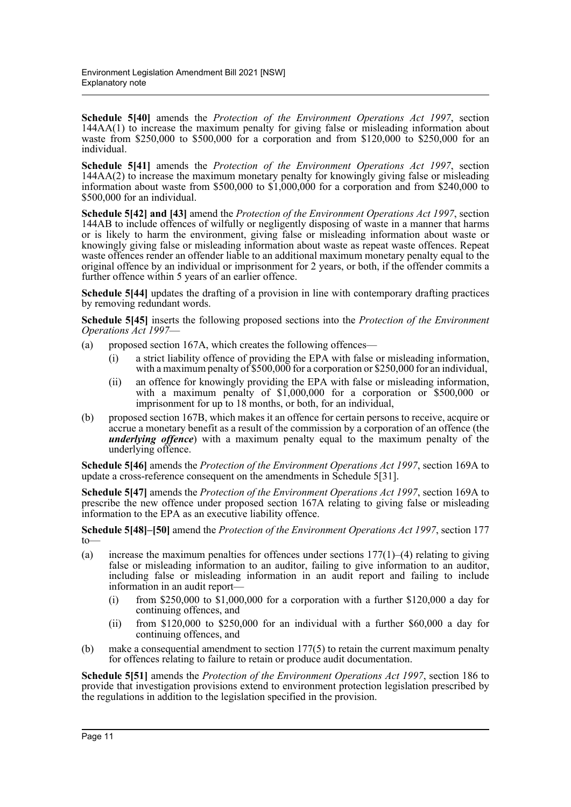**Schedule 5[40]** amends the *Protection of the Environment Operations Act 1997*, section 144AA(1) to increase the maximum penalty for giving false or misleading information about waste from \$250,000 to \$500,000 for a corporation and from \$120,000 to \$250,000 for an individual.

**Schedule 5[41]** amends the *Protection of the Environment Operations Act 1997*, section 144AA(2) to increase the maximum monetary penalty for knowingly giving false or misleading information about waste from \$500,000 to  $$1,000,000$  for a corporation and from \$240,000 to \$500,000 for an individual.

**Schedule 5[42] and [43]** amend the *Protection of the Environment Operations Act 1997*, section 144AB to include offences of wilfully or negligently disposing of waste in a manner that harms or is likely to harm the environment, giving false or misleading information about waste or knowingly giving false or misleading information about waste as repeat waste offences. Repeat waste offences render an offender liable to an additional maximum monetary penalty equal to the original offence by an individual or imprisonment for 2 years, or both, if the offender commits a further offence within 5 years of an earlier offence.

**Schedule 5[44]** updates the drafting of a provision in line with contemporary drafting practices by removing redundant words.

**Schedule 5[45]** inserts the following proposed sections into the *Protection of the Environment Operations Act 1997*—

- (a) proposed section 167A, which creates the following offences—
	- (i) a strict liability offence of providing the EPA with false or misleading information, with a maximum penalty of \$500,000 for a corporation or \$250,000 for an individual,
	- (ii) an offence for knowingly providing the EPA with false or misleading information, with a maximum penalty of \$1,000,000 for a corporation or \$500,000 or imprisonment for up to 18 months, or both, for an individual,
- (b) proposed section 167B, which makes it an offence for certain persons to receive, acquire or accrue a monetary benefit as a result of the commission by a corporation of an offence (the *underlying offence*) with a maximum penalty equal to the maximum penalty of the underlying offence.

**Schedule 5[46]** amends the *Protection of the Environment Operations Act 1997*, section 169A to update a cross-reference consequent on the amendments in Schedule 5[31].

**Schedule 5[47]** amends the *Protection of the Environment Operations Act 1997*, section 169A to prescribe the new offence under proposed section 167A relating to giving false or misleading information to the EPA as an executive liability offence.

**Schedule 5[48]–[50]** amend the *Protection of the Environment Operations Act 1997*, section 177 to—

- (a) increase the maximum penalties for offences under sections  $177(1)$ –(4) relating to giving false or misleading information to an auditor, failing to give information to an auditor, including false or misleading information in an audit report and failing to include information in an audit report—
	- (i) from \$250,000 to \$1,000,000 for a corporation with a further \$120,000 a day for continuing offences, and
	- (ii) from \$120,000 to \$250,000 for an individual with a further \$60,000 a day for continuing offences, and
- (b) make a consequential amendment to section 177(5) to retain the current maximum penalty for offences relating to failure to retain or produce audit documentation.

**Schedule 5[51]** amends the *Protection of the Environment Operations Act 1997*, section 186 to provide that investigation provisions extend to environment protection legislation prescribed by the regulations in addition to the legislation specified in the provision.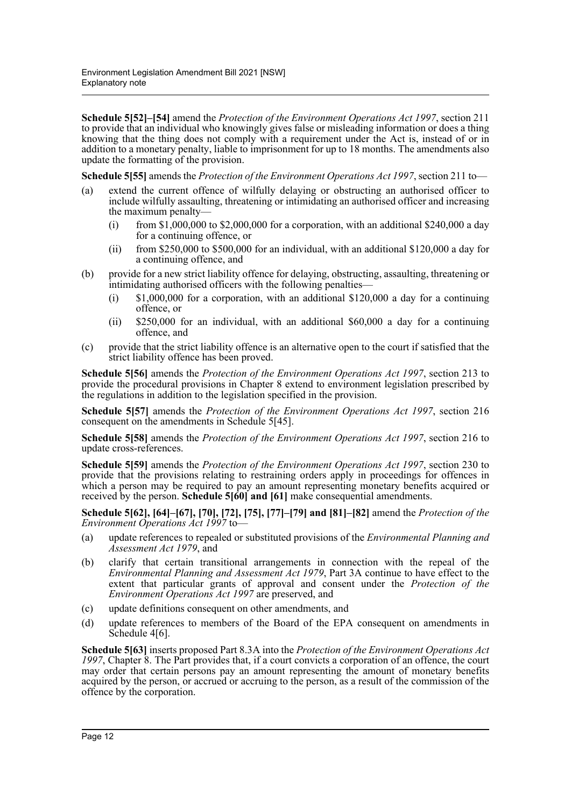**Schedule 5[52]–[54]** amend the *Protection of the Environment Operations Act 1997*, section 211 to provide that an individual who knowingly gives false or misleading information or does a thing knowing that the thing does not comply with a requirement under the Act is, instead of or in addition to a monetary penalty, liable to imprisonment for up to 18 months. The amendments also update the formatting of the provision.

**Schedule 5[55]** amends the *Protection of the Environment Operations Act 1997*, section 211 to—

- (a) extend the current offence of wilfully delaying or obstructing an authorised officer to include wilfully assaulting, threatening or intimidating an authorised officer and increasing the maximum penalty—
	- (i) from \$1,000,000 to \$2,000,000 for a corporation, with an additional \$240,000 a day for a continuing offence, or
	- (ii) from \$250,000 to \$500,000 for an individual, with an additional \$120,000 a day for a continuing offence, and
- (b) provide for a new strict liability offence for delaying, obstructing, assaulting, threatening or intimidating authorised officers with the following penalties—
	- (i) \$1,000,000 for a corporation, with an additional \$120,000 a day for a continuing offence, or
	- (ii) \$250,000 for an individual, with an additional \$60,000 a day for a continuing offence, and
- (c) provide that the strict liability offence is an alternative open to the court if satisfied that the strict liability offence has been proved.

**Schedule 5[56]** amends the *Protection of the Environment Operations Act 1997*, section 213 to provide the procedural provisions in Chapter 8 extend to environment legislation prescribed by the regulations in addition to the legislation specified in the provision.

**Schedule 5[57]** amends the *Protection of the Environment Operations Act 1997*, section 216 consequent on the amendments in Schedule 5[45].

**Schedule 5[58]** amends the *Protection of the Environment Operations Act 1997*, section 216 to update cross-references.

**Schedule 5[59]** amends the *Protection of the Environment Operations Act 1997*, section 230 to provide that the provisions relating to restraining orders apply in proceedings for offences in which a person may be required to pay an amount representing monetary benefits acquired or received by the person. **Schedule 5[60] and [61]** make consequential amendments.

**Schedule 5[62], [64]–[67], [70], [72], [75], [77]–[79] and [81]–[82]** amend the *Protection of the Environment Operations Act 1997* to—

- (a) update references to repealed or substituted provisions of the *Environmental Planning and Assessment Act 1979*, and
- (b) clarify that certain transitional arrangements in connection with the repeal of the *Environmental Planning and Assessment Act 1979*, Part 3A continue to have effect to the extent that particular grants of approval and consent under the *Protection of the Environment Operations Act 1997* are preserved, and
- (c) update definitions consequent on other amendments, and
- (d) update references to members of the Board of the EPA consequent on amendments in Schedule 4[6].

**Schedule 5[63]** inserts proposed Part 8.3A into the *Protection of the Environment Operations Act 1997*, Chapter 8. The Part provides that, if a court convicts a corporation of an offence, the court may order that certain persons pay an amount representing the amount of monetary benefits acquired by the person, or accrued or accruing to the person, as a result of the commission of the offence by the corporation.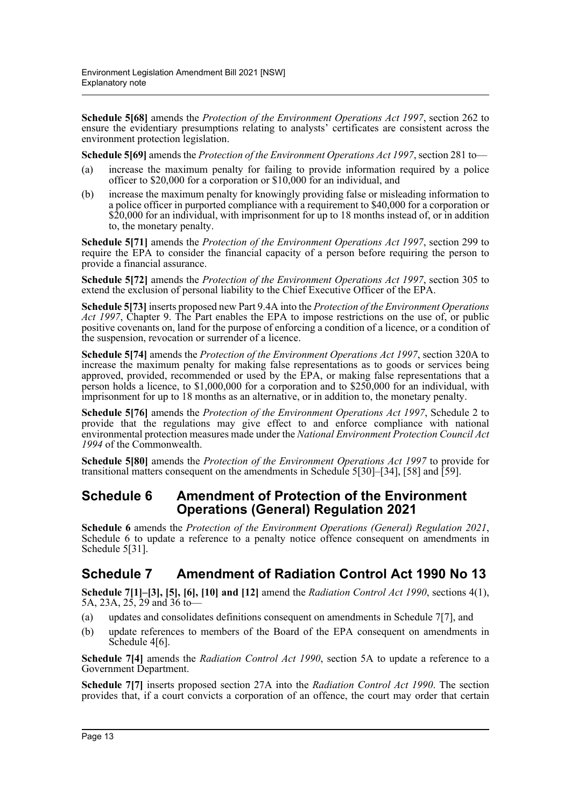**Schedule 5[68]** amends the *Protection of the Environment Operations Act 1997*, section 262 to ensure the evidentiary presumptions relating to analysts' certificates are consistent across the environment protection legislation.

**Schedule 5[69]** amends the *Protection of the Environment Operations Act 1997*, section 281 to—

- (a) increase the maximum penalty for failing to provide information required by a police officer to \$20,000 for a corporation or \$10,000 for an individual, and
- (b) increase the maximum penalty for knowingly providing false or misleading information to a police officer in purported compliance with a requirement to \$40,000 for a corporation or \$20,000 for an individual, with imprisonment for up to 18 months instead of, or in addition to, the monetary penalty.

**Schedule 5[71]** amends the *Protection of the Environment Operations Act 1997*, section 299 to require the EPA to consider the financial capacity of a person before requiring the person to provide a financial assurance.

**Schedule 5[72]** amends the *Protection of the Environment Operations Act 1997*, section 305 to extend the exclusion of personal liability to the Chief Executive Officer of the EPA.

**Schedule 5[73]** inserts proposed new Part 9.4A into the *Protection of the Environment Operations Act 1997*, Chapter 9. The Part enables the EPA to impose restrictions on the use of, or public positive covenants on, land for the purpose of enforcing a condition of a licence, or a condition of the suspension, revocation or surrender of a licence.

**Schedule 5[74]** amends the *Protection of the Environment Operations Act 1997*, section 320A to increase the maximum penalty for making false representations as to goods or services being approved, provided, recommended or used by the EPA, or making false representations that a person holds a licence, to \$1,000,000 for a corporation and to \$250,000 for an individual, with imprisonment for up to 18 months as an alternative, or in addition to, the monetary penalty.

**Schedule 5[76]** amends the *Protection of the Environment Operations Act 1997*, Schedule 2 to provide that the regulations may give effect to and enforce compliance with national environmental protection measures made under the *National Environment Protection Council Act 1994* of the Commonwealth.

**Schedule 5[80]** amends the *Protection of the Environment Operations Act 1997* to provide for transitional matters consequent on the amendments in Schedule 5[30]–[34], [58] and [59].

## **Schedule 6 Amendment of Protection of the Environment Operations (General) Regulation 2021**

**Schedule 6** amends the *Protection of the Environment Operations (General) Regulation 2021*, Schedule 6 to update a reference to a penalty notice offence consequent on amendments in Schedule 5[31].

## **Schedule 7 Amendment of Radiation Control Act 1990 No 13**

**Schedule 7[1]–[3], [5], [6], [10] and [12]** amend the *Radiation Control Act 1990*, sections 4(1), 5A, 23A, 25, 29 and 36 to—

- (a) updates and consolidates definitions consequent on amendments in Schedule 7[7], and
- (b) update references to members of the Board of the EPA consequent on amendments in Schedule 4[6].

**Schedule 7[4]** amends the *Radiation Control Act 1990*, section 5A to update a reference to a Government Department.

**Schedule 7[7]** inserts proposed section 27A into the *Radiation Control Act 1990*. The section provides that, if a court convicts a corporation of an offence, the court may order that certain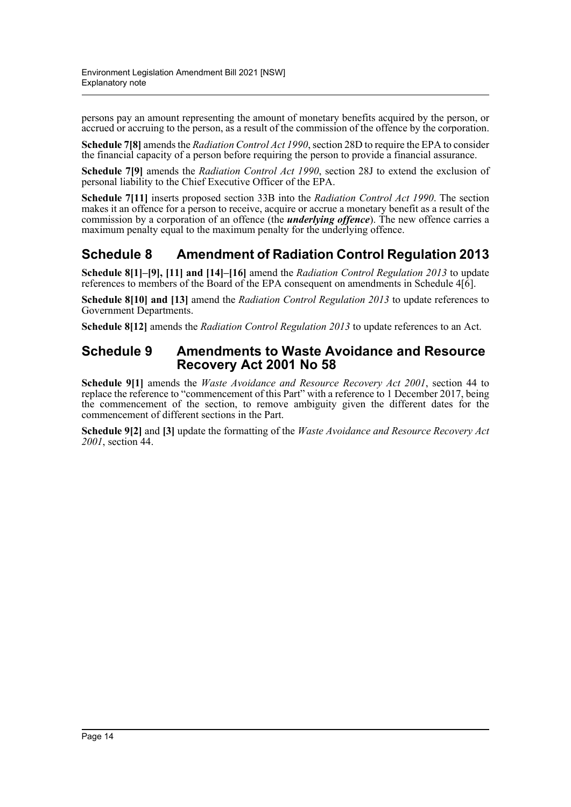persons pay an amount representing the amount of monetary benefits acquired by the person, or accrued or accruing to the person, as a result of the commission of the offence by the corporation.

**Schedule 7[8]** amends the *Radiation Control Act 1990*, section 28D to require the EPA to consider the financial capacity of a person before requiring the person to provide a financial assurance.

**Schedule 7[9]** amends the *Radiation Control Act 1990*, section 28J to extend the exclusion of personal liability to the Chief Executive Officer of the EPA.

**Schedule 7[11]** inserts proposed section 33B into the *Radiation Control Act 1990*. The section makes it an offence for a person to receive, acquire or accrue a monetary benefit as a result of the commission by a corporation of an offence (the *underlying offence*). The new offence carries a maximum penalty equal to the maximum penalty for the underlying offence.

## **Schedule 8 Amendment of Radiation Control Regulation 2013**

**Schedule 8[1]–[9], [11] and [14]–[16]** amend the *Radiation Control Regulation 2013* to update references to members of the Board of the EPA consequent on amendments in Schedule 4[6].

**Schedule 8[10] and [13]** amend the *Radiation Control Regulation 2013* to update references to Government Departments.

**Schedule 8[12]** amends the *Radiation Control Regulation 2013* to update references to an Act.

### **Schedule 9 Amendments to Waste Avoidance and Resource Recovery Act 2001 No 58**

**Schedule 9[1]** amends the *Waste Avoidance and Resource Recovery Act 2001*, section 44 to replace the reference to "commencement of this Part" with a reference to 1 December 2017, being the commencement of the section, to remove ambiguity given the different dates for the commencement of different sections in the Part.

**Schedule 9[2]** and **[3]** update the formatting of the *Waste Avoidance and Resource Recovery Act 2001*, section 44.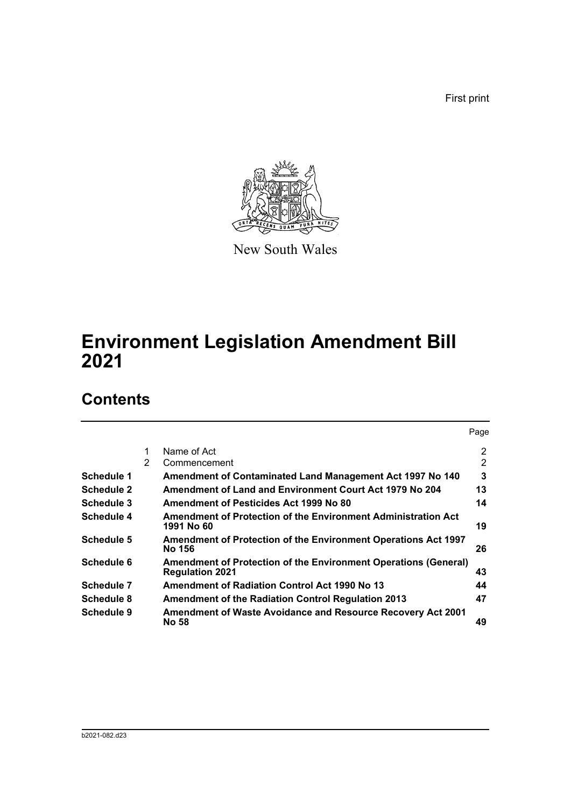First print



New South Wales

## **Environment Legislation Amendment Bill 2021**

## **Contents**

|                   |               |                                                                                           | Page           |
|-------------------|---------------|-------------------------------------------------------------------------------------------|----------------|
|                   | 1             | Name of Act                                                                               | $\overline{2}$ |
|                   | $\mathcal{P}$ | Commencement                                                                              | 2              |
| Schedule 1        |               | Amendment of Contaminated Land Management Act 1997 No 140                                 | 3              |
| <b>Schedule 2</b> |               | Amendment of Land and Environment Court Act 1979 No 204                                   | 13             |
| Schedule 3        |               | Amendment of Pesticides Act 1999 No 80                                                    | 14             |
| Schedule 4        |               | Amendment of Protection of the Environment Administration Act<br>1991 No 60               | 19             |
| Schedule 5        |               | <b>Amendment of Protection of the Environment Operations Act 1997</b><br>No 156           | 26             |
| Schedule 6        |               | Amendment of Protection of the Environment Operations (General)<br><b>Regulation 2021</b> | 43             |
| Schedule 7        |               | <b>Amendment of Radiation Control Act 1990 No 13</b>                                      | 44             |
| Schedule 8        |               | <b>Amendment of the Radiation Control Regulation 2013</b>                                 | 47             |
| Schedule 9        |               | Amendment of Waste Avoidance and Resource Recovery Act 2001<br>No 58                      | 49             |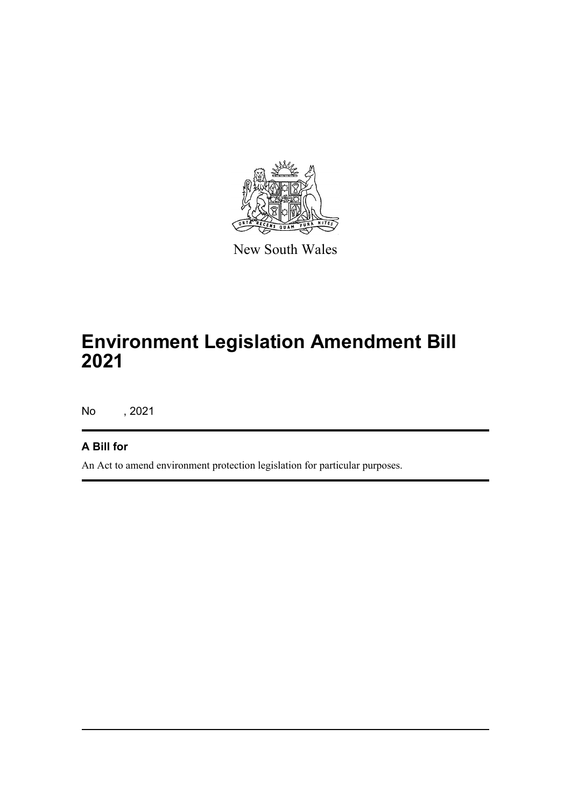

New South Wales

# **Environment Legislation Amendment Bill 2021**

No , 2021

## **A Bill for**

An Act to amend environment protection legislation for particular purposes.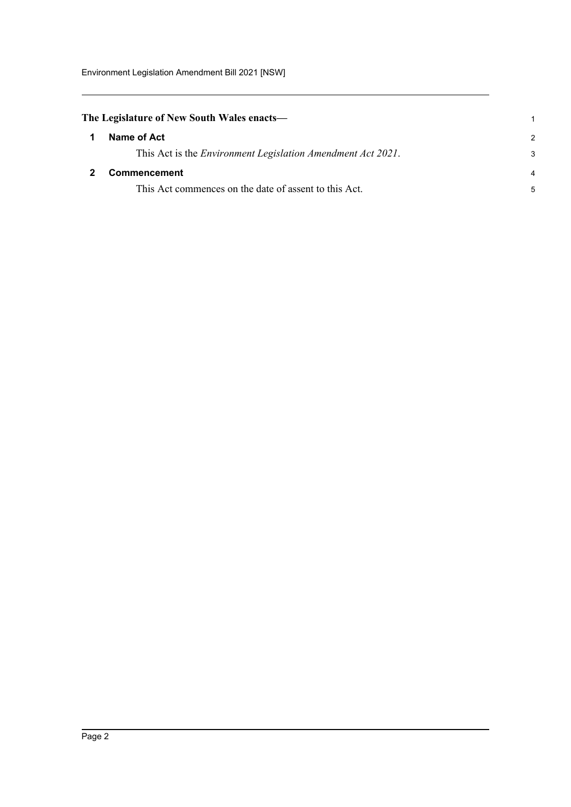<span id="page-16-1"></span><span id="page-16-0"></span>

| The Legislature of New South Wales enacts—                          |               |  |
|---------------------------------------------------------------------|---------------|--|
| Name of Act                                                         | $\mathcal{P}$ |  |
| This Act is the <i>Environment Legislation Amendment Act 2021</i> . | 3             |  |
| <b>Commencement</b>                                                 | 4             |  |
| This Act commences on the date of assent to this Act.               | 5             |  |
|                                                                     |               |  |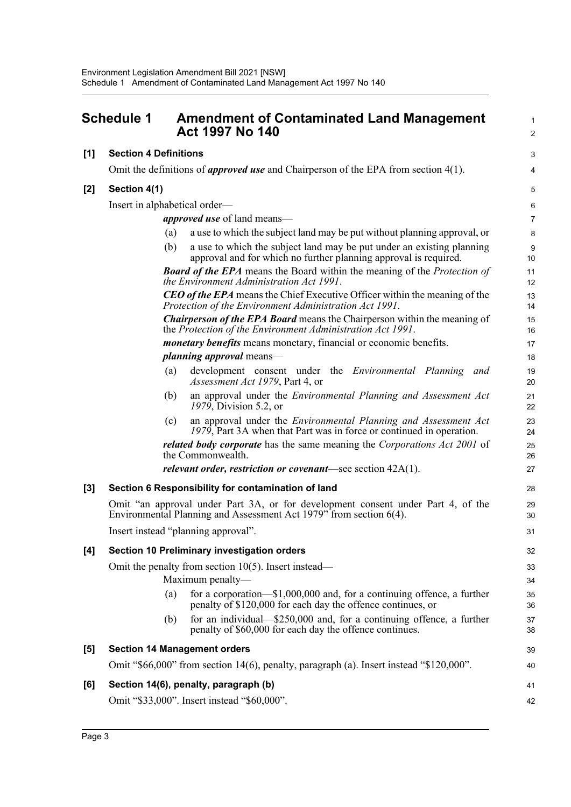<span id="page-17-0"></span>

|       | <b>Schedule 1</b>            | <b>Amendment of Contaminated Land Management</b><br><b>Act 1997 No 140</b>                                                                             | $\mathbf 1$<br>$\overline{2}$ |
|-------|------------------------------|--------------------------------------------------------------------------------------------------------------------------------------------------------|-------------------------------|
| [1]   | <b>Section 4 Definitions</b> |                                                                                                                                                        | 3                             |
|       |                              | Omit the definitions of <i>approved use</i> and Chairperson of the EPA from section $4(1)$ .                                                           | 4                             |
| [2]   | Section 4(1)                 |                                                                                                                                                        | 5                             |
|       |                              | Insert in alphabetical order—                                                                                                                          | 6                             |
|       |                              | <i>approved use</i> of land means—                                                                                                                     | $\overline{7}$                |
|       |                              | a use to which the subject land may be put without planning approval, or<br>(a)                                                                        | 8                             |
|       |                              | (b)<br>a use to which the subject land may be put under an existing planning<br>approval and for which no further planning approval is required.       | 9<br>10                       |
|       |                              | <b>Board of the EPA</b> means the Board within the meaning of the Protection of<br>the Environment Administration Act 1991.                            | 11<br>12                      |
|       |                              | <b>CEO of the EPA</b> means the Chief Executive Officer within the meaning of the<br>Protection of the Environment Administration Act 1991.            | 13<br>14                      |
|       |                              | <b>Chairperson of the EPA Board</b> means the Chairperson within the meaning of<br>the Protection of the Environment Administration Act 1991.          | 15<br>16                      |
|       |                              | <i>monetary benefits</i> means monetary, financial or economic benefits.                                                                               | 17                            |
|       |                              | <i>planning approval</i> means—                                                                                                                        | 18                            |
|       |                              | (a)<br>development consent under the <i>Environmental Planning and</i><br>Assessment Act 1979, Part 4, or                                              | 19<br>20                      |
|       |                              | an approval under the <i>Environmental Planning and Assessment Act</i><br>(b)<br>1979, Division 5.2, or                                                | 21<br>22                      |
|       |                              | an approval under the Environmental Planning and Assessment Act<br>(c)<br>1979, Part 3A when that Part was in force or continued in operation.         | 23<br>24                      |
|       |                              | <i>related body corporate</i> has the same meaning the <i>Corporations Act 2001</i> of<br>the Commonwealth.                                            | 25<br>26                      |
|       |                              | <i>relevant order, restriction or covenant</i> —see section $42A(1)$ .                                                                                 | 27                            |
| $[3]$ |                              | Section 6 Responsibility for contamination of land                                                                                                     | 28                            |
|       |                              | Omit "an approval under Part 3A, or for development consent under Part 4, of the<br>Environmental Planning and Assessment Act 1979" from section 6(4). | 29<br>30                      |
|       |                              | Insert instead "planning approval".                                                                                                                    | 31                            |
| [4]   |                              | Section 10 Preliminary investigation orders                                                                                                            | 32                            |
|       |                              | Omit the penalty from section $10(5)$ . Insert instead—                                                                                                | 33                            |
|       |                              | Maximum penalty-                                                                                                                                       | 34                            |
|       |                              | for a corporation— $$1,000,000$ and, for a continuing offence, a further<br>(a)<br>penalty of \$120,000 for each day the offence continues, or         | 35<br>36                      |
|       |                              | for an individual—\$250,000 and, for a continuing offence, a further<br>(b)<br>penalty of \$60,000 for each day the offence continues.                 | 37<br>38                      |
| [5]   |                              | <b>Section 14 Management orders</b>                                                                                                                    | 39                            |
|       |                              | Omit "\$66,000" from section 14(6), penalty, paragraph (a). Insert instead "\$120,000".                                                                | 40                            |
| [6]   |                              | Section 14(6), penalty, paragraph (b)                                                                                                                  | 41                            |
|       |                              | Omit "\$33,000". Insert instead "\$60,000".                                                                                                            | 42                            |
|       |                              |                                                                                                                                                        |                               |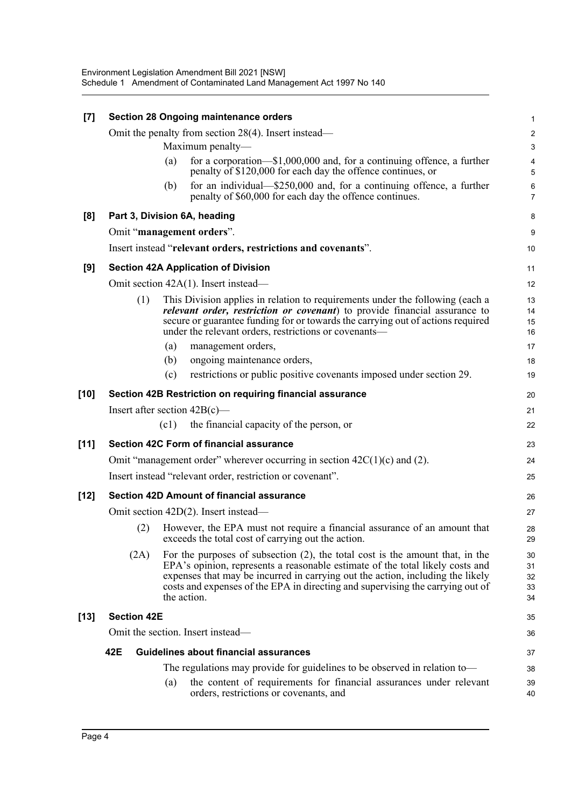| [7]    |                    | <b>Section 28 Ongoing maintenance orders</b>                                                                                                                                                                                                                                                                                                         | 1                          |
|--------|--------------------|------------------------------------------------------------------------------------------------------------------------------------------------------------------------------------------------------------------------------------------------------------------------------------------------------------------------------------------------------|----------------------------|
|        |                    | Omit the penalty from section $28(4)$ . Insert instead—                                                                                                                                                                                                                                                                                              | $\overline{\mathbf{c}}$    |
|        |                    | Maximum penalty-                                                                                                                                                                                                                                                                                                                                     | 3                          |
|        |                    | for a corporation— $$1,000,000$ and, for a continuing offence, a further<br>(a)<br>penalty of \$120,000 for each day the offence continues, or                                                                                                                                                                                                       | 4<br>5                     |
|        |                    | for an individual—\$250,000 and, for a continuing offence, a further<br>(b)<br>penalty of \$60,000 for each day the offence continues.                                                                                                                                                                                                               | 6<br>7                     |
| [8]    |                    | Part 3, Division 6A, heading                                                                                                                                                                                                                                                                                                                         | 8                          |
|        |                    | Omit "management orders".                                                                                                                                                                                                                                                                                                                            | 9                          |
|        |                    | Insert instead "relevant orders, restrictions and covenants".                                                                                                                                                                                                                                                                                        | 10                         |
| [9]    |                    | <b>Section 42A Application of Division</b>                                                                                                                                                                                                                                                                                                           | 11                         |
|        |                    | Omit section 42A(1). Insert instead—                                                                                                                                                                                                                                                                                                                 | 12                         |
|        | (1)                | This Division applies in relation to requirements under the following (each a<br>relevant order, restriction or covenant) to provide financial assurance to<br>secure or guarantee funding for or towards the carrying out of actions required<br>under the relevant orders, restrictions or covenants-                                              | 13<br>14<br>15<br>16       |
|        |                    | (a)<br>management orders,                                                                                                                                                                                                                                                                                                                            | 17                         |
|        |                    | (b)<br>ongoing maintenance orders,                                                                                                                                                                                                                                                                                                                   | 18                         |
|        |                    | restrictions or public positive covenants imposed under section 29.<br>(c)                                                                                                                                                                                                                                                                           | 19                         |
| [10]   |                    | Section 42B Restriction on requiring financial assurance                                                                                                                                                                                                                                                                                             | 20                         |
|        |                    | Insert after section $42B(c)$ —                                                                                                                                                                                                                                                                                                                      | 21                         |
|        |                    | (c1)<br>the financial capacity of the person, or                                                                                                                                                                                                                                                                                                     | 22                         |
| $[11]$ |                    | Section 42C Form of financial assurance                                                                                                                                                                                                                                                                                                              | 23                         |
|        |                    | Omit "management order" wherever occurring in section $42C(1)(c)$ and (2).                                                                                                                                                                                                                                                                           | 24                         |
|        |                    | Insert instead "relevant order, restriction or covenant".                                                                                                                                                                                                                                                                                            | 25                         |
| [12]   |                    | Section 42D Amount of financial assurance                                                                                                                                                                                                                                                                                                            | 26                         |
|        |                    | Omit section 42D(2). Insert instead—                                                                                                                                                                                                                                                                                                                 | 27                         |
|        | (2)                | However, the EPA must not require a financial assurance of an amount that<br>exceeds the total cost of carrying out the action.                                                                                                                                                                                                                      | 28<br>29                   |
|        | (2A)               | For the purposes of subsection $(2)$ , the total cost is the amount that, in the<br>EPA's opinion, represents a reasonable estimate of the total likely costs and<br>expenses that may be incurred in carrying out the action, including the likely<br>costs and expenses of the EPA in directing and supervising the carrying out of<br>the action. | 30<br>31<br>32<br>33<br>34 |
| $[13]$ | <b>Section 42E</b> |                                                                                                                                                                                                                                                                                                                                                      | 35                         |
|        |                    | Omit the section. Insert instead—                                                                                                                                                                                                                                                                                                                    | 36                         |
|        | 42E                | Guidelines about financial assurances                                                                                                                                                                                                                                                                                                                | 37                         |
|        |                    | The regulations may provide for guidelines to be observed in relation to—                                                                                                                                                                                                                                                                            | 38                         |
|        |                    | the content of requirements for financial assurances under relevant<br>(a)<br>orders, restrictions or covenants, and                                                                                                                                                                                                                                 | 39<br>40                   |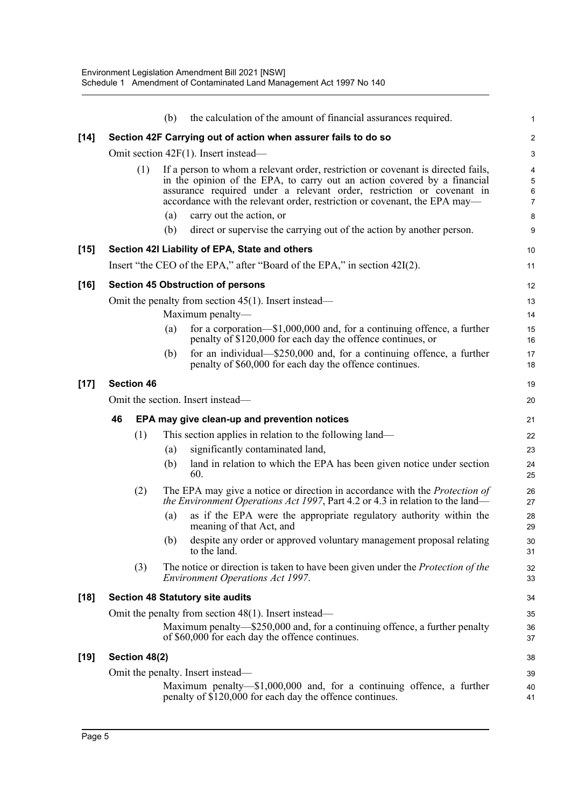|     | (b)        | the calculation of the amount of financial assurances required.                                                                         | 1                                                                                                                                                                                                                                                                                                                                                                                                                                                                                                                                                                                                                                                                                                                                                                                                                                                                                                                                                                                                                                                                                                                                                                                                                                                                                                                                                                                                                                                                                                                                                                                                                                            |
|-----|------------|-----------------------------------------------------------------------------------------------------------------------------------------|----------------------------------------------------------------------------------------------------------------------------------------------------------------------------------------------------------------------------------------------------------------------------------------------------------------------------------------------------------------------------------------------------------------------------------------------------------------------------------------------------------------------------------------------------------------------------------------------------------------------------------------------------------------------------------------------------------------------------------------------------------------------------------------------------------------------------------------------------------------------------------------------------------------------------------------------------------------------------------------------------------------------------------------------------------------------------------------------------------------------------------------------------------------------------------------------------------------------------------------------------------------------------------------------------------------------------------------------------------------------------------------------------------------------------------------------------------------------------------------------------------------------------------------------------------------------------------------------------------------------------------------------|
|     |            |                                                                                                                                         | $\overline{a}$                                                                                                                                                                                                                                                                                                                                                                                                                                                                                                                                                                                                                                                                                                                                                                                                                                                                                                                                                                                                                                                                                                                                                                                                                                                                                                                                                                                                                                                                                                                                                                                                                               |
|     |            |                                                                                                                                         | 3                                                                                                                                                                                                                                                                                                                                                                                                                                                                                                                                                                                                                                                                                                                                                                                                                                                                                                                                                                                                                                                                                                                                                                                                                                                                                                                                                                                                                                                                                                                                                                                                                                            |
| (1) | (a)<br>(b) | carry out the action, or                                                                                                                | 4<br>5<br>6<br>$\overline{7}$<br>8<br>9                                                                                                                                                                                                                                                                                                                                                                                                                                                                                                                                                                                                                                                                                                                                                                                                                                                                                                                                                                                                                                                                                                                                                                                                                                                                                                                                                                                                                                                                                                                                                                                                      |
|     |            |                                                                                                                                         | 10                                                                                                                                                                                                                                                                                                                                                                                                                                                                                                                                                                                                                                                                                                                                                                                                                                                                                                                                                                                                                                                                                                                                                                                                                                                                                                                                                                                                                                                                                                                                                                                                                                           |
|     |            |                                                                                                                                         | 11                                                                                                                                                                                                                                                                                                                                                                                                                                                                                                                                                                                                                                                                                                                                                                                                                                                                                                                                                                                                                                                                                                                                                                                                                                                                                                                                                                                                                                                                                                                                                                                                                                           |
|     |            |                                                                                                                                         | 12                                                                                                                                                                                                                                                                                                                                                                                                                                                                                                                                                                                                                                                                                                                                                                                                                                                                                                                                                                                                                                                                                                                                                                                                                                                                                                                                                                                                                                                                                                                                                                                                                                           |
|     |            |                                                                                                                                         | 13                                                                                                                                                                                                                                                                                                                                                                                                                                                                                                                                                                                                                                                                                                                                                                                                                                                                                                                                                                                                                                                                                                                                                                                                                                                                                                                                                                                                                                                                                                                                                                                                                                           |
|     | (a)        | for a corporation— $$1,000,000$ and, for a continuing offence, a further<br>penalty of \$120,000 for each day the offence continues, or | 14<br>15<br>16                                                                                                                                                                                                                                                                                                                                                                                                                                                                                                                                                                                                                                                                                                                                                                                                                                                                                                                                                                                                                                                                                                                                                                                                                                                                                                                                                                                                                                                                                                                                                                                                                               |
|     | (b)        | for an individual— $$250,000$ and, for a continuing offence, a further<br>penalty of \$60,000 for each day the offence continues.       | 17<br>18                                                                                                                                                                                                                                                                                                                                                                                                                                                                                                                                                                                                                                                                                                                                                                                                                                                                                                                                                                                                                                                                                                                                                                                                                                                                                                                                                                                                                                                                                                                                                                                                                                     |
|     |            |                                                                                                                                         | 19                                                                                                                                                                                                                                                                                                                                                                                                                                                                                                                                                                                                                                                                                                                                                                                                                                                                                                                                                                                                                                                                                                                                                                                                                                                                                                                                                                                                                                                                                                                                                                                                                                           |
|     |            |                                                                                                                                         | 20                                                                                                                                                                                                                                                                                                                                                                                                                                                                                                                                                                                                                                                                                                                                                                                                                                                                                                                                                                                                                                                                                                                                                                                                                                                                                                                                                                                                                                                                                                                                                                                                                                           |
| 46  |            |                                                                                                                                         | 21                                                                                                                                                                                                                                                                                                                                                                                                                                                                                                                                                                                                                                                                                                                                                                                                                                                                                                                                                                                                                                                                                                                                                                                                                                                                                                                                                                                                                                                                                                                                                                                                                                           |
| (1) |            |                                                                                                                                         | 22                                                                                                                                                                                                                                                                                                                                                                                                                                                                                                                                                                                                                                                                                                                                                                                                                                                                                                                                                                                                                                                                                                                                                                                                                                                                                                                                                                                                                                                                                                                                                                                                                                           |
|     | (a)<br>(b) | significantly contaminated land,<br>land in relation to which the EPA has been given notice under section<br>60.                        | 23<br>24<br>25                                                                                                                                                                                                                                                                                                                                                                                                                                                                                                                                                                                                                                                                                                                                                                                                                                                                                                                                                                                                                                                                                                                                                                                                                                                                                                                                                                                                                                                                                                                                                                                                                               |
| (2) |            |                                                                                                                                         | 26<br>27                                                                                                                                                                                                                                                                                                                                                                                                                                                                                                                                                                                                                                                                                                                                                                                                                                                                                                                                                                                                                                                                                                                                                                                                                                                                                                                                                                                                                                                                                                                                                                                                                                     |
|     | (a)        | as if the EPA were the appropriate regulatory authority within the<br>meaning of that Act, and                                          | 28<br>29                                                                                                                                                                                                                                                                                                                                                                                                                                                                                                                                                                                                                                                                                                                                                                                                                                                                                                                                                                                                                                                                                                                                                                                                                                                                                                                                                                                                                                                                                                                                                                                                                                     |
|     | (b)        | despite any order or approved voluntary management proposal relating<br>to the land.                                                    | 30<br>31                                                                                                                                                                                                                                                                                                                                                                                                                                                                                                                                                                                                                                                                                                                                                                                                                                                                                                                                                                                                                                                                                                                                                                                                                                                                                                                                                                                                                                                                                                                                                                                                                                     |
| (3) |            |                                                                                                                                         | 32<br>33                                                                                                                                                                                                                                                                                                                                                                                                                                                                                                                                                                                                                                                                                                                                                                                                                                                                                                                                                                                                                                                                                                                                                                                                                                                                                                                                                                                                                                                                                                                                                                                                                                     |
|     |            |                                                                                                                                         | 34                                                                                                                                                                                                                                                                                                                                                                                                                                                                                                                                                                                                                                                                                                                                                                                                                                                                                                                                                                                                                                                                                                                                                                                                                                                                                                                                                                                                                                                                                                                                                                                                                                           |
|     |            |                                                                                                                                         | 35                                                                                                                                                                                                                                                                                                                                                                                                                                                                                                                                                                                                                                                                                                                                                                                                                                                                                                                                                                                                                                                                                                                                                                                                                                                                                                                                                                                                                                                                                                                                                                                                                                           |
|     |            |                                                                                                                                         | 36<br>37                                                                                                                                                                                                                                                                                                                                                                                                                                                                                                                                                                                                                                                                                                                                                                                                                                                                                                                                                                                                                                                                                                                                                                                                                                                                                                                                                                                                                                                                                                                                                                                                                                     |
|     |            |                                                                                                                                         | 38                                                                                                                                                                                                                                                                                                                                                                                                                                                                                                                                                                                                                                                                                                                                                                                                                                                                                                                                                                                                                                                                                                                                                                                                                                                                                                                                                                                                                                                                                                                                                                                                                                           |
|     |            |                                                                                                                                         | 39<br>40<br>41                                                                                                                                                                                                                                                                                                                                                                                                                                                                                                                                                                                                                                                                                                                                                                                                                                                                                                                                                                                                                                                                                                                                                                                                                                                                                                                                                                                                                                                                                                                                                                                                                               |
|     |            | <b>Section 46</b><br>Section 48(2)                                                                                                      | Section 42F Carrying out of action when assurer fails to do so<br>Omit section $42F(1)$ . Insert instead—<br>If a person to whom a relevant order, restriction or covenant is directed fails,<br>in the opinion of the EPA, to carry out an action covered by a financial<br>assurance required under a relevant order, restriction or covenant in<br>accordance with the relevant order, restriction or covenant, the EPA may-<br>direct or supervise the carrying out of the action by another person.<br>Section 42I Liability of EPA, State and others<br>Insert "the CEO of the EPA," after "Board of the EPA," in section 42I(2).<br><b>Section 45 Obstruction of persons</b><br>Omit the penalty from section $45(1)$ . Insert instead—<br>Maximum penalty-<br>Omit the section. Insert instead—<br>EPA may give clean-up and prevention notices<br>This section applies in relation to the following land—<br>The EPA may give a notice or direction in accordance with the <i>Protection of</i><br><i>the Environment Operations Act 1997</i> , Part 4.2 or 4.3 in relation to the land—<br>The notice or direction is taken to have been given under the Protection of the<br><b>Environment Operations Act 1997.</b><br><b>Section 48 Statutory site audits</b><br>Omit the penalty from section 48(1). Insert instead—<br>Maximum penalty—\$250,000 and, for a continuing offence, a further penalty<br>of \$60,000 for each day the offence continues.<br>Omit the penalty. Insert instead—<br>Maximum penalty—\$1,000,000 and, for a continuing offence, a further<br>penalty of \$120,000 for each day the offence continues. |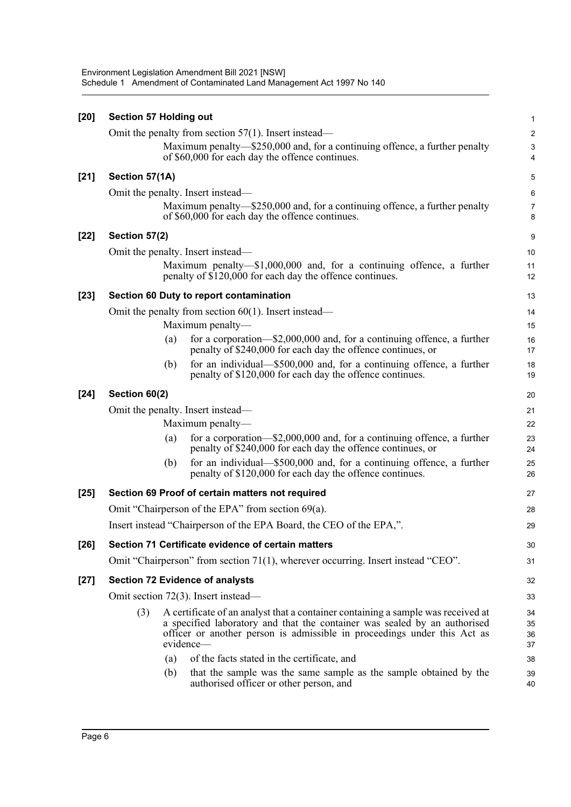| $[20]$ | <b>Section 57 Holding out</b> |     |                                                                                                                                                                                                                                                        | 1                       |
|--------|-------------------------------|-----|--------------------------------------------------------------------------------------------------------------------------------------------------------------------------------------------------------------------------------------------------------|-------------------------|
|        |                               |     | Omit the penalty from section $57(1)$ . Insert instead—                                                                                                                                                                                                | $\overline{\mathbf{c}}$ |
|        |                               |     | Maximum penalty—\$250,000 and, for a continuing offence, a further penalty<br>of \$60,000 for each day the offence continues.                                                                                                                          | 3<br>4                  |
| $[21]$ | Section 57(1A)                |     |                                                                                                                                                                                                                                                        | 5                       |
|        |                               |     | Omit the penalty. Insert instead—                                                                                                                                                                                                                      | 6                       |
|        |                               |     | Maximum penalty—\$250,000 and, for a continuing offence, a further penalty<br>of \$60,000 for each day the offence continues.                                                                                                                          | 7<br>8                  |
| $[22]$ | Section 57(2)                 |     |                                                                                                                                                                                                                                                        | 9                       |
|        |                               |     | Omit the penalty. Insert instead—                                                                                                                                                                                                                      | 10                      |
|        |                               |     | Maximum penalty— $$1,000,000$ and, for a continuing offence, a further<br>penalty of \$120,000 for each day the offence continues.                                                                                                                     | 11<br>12                |
| $[23]$ |                               |     | Section 60 Duty to report contamination                                                                                                                                                                                                                | 13                      |
|        |                               |     | Omit the penalty from section $60(1)$ . Insert instead—                                                                                                                                                                                                | 14                      |
|        |                               |     | Maximum penalty-                                                                                                                                                                                                                                       | 15                      |
|        |                               | (a) | for a corporation-\$2,000,000 and, for a continuing offence, a further<br>penalty of \$240,000 for each day the offence continues, or                                                                                                                  | 16<br>17                |
|        |                               | (b) | for an individual—\$500,000 and, for a continuing offence, a further<br>penalty of \$120,000 for each day the offence continues.                                                                                                                       | 18<br>19                |
| $[24]$ | Section 60(2)                 |     |                                                                                                                                                                                                                                                        | 20                      |
|        |                               |     | Omit the penalty. Insert instead—                                                                                                                                                                                                                      | 21                      |
|        |                               |     | Maximum penalty-                                                                                                                                                                                                                                       | 22                      |
|        |                               | (a) | for a corporation-\$2,000,000 and, for a continuing offence, a further<br>penalty of \$240,000 for each day the offence continues, or                                                                                                                  | 23<br>24                |
|        |                               | (b) | for an individual—\$500,000 and, for a continuing offence, a further<br>penalty of \$120,000 for each day the offence continues.                                                                                                                       | 25<br>26                |
| $[25]$ |                               |     | Section 69 Proof of certain matters not required                                                                                                                                                                                                       | 27                      |
|        |                               |     | Omit "Chairperson of the EPA" from section 69(a).                                                                                                                                                                                                      | 28                      |
|        |                               |     | Insert instead "Chairperson of the EPA Board, the CEO of the EPA,".                                                                                                                                                                                    | 29                      |
| $[26]$ |                               |     | Section 71 Certificate evidence of certain matters                                                                                                                                                                                                     | 30                      |
|        |                               |     | Omit "Chairperson" from section 71(1), wherever occurring. Insert instead "CEO".                                                                                                                                                                       | 31                      |
| $[27]$ |                               |     | <b>Section 72 Evidence of analysts</b>                                                                                                                                                                                                                 | 32                      |
|        |                               |     | Omit section 72(3). Insert instead—                                                                                                                                                                                                                    | 33                      |
|        | (3)                           |     | A certificate of an analyst that a container containing a sample was received at<br>a specified laboratory and that the container was sealed by an authorised<br>officer or another person is admissible in proceedings under this Act as<br>evidence— | 34<br>35<br>36<br>37    |
|        |                               | (a) | of the facts stated in the certificate, and                                                                                                                                                                                                            | 38                      |
|        |                               | (b) | that the sample was the same sample as the sample obtained by the<br>authorised officer or other person, and                                                                                                                                           | 39<br>40                |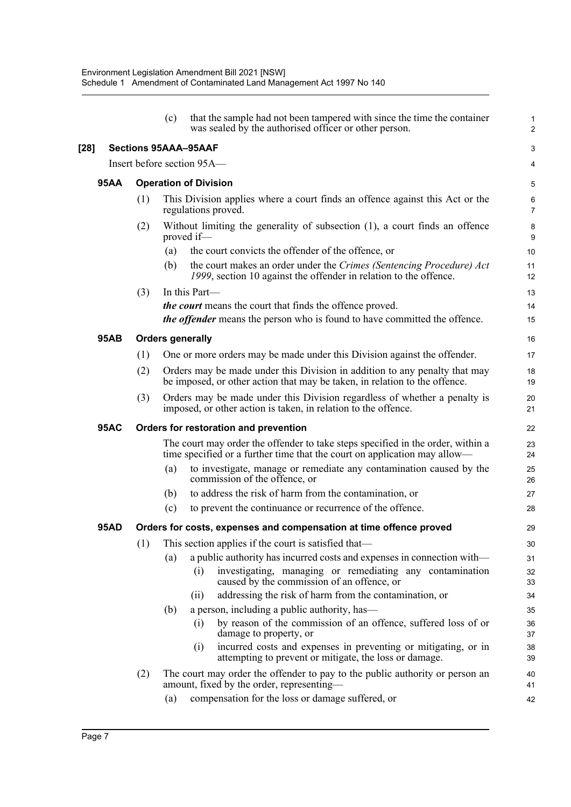|      |     | (c) | that the sample had not been tampered with since the time the container<br>was sealed by the authorised officer or other person.                             | 1<br>$\overline{a}$ |
|------|-----|-----|--------------------------------------------------------------------------------------------------------------------------------------------------------------|---------------------|
|      |     |     | <b>Sections 95AAA-95AAF</b>                                                                                                                                  | 3                   |
|      |     |     | Insert before section 95A-                                                                                                                                   | 4                   |
| 95AA |     |     | <b>Operation of Division</b>                                                                                                                                 | 5                   |
|      | (1) |     | This Division applies where a court finds an offence against this Act or the<br>regulations proved.                                                          | 6<br>7              |
|      | (2) |     | Without limiting the generality of subsection $(1)$ , a court finds an offence<br>proved if-                                                                 | 8<br>9              |
|      |     | (a) | the court convicts the offender of the offence, or                                                                                                           | 10                  |
|      |     | (b) | the court makes an order under the Crimes (Sentencing Procedure) Act<br>1999, section 10 against the offender in relation to the offence.                    | 11<br>12            |
|      | (3) |     | In this Part-                                                                                                                                                | 13                  |
|      |     |     | the court means the court that finds the offence proved.<br>the offender means the person who is found to have committed the offence.                        | 14<br>15            |
| 95AB |     |     | <b>Orders generally</b>                                                                                                                                      | 16                  |
|      | (1) |     | One or more orders may be made under this Division against the offender.                                                                                     | 17                  |
|      | (2) |     | Orders may be made under this Division in addition to any penalty that may<br>be imposed, or other action that may be taken, in relation to the offence.     | 18<br>19            |
|      | (3) |     | Orders may be made under this Division regardless of whether a penalty is<br>imposed, or other action is taken, in relation to the offence.                  | 20<br>21            |
| 95AC |     |     | Orders for restoration and prevention                                                                                                                        | 22                  |
|      |     |     | The court may order the offender to take steps specified in the order, within a<br>time specified or a further time that the court on application may allow— | 23<br>24            |
|      |     | (a) | to investigate, manage or remediate any contamination caused by the<br>commission of the offence, or                                                         | 25<br>26            |
|      |     | (b) | to address the risk of harm from the contamination, or                                                                                                       | 27                  |
|      |     | (c) | to prevent the continuance or recurrence of the offence.                                                                                                     | 28                  |
| 95AD |     |     | Orders for costs, expenses and compensation at time offence proved                                                                                           | 29                  |
|      | (1) |     | This section applies if the court is satisfied that—                                                                                                         | 30                  |
|      |     | (a) | a public authority has incurred costs and expenses in connection with—                                                                                       | 31                  |
|      |     |     | investigating, managing or remediating any contamination<br>(i)<br>caused by the commission of an offence, or                                                | 32<br>33            |
|      |     |     | addressing the risk of harm from the contamination, or<br>(ii)                                                                                               | 34                  |
|      |     | (b) | a person, including a public authority, has—                                                                                                                 | 35                  |
|      |     |     | by reason of the commission of an offence, suffered loss of or<br>(i)<br>damage to property, or                                                              | 36<br>37            |
|      |     |     | incurred costs and expenses in preventing or mitigating, or in<br>(i)<br>attempting to prevent or mitigate, the loss or damage.                              | 38<br>39            |
|      | (2) |     | The court may order the offender to pay to the public authority or person an<br>amount, fixed by the order, representing—                                    | 40<br>41            |
|      |     | (a) | compensation for the loss or damage suffered, or                                                                                                             | 42                  |
|      |     |     |                                                                                                                                                              |                     |

**[28]**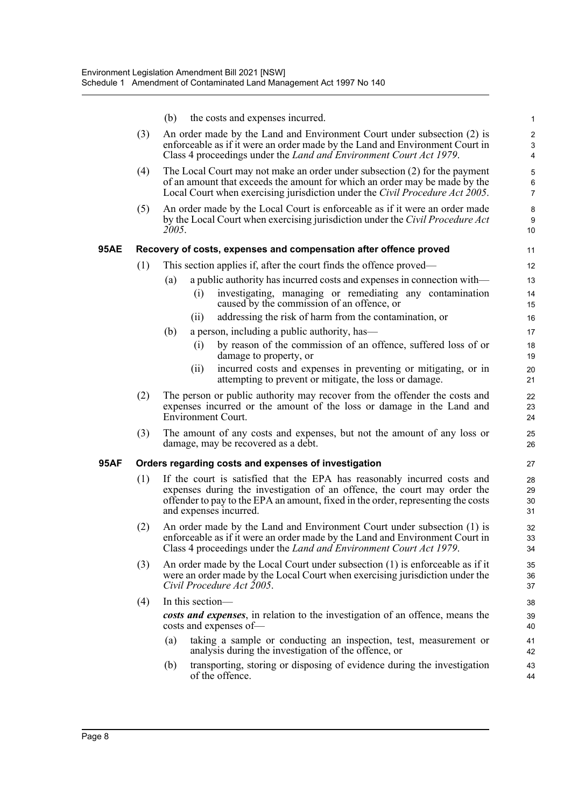|      |     | (b)<br>the costs and expenses incurred.                                                                                                                                                                                                                            | $\mathbf{1}$                                       |
|------|-----|--------------------------------------------------------------------------------------------------------------------------------------------------------------------------------------------------------------------------------------------------------------------|----------------------------------------------------|
|      | (3) | An order made by the Land and Environment Court under subsection (2) is<br>enforceable as if it were an order made by the Land and Environment Court in<br>Class 4 proceedings under the <i>Land and Environment Court Act 1979</i> .                              | $\boldsymbol{2}$<br>$\ensuremath{\mathsf{3}}$<br>4 |
|      | (4) | The Local Court may not make an order under subsection $(2)$ for the payment<br>of an amount that exceeds the amount for which an order may be made by the<br>Local Court when exercising jurisdiction under the Civil Procedure Act 2005.                         | 5<br>$\,6$<br>$\overline{7}$                       |
|      | (5) | An order made by the Local Court is enforceable as if it were an order made<br>by the Local Court when exercising jurisdiction under the Civil Procedure Act<br>2005.                                                                                              | 8<br>9<br>10                                       |
| 95AE |     | Recovery of costs, expenses and compensation after offence proved                                                                                                                                                                                                  | 11                                                 |
|      | (1) | This section applies if, after the court finds the offence proved—                                                                                                                                                                                                 | 12                                                 |
|      |     | a public authority has incurred costs and expenses in connection with-<br>(a)                                                                                                                                                                                      | 13                                                 |
|      |     | investigating, managing or remediating any contamination<br>(i)<br>caused by the commission of an offence, or                                                                                                                                                      | 14<br>15                                           |
|      |     | addressing the risk of harm from the contamination, or<br>(11)                                                                                                                                                                                                     | 16                                                 |
|      |     | (b)<br>a person, including a public authority, has—                                                                                                                                                                                                                | 17                                                 |
|      |     | by reason of the commission of an offence, suffered loss of or<br>(i)<br>damage to property, or                                                                                                                                                                    | 18<br>19                                           |
|      |     | incurred costs and expenses in preventing or mitigating, or in<br>(i)<br>attempting to prevent or mitigate, the loss or damage.                                                                                                                                    | 20<br>21                                           |
|      | (2) | The person or public authority may recover from the offender the costs and<br>expenses incurred or the amount of the loss or damage in the Land and<br>Environment Court.                                                                                          | 22<br>23<br>24                                     |
|      | (3) | The amount of any costs and expenses, but not the amount of any loss or<br>damage, may be recovered as a debt.                                                                                                                                                     | 25<br>26                                           |
| 95AF |     | Orders regarding costs and expenses of investigation                                                                                                                                                                                                               | 27                                                 |
|      | (1) | If the court is satisfied that the EPA has reasonably incurred costs and<br>expenses during the investigation of an offence, the court may order the<br>offender to pay to the EPA an amount, fixed in the order, representing the costs<br>and expenses incurred. | 28<br>29<br>30<br>31                               |
|      | (2) | An order made by the Land and Environment Court under subsection (1) is<br>enforceable as if it were an order made by the Land and Environment Court in<br>Class 4 proceedings under the Land and Environment Court Act 1979.                                      | 32<br>33<br>34                                     |
|      | (3) | An order made by the Local Court under subsection $(1)$ is enforceable as if it<br>were an order made by the Local Court when exercising jurisdiction under the<br>Civil Procedure Act 2005.                                                                       | 35<br>36<br>37                                     |
|      | (4) | In this section-                                                                                                                                                                                                                                                   | 38                                                 |
|      |     | costs and expenses, in relation to the investigation of an offence, means the<br>costs and expenses of-                                                                                                                                                            | 39<br>40                                           |
|      |     | taking a sample or conducting an inspection, test, measurement or<br>(a)<br>analysis during the investigation of the offence, or                                                                                                                                   | 41<br>42                                           |
|      |     | transporting, storing or disposing of evidence during the investigation<br>(b)<br>of the offence.                                                                                                                                                                  | 43<br>44                                           |
|      |     |                                                                                                                                                                                                                                                                    |                                                    |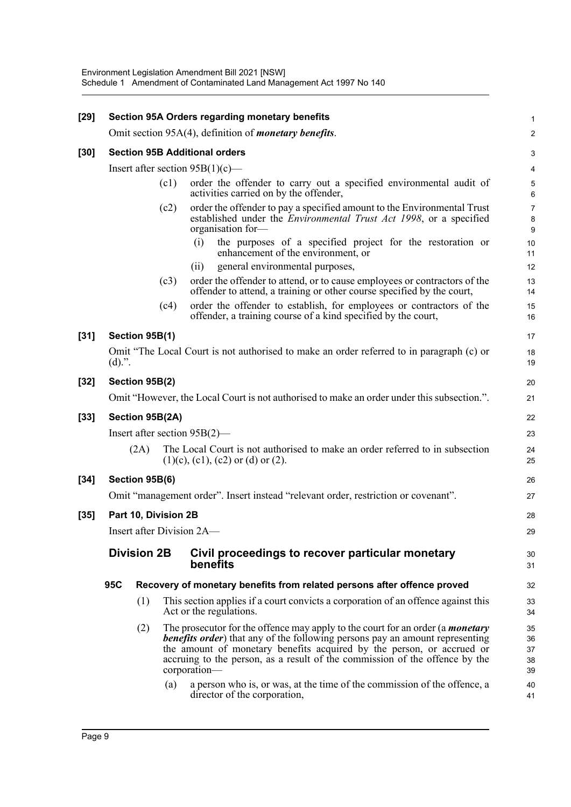| $[29]$ |           |                      |      | <b>Section 95A Orders regarding monetary benefits</b>                                                                                                                                                                                                                                                                                                                                                                     | 1                                |
|--------|-----------|----------------------|------|---------------------------------------------------------------------------------------------------------------------------------------------------------------------------------------------------------------------------------------------------------------------------------------------------------------------------------------------------------------------------------------------------------------------------|----------------------------------|
|        |           |                      |      | Omit section 95A(4), definition of <i>monetary benefits</i> .                                                                                                                                                                                                                                                                                                                                                             | $\overline{a}$                   |
| $[30]$ |           |                      |      | <b>Section 95B Additional orders</b>                                                                                                                                                                                                                                                                                                                                                                                      | 3                                |
|        |           |                      |      | Insert after section $95B(1)(c)$ —                                                                                                                                                                                                                                                                                                                                                                                        | 4                                |
|        |           |                      | (c1) | order the offender to carry out a specified environmental audit of<br>activities carried on by the offender,                                                                                                                                                                                                                                                                                                              | 5<br>6                           |
|        |           |                      | (c2) | order the offender to pay a specified amount to the Environmental Trust<br>established under the <i>Environmental Trust Act 1998</i> , or a specified<br>organisation for-                                                                                                                                                                                                                                                | 7<br>8<br>9                      |
|        |           |                      |      | the purposes of a specified project for the restoration or<br>(i)<br>enhancement of the environment, or                                                                                                                                                                                                                                                                                                                   | 10<br>11                         |
|        |           |                      |      | general environmental purposes,<br>(ii)                                                                                                                                                                                                                                                                                                                                                                                   | 12                               |
|        |           |                      | (c3) | order the offender to attend, or to cause employees or contractors of the<br>offender to attend, a training or other course specified by the court,                                                                                                                                                                                                                                                                       | 13<br>14                         |
|        |           |                      | (c4) | order the offender to establish, for employees or contractors of the<br>offender, a training course of a kind specified by the court,                                                                                                                                                                                                                                                                                     | 15<br>16                         |
| $[31]$ |           | Section 95B(1)       |      |                                                                                                                                                                                                                                                                                                                                                                                                                           | 17                               |
|        | $(d)$ .". |                      |      | Omit "The Local Court is not authorised to make an order referred to in paragraph (c) or                                                                                                                                                                                                                                                                                                                                  | 18<br>19                         |
| $[32]$ |           | Section 95B(2)       |      |                                                                                                                                                                                                                                                                                                                                                                                                                           | 20                               |
|        |           |                      |      | Omit "However, the Local Court is not authorised to make an order under this subsection.".                                                                                                                                                                                                                                                                                                                                | 21                               |
| $[33]$ |           | Section 95B(2A)      |      |                                                                                                                                                                                                                                                                                                                                                                                                                           | 22                               |
|        |           |                      |      | Insert after section $95B(2)$ —                                                                                                                                                                                                                                                                                                                                                                                           | 23                               |
|        |           | (2A)                 |      | The Local Court is not authorised to make an order referred to in subsection<br>$(1)(c)$ , $(c1)$ , $(c2)$ or $(d)$ or $(2)$ .                                                                                                                                                                                                                                                                                            | 24<br>25                         |
| $[34]$ |           | Section 95B(6)       |      |                                                                                                                                                                                                                                                                                                                                                                                                                           | 26                               |
|        |           |                      |      | Omit "management order". Insert instead "relevant order, restriction or covenant".                                                                                                                                                                                                                                                                                                                                        | 27                               |
| $[35]$ |           | Part 10, Division 2B |      |                                                                                                                                                                                                                                                                                                                                                                                                                           | 28                               |
|        |           |                      |      | Insert after Division 2A-                                                                                                                                                                                                                                                                                                                                                                                                 | 29                               |
|        |           | <b>Division 2B</b>   |      | Civil proceedings to recover particular monetary<br>benefits                                                                                                                                                                                                                                                                                                                                                              | 30<br>31                         |
|        | 95C       |                      |      | Recovery of monetary benefits from related persons after offence proved                                                                                                                                                                                                                                                                                                                                                   | 32                               |
|        |           | (1)                  |      | This section applies if a court convicts a corporation of an offence against this<br>Act or the regulations.                                                                                                                                                                                                                                                                                                              | 33<br>34                         |
|        |           | (2)                  | (a)  | The prosecutor for the offence may apply to the court for an order (a <i>monetary</i><br>benefits order) that any of the following persons pay an amount representing<br>the amount of monetary benefits acquired by the person, or accrued or<br>accruing to the person, as a result of the commission of the offence by the<br>corporation-<br>a person who is, or was, at the time of the commission of the offence, a | 35<br>36<br>37<br>38<br>39<br>40 |
|        |           |                      |      | director of the corporation,                                                                                                                                                                                                                                                                                                                                                                                              | 41                               |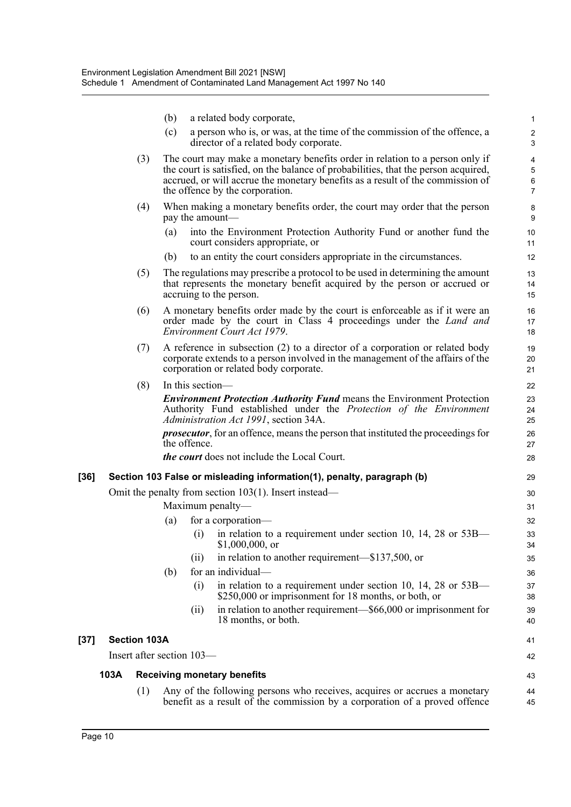| (b) a related body corporate,                                           |
|-------------------------------------------------------------------------|
| (a) a narson who is ar was at the time of the commission of the offense |

|     | 1 C J<br>a person who is, or was, at the three or the commission or the orience, a<br>director of a related body corporate.                                                                                                                                                             |
|-----|-----------------------------------------------------------------------------------------------------------------------------------------------------------------------------------------------------------------------------------------------------------------------------------------|
| (3) | The court may make a monetary benefits order in relation to a person only if<br>the court is satisfied, on the balance of probabilities, that the person acquired,<br>accrued, or will accrue the monetary benefits as a result of the commission of<br>the offence by the corporation. |
|     |                                                                                                                                                                                                                                                                                         |

- (4) When making a monetary benefits order, the court may order that the person pay the amount—
	- (a) into the Environment Protection Authority Fund or another fund the court considers appropriate, or
	- (b) to an entity the court considers appropriate in the circumstances.
- (5) The regulations may prescribe a protocol to be used in determining the amount that represents the monetary benefit acquired by the person or accrued or accruing to the person.
- (6) A monetary benefits order made by the court is enforceable as if it were an order made by the court in Class 4 proceedings under the *Land and Environment Court Act 1979*.
- (7) A reference in subsection (2) to a director of a corporation or related body corporate extends to a person involved in the management of the affairs of the corporation or related body corporate.

| (8) | In this section—                                                                                            |
|-----|-------------------------------------------------------------------------------------------------------------|
|     | <b>Environment Protection Authority Fund means the Environment Protection</b>                               |
|     | Authority Fund established under the Protection of the Environment<br>Administration Act 1991, section 34A. |
|     | <i>prosecutor</i> , for an offence, means the person that instituted the proceedings for<br>the offence.    |
|     | <i>the court</i> does not include the Local Court.                                                          |

#### **[36] Section 103 False or misleading information(1), penalty, paragraph (b)** Omit the penalty from section 103(1). Insert instead— Maximum penalty— (a) for a corporation— (i) in relation to a requirement under section 10, 14, 28 or 53B— \$1,000,000, or (ii) in relation to another requirement—\$137,500, or (b) for an individual— (i) in relation to a requirement under section 10, 14, 28 or  $53B-$ \$250,000 or imprisonment for 18 months, or both, or (ii) in relation to another requirement—\$66,000 or imprisonment for 18 months, or both. **[37] Section 103A** Insert after section 103— **103A Receiving monetary benefits** 29 30 31 32 33 34 35 36 37 38 39 40 41 42 43

(1) Any of the following persons who receives, acquires or accrues a monetary benefit as a result of the commission by a corporation of a proved offence 44 45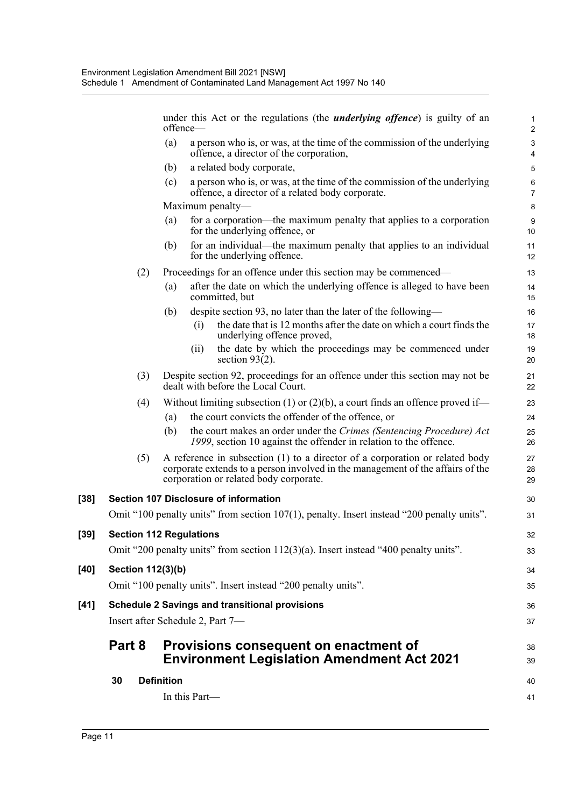|        |                                  |                   | offence-      | under this Act or the regulations (the <i>underlying offence</i> ) is guilty of an                                                                                                                       | $\mathbf{1}$<br>2            |
|--------|----------------------------------|-------------------|---------------|----------------------------------------------------------------------------------------------------------------------------------------------------------------------------------------------------------|------------------------------|
|        |                                  | (a)               |               | a person who is, or was, at the time of the commission of the underlying<br>offence, a director of the corporation,                                                                                      | $\sqrt{3}$<br>$\overline{4}$ |
|        |                                  | (b)               |               | a related body corporate,                                                                                                                                                                                | 5                            |
|        |                                  | (c)               |               | a person who is, or was, at the time of the commission of the underlying<br>offence, a director of a related body corporate.                                                                             | 6<br>$\overline{7}$          |
|        |                                  |                   |               | Maximum penalty—                                                                                                                                                                                         | 8                            |
|        |                                  | (a)               |               | for a corporation—the maximum penalty that applies to a corporation<br>for the underlying offence, or                                                                                                    | $\boldsymbol{9}$<br>10       |
|        |                                  | (b)               |               | for an individual—the maximum penalty that applies to an individual<br>for the underlying offence.                                                                                                       | 11<br>12                     |
|        | (2)                              |                   |               | Proceedings for an offence under this section may be commenced—                                                                                                                                          | 13                           |
|        |                                  | (a)               |               | after the date on which the underlying offence is alleged to have been<br>committed, but                                                                                                                 | 14<br>15                     |
|        |                                  | (b)               |               | despite section 93, no later than the later of the following—                                                                                                                                            | 16                           |
|        |                                  |                   | (i)           | the date that is 12 months after the date on which a court finds the<br>underlying offence proved,                                                                                                       | 17<br>18                     |
|        |                                  |                   | (i)           | the date by which the proceedings may be commenced under<br>section $93(2)$ .                                                                                                                            | 19<br>20                     |
|        | (3)                              |                   |               | Despite section 92, proceedings for an offence under this section may not be<br>dealt with before the Local Court.                                                                                       | 21<br>22                     |
|        | (4)                              |                   |               | Without limiting subsection (1) or (2)(b), a court finds an offence proved if—                                                                                                                           | 23                           |
|        |                                  | (a)               |               | the court convicts the offender of the offence, or                                                                                                                                                       | 24                           |
|        |                                  | (b)               |               | the court makes an order under the Crimes (Sentencing Procedure) Act<br>1999, section 10 against the offender in relation to the offence.                                                                | 25<br>26                     |
|        | (5)                              |                   |               | A reference in subsection (1) to a director of a corporation or related body<br>corporate extends to a person involved in the management of the affairs of the<br>corporation or related body corporate. | 27<br>28<br>29               |
| $[38]$ |                                  |                   |               | <b>Section 107 Disclosure of information</b>                                                                                                                                                             | 30                           |
|        |                                  |                   |               | Omit "100 penalty units" from section 107(1), penalty. Insert instead "200 penalty units".                                                                                                               | 31                           |
| $[39]$ | <b>Section 112 Regulations</b>   |                   |               |                                                                                                                                                                                                          | 32                           |
|        |                                  |                   |               | Omit "200 penalty units" from section 112(3)(a). Insert instead "400 penalty units".                                                                                                                     | 33                           |
| [40]   | Section 112(3)(b)                |                   |               |                                                                                                                                                                                                          | 34                           |
|        |                                  |                   |               | Omit "100 penalty units". Insert instead "200 penalty units".                                                                                                                                            | 35                           |
| [41]   |                                  |                   |               | <b>Schedule 2 Savings and transitional provisions</b>                                                                                                                                                    | 36                           |
|        | Insert after Schedule 2, Part 7- |                   |               |                                                                                                                                                                                                          | 37                           |
|        | Part 8                           |                   |               | Provisions consequent on enactment of                                                                                                                                                                    | 38                           |
|        |                                  |                   |               | <b>Environment Legislation Amendment Act 2021</b>                                                                                                                                                        | 39                           |
|        | 30                               | <b>Definition</b> |               |                                                                                                                                                                                                          | 40                           |
|        |                                  |                   | In this Part- |                                                                                                                                                                                                          | 41                           |

[39]

[40]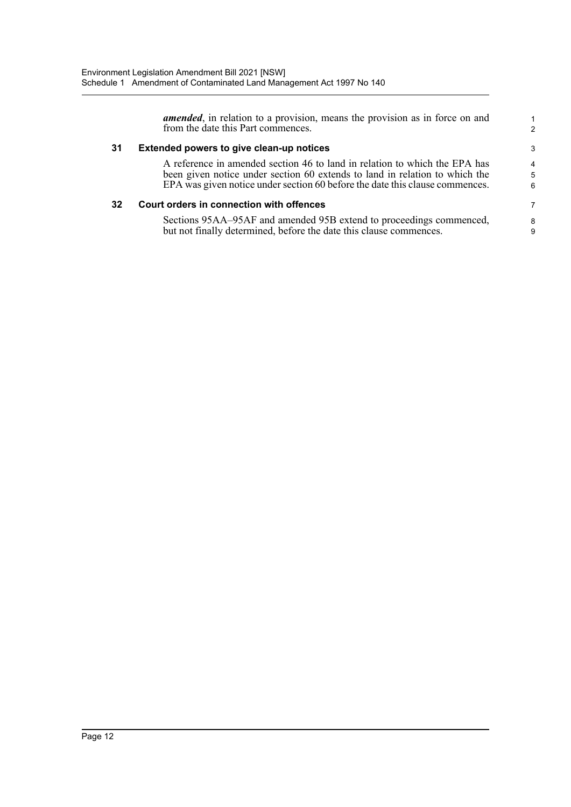|    | <i>amended</i> , in relation to a provision, means the provision as in force on and<br>from the date this Part commences.                                                                                                                 | 2           |
|----|-------------------------------------------------------------------------------------------------------------------------------------------------------------------------------------------------------------------------------------------|-------------|
| 31 | Extended powers to give clean-up notices                                                                                                                                                                                                  | 3           |
|    | A reference in amended section 46 to land in relation to which the EPA has<br>been given notice under section 60 extends to land in relation to which the<br>EPA was given notice under section 60 before the date this clause commences. | 4<br>5<br>6 |
| 32 | Court orders in connection with offences                                                                                                                                                                                                  | 7           |
|    | Sections 95AA–95AF and amended 95B extend to proceedings commenced,<br>but not finally determined, before the date this clause commences.                                                                                                 | 8<br>9      |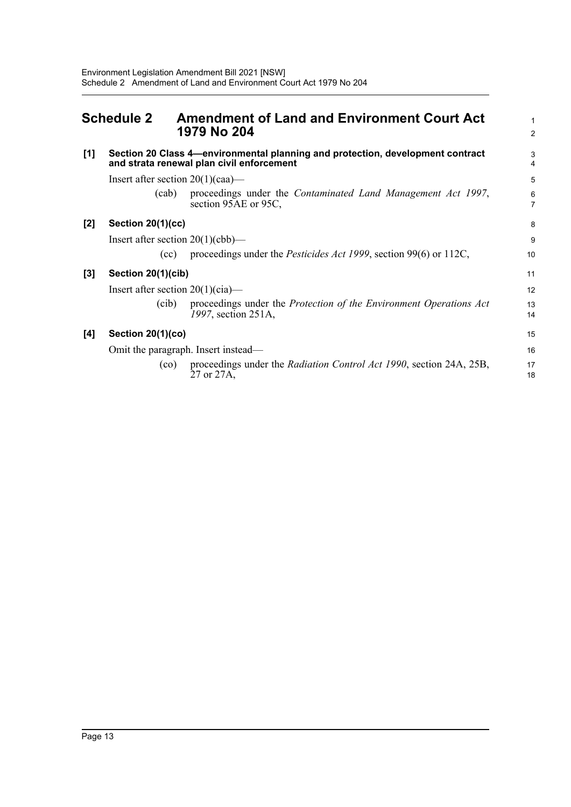<span id="page-27-0"></span>

|       | <b>Schedule 2</b>                   | <b>Amendment of Land and Environment Court Act</b><br>1979 No 204                                                           | 1<br>$\overline{2}$ |
|-------|-------------------------------------|-----------------------------------------------------------------------------------------------------------------------------|---------------------|
| [1]   |                                     | Section 20 Class 4-environmental planning and protection, development contract<br>and strata renewal plan civil enforcement | 3<br>$\overline{4}$ |
|       | Insert after section $20(1)(caa)$ — |                                                                                                                             | 5                   |
|       | (cab)                               | proceedings under the <i>Contaminated Land Management Act 1997</i> ,<br>section 95AE or 95C,                                | 6<br>$\overline{7}$ |
| $[2]$ | <b>Section 20(1)(cc)</b>            |                                                                                                                             | 8                   |
|       | Insert after section $20(1)(cbb)$ — |                                                                                                                             | 9                   |
|       | (cc)                                | proceedings under the <i>Pesticides Act 1999</i> , section 99(6) or 112C,                                                   | 10                  |
| $[3]$ | Section 20(1)(cib)                  |                                                                                                                             | 11                  |
|       | Insert after section $20(1)(cia)$ — |                                                                                                                             | 12                  |
|       | (cib)                               | proceedings under the Protection of the Environment Operations Act<br>1997, section 251A,                                   | 13<br>14            |
| [4]   | Section 20(1)(co)                   |                                                                                                                             | 15                  |
|       |                                     | Omit the paragraph. Insert instead—                                                                                         | 16                  |
|       | (c <sub>o</sub> )                   | proceedings under the <i>Radiation Control Act 1990</i> , section 24A, 25B,<br>27 or 27A,                                   | 17<br>18            |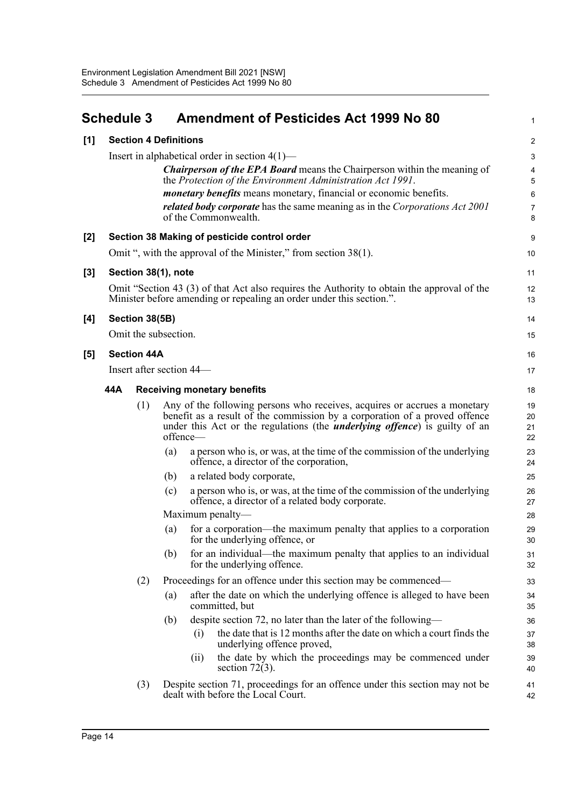<span id="page-28-0"></span>

|                                     | <b>Schedule 3</b>                                                                                                                                                                                                                                                             |                                    |     |                          | <b>Amendment of Pesticides Act 1999 No 80</b>                                                                                                                                                                                                 | 1                    |  |
|-------------------------------------|-------------------------------------------------------------------------------------------------------------------------------------------------------------------------------------------------------------------------------------------------------------------------------|------------------------------------|-----|--------------------------|-----------------------------------------------------------------------------------------------------------------------------------------------------------------------------------------------------------------------------------------------|----------------------|--|
| <b>Section 4 Definitions</b><br>[1] |                                                                                                                                                                                                                                                                               |                                    |     |                          |                                                                                                                                                                                                                                               |                      |  |
|                                     | Insert in alphabetical order in section $4(1)$ —<br><b>Chairperson of the EPA Board</b> means the Chairperson within the meaning of<br>the Protection of the Environment Administration Act 1991.<br><i>monetary benefits</i> means monetary, financial or economic benefits. |                                    |     |                          |                                                                                                                                                                                                                                               |                      |  |
|                                     |                                                                                                                                                                                                                                                                               |                                    |     |                          |                                                                                                                                                                                                                                               |                      |  |
|                                     |                                                                                                                                                                                                                                                                               |                                    |     |                          |                                                                                                                                                                                                                                               |                      |  |
|                                     |                                                                                                                                                                                                                                                                               |                                    |     |                          | related body corporate has the same meaning as in the Corporations Act 2001<br>of the Commonwealth.                                                                                                                                           | 7<br>8               |  |
| $[2]$                               | Section 38 Making of pesticide control order                                                                                                                                                                                                                                  |                                    |     |                          |                                                                                                                                                                                                                                               |                      |  |
|                                     |                                                                                                                                                                                                                                                                               |                                    |     |                          | Omit ", with the approval of the Minister," from section 38(1).                                                                                                                                                                               | 10                   |  |
| $[3]$                               |                                                                                                                                                                                                                                                                               | Section 38(1), note                |     |                          |                                                                                                                                                                                                                                               | 11                   |  |
|                                     |                                                                                                                                                                                                                                                                               |                                    |     |                          | Omit "Section 43 (3) of that Act also requires the Authority to obtain the approval of the<br>Minister before amending or repealing an order under this section.".                                                                            | 12<br>13             |  |
| [4]                                 |                                                                                                                                                                                                                                                                               | Section 38(5B)                     |     |                          |                                                                                                                                                                                                                                               | 14                   |  |
|                                     |                                                                                                                                                                                                                                                                               | Omit the subsection.               |     |                          |                                                                                                                                                                                                                                               | 15                   |  |
| [5]                                 |                                                                                                                                                                                                                                                                               | <b>Section 44A</b>                 |     |                          |                                                                                                                                                                                                                                               | 16                   |  |
|                                     |                                                                                                                                                                                                                                                                               |                                    |     | Insert after section 44— |                                                                                                                                                                                                                                               | 17                   |  |
|                                     | 44A                                                                                                                                                                                                                                                                           | <b>Receiving monetary benefits</b> | 18  |                          |                                                                                                                                                                                                                                               |                      |  |
|                                     |                                                                                                                                                                                                                                                                               | (1)                                |     | offence-                 | Any of the following persons who receives, acquires or accrues a monetary<br>benefit as a result of the commission by a corporation of a proved offence<br>under this Act or the regulations (the <i>underlying offence</i> ) is guilty of an | 19<br>20<br>21<br>22 |  |
|                                     |                                                                                                                                                                                                                                                                               |                                    | (a) |                          | a person who is, or was, at the time of the commission of the underlying<br>offence, a director of the corporation,                                                                                                                           | 23<br>24             |  |
|                                     |                                                                                                                                                                                                                                                                               |                                    | (b) |                          | a related body corporate,                                                                                                                                                                                                                     | 25                   |  |
|                                     |                                                                                                                                                                                                                                                                               |                                    | (c) |                          | a person who is, or was, at the time of the commission of the underlying<br>offence, a director of a related body corporate.                                                                                                                  | 26<br>27             |  |
|                                     |                                                                                                                                                                                                                                                                               |                                    |     | Maximum penalty—         |                                                                                                                                                                                                                                               | 28                   |  |
|                                     |                                                                                                                                                                                                                                                                               |                                    | (a) |                          | for a corporation—the maximum penalty that applies to a corporation<br>for the underlying offence, or                                                                                                                                         | 29<br>30             |  |
|                                     |                                                                                                                                                                                                                                                                               |                                    | (b) |                          | for an individual—the maximum penalty that applies to an individual<br>for the underlying offence.                                                                                                                                            | 31<br>32             |  |
|                                     |                                                                                                                                                                                                                                                                               | (2)                                |     |                          | Proceedings for an offence under this section may be commenced—                                                                                                                                                                               | 33                   |  |
|                                     |                                                                                                                                                                                                                                                                               |                                    | (a) |                          | after the date on which the underlying offence is alleged to have been<br>committed, but                                                                                                                                                      | 34<br>35             |  |
|                                     |                                                                                                                                                                                                                                                                               |                                    | (b) |                          | despite section 72, no later than the later of the following—                                                                                                                                                                                 | 36                   |  |
|                                     |                                                                                                                                                                                                                                                                               |                                    |     | (i)                      | the date that is 12 months after the date on which a court finds the<br>underlying offence proved,                                                                                                                                            | 37<br>38             |  |
|                                     |                                                                                                                                                                                                                                                                               |                                    |     | (i)                      | the date by which the proceedings may be commenced under                                                                                                                                                                                      | 39                   |  |
|                                     |                                                                                                                                                                                                                                                                               |                                    |     |                          | section $72(3)$ .                                                                                                                                                                                                                             | 40                   |  |
|                                     |                                                                                                                                                                                                                                                                               | (3)                                |     |                          | Despite section 71, proceedings for an offence under this section may not be<br>dealt with before the Local Court.                                                                                                                            | 41<br>42             |  |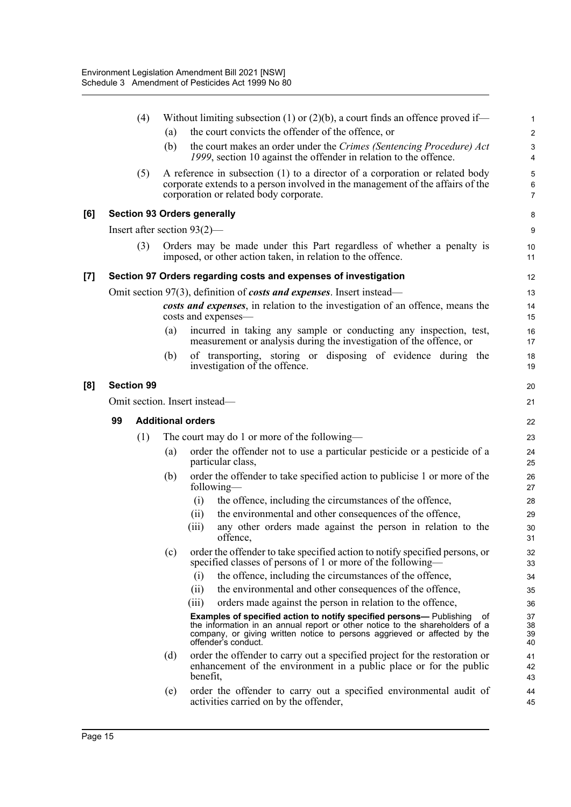|     |    | (4)               |     | Without limiting subsection (1) or $(2)(b)$ , a court finds an offence proved if—                                                                                                                                                                              | 1                       |  |  |  |
|-----|----|-------------------|-----|----------------------------------------------------------------------------------------------------------------------------------------------------------------------------------------------------------------------------------------------------------------|-------------------------|--|--|--|
|     |    |                   | (a) | the court convicts the offender of the offence, or                                                                                                                                                                                                             | $\overline{\mathbf{c}}$ |  |  |  |
|     |    |                   | (b) | the court makes an order under the Crimes (Sentencing Procedure) Act<br>1999, section 10 against the offender in relation to the offence.                                                                                                                      | 3<br>4                  |  |  |  |
|     |    | (5)               |     | A reference in subsection (1) to a director of a corporation or related body<br>corporate extends to a person involved in the management of the affairs of the<br>corporation or related body corporate.                                                       | 5<br>6<br>7             |  |  |  |
| [6] |    |                   |     | <b>Section 93 Orders generally</b>                                                                                                                                                                                                                             | 8                       |  |  |  |
|     |    |                   |     | Insert after section $93(2)$ —                                                                                                                                                                                                                                 | 9                       |  |  |  |
|     |    | (3)               |     | Orders may be made under this Part regardless of whether a penalty is<br>imposed, or other action taken, in relation to the offence.                                                                                                                           | 10<br>11                |  |  |  |
| [7] |    |                   |     | Section 97 Orders regarding costs and expenses of investigation                                                                                                                                                                                                | 12                      |  |  |  |
|     |    |                   |     | Omit section 97(3), definition of costs and expenses. Insert instead—                                                                                                                                                                                          | 13                      |  |  |  |
|     |    |                   |     | costs and expenses, in relation to the investigation of an offence, means the<br>costs and expenses—                                                                                                                                                           |                         |  |  |  |
|     |    |                   | (a) | incurred in taking any sample or conducting any inspection, test,<br>measurement or analysis during the investigation of the offence, or                                                                                                                       | 16<br>17                |  |  |  |
|     |    |                   | (b) | of transporting, storing or disposing of evidence during the<br>investigation of the offence.                                                                                                                                                                  | 18<br>19                |  |  |  |
| [8] |    | <b>Section 99</b> |     |                                                                                                                                                                                                                                                                | 20                      |  |  |  |
|     |    |                   |     | Omit section. Insert instead-                                                                                                                                                                                                                                  | 21                      |  |  |  |
|     | 99 |                   |     | <b>Additional orders</b>                                                                                                                                                                                                                                       |                         |  |  |  |
|     |    |                   |     |                                                                                                                                                                                                                                                                |                         |  |  |  |
|     |    |                   |     |                                                                                                                                                                                                                                                                | 22                      |  |  |  |
|     |    | (1)               | (a) | The court may do 1 or more of the following—<br>order the offender not to use a particular pesticide or a pesticide of a<br>particular class,                                                                                                                  | 23<br>24<br>25          |  |  |  |
|     |    |                   | (b) | order the offender to take specified action to publicise 1 or more of the<br>following-                                                                                                                                                                        | 26<br>27                |  |  |  |
|     |    |                   |     | the offence, including the circumstances of the offence,<br>(i)                                                                                                                                                                                                | 28                      |  |  |  |
|     |    |                   |     | the environmental and other consequences of the offence,<br>(ii)                                                                                                                                                                                               | 29                      |  |  |  |
|     |    |                   |     | any other orders made against the person in relation to the<br>(iii)<br>offence,                                                                                                                                                                               | 30<br>31                |  |  |  |
|     |    |                   | (c) | order the offender to take specified action to notify specified persons, or<br>specified classes of persons of 1 or more of the following—                                                                                                                     | 32<br>33                |  |  |  |
|     |    |                   |     | the offence, including the circumstances of the offence,<br>(i)                                                                                                                                                                                                | 34                      |  |  |  |
|     |    |                   |     | (ii)<br>the environmental and other consequences of the offence,                                                                                                                                                                                               | 35                      |  |  |  |
|     |    |                   |     | orders made against the person in relation to the offence,<br>(iii)                                                                                                                                                                                            | 36                      |  |  |  |
|     |    |                   |     | Examples of specified action to notify specified persons- Publishing<br>оf<br>the information in an annual report or other notice to the shareholders of a<br>company, or giving written notice to persons aggrieved or affected by the<br>offender's conduct. | 37<br>38<br>39<br>40    |  |  |  |
|     |    |                   | (d) | order the offender to carry out a specified project for the restoration or<br>enhancement of the environment in a public place or for the public<br>benefit,                                                                                                   | 41<br>42<br>43          |  |  |  |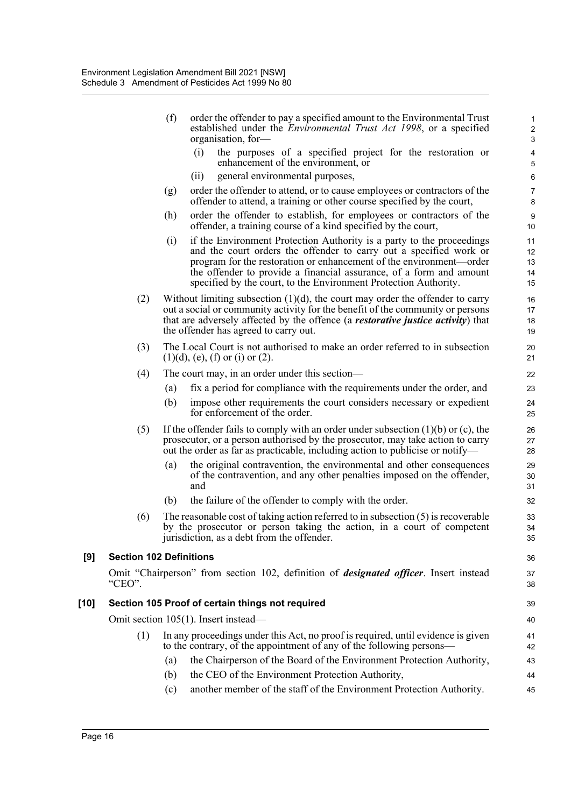|      |                                | (f) | order the offender to pay a specified amount to the Environmental Trust<br>established under the <i>Environmental Trust Act 1998</i> , or a specified<br>organisation, for-                                                                                                                                                                                   | 1<br>$\sqrt{2}$<br>3       |
|------|--------------------------------|-----|---------------------------------------------------------------------------------------------------------------------------------------------------------------------------------------------------------------------------------------------------------------------------------------------------------------------------------------------------------------|----------------------------|
|      |                                |     | (i)<br>the purposes of a specified project for the restoration or<br>enhancement of the environment, or                                                                                                                                                                                                                                                       | 4<br>$\sqrt{5}$            |
|      |                                |     | general environmental purposes,<br>(i)                                                                                                                                                                                                                                                                                                                        | $\,6\,$                    |
|      |                                | (g) | order the offender to attend, or to cause employees or contractors of the<br>offender to attend, a training or other course specified by the court,                                                                                                                                                                                                           | $\overline{7}$<br>8        |
|      |                                | (h) | order the offender to establish, for employees or contractors of the<br>offender, a training course of a kind specified by the court,                                                                                                                                                                                                                         | 9<br>10                    |
|      |                                | (i) | if the Environment Protection Authority is a party to the proceedings<br>and the court orders the offender to carry out a specified work or<br>program for the restoration or enhancement of the environment—order<br>the offender to provide a financial assurance, of a form and amount<br>specified by the court, to the Environment Protection Authority. | 11<br>12<br>13<br>14<br>15 |
|      | (2)                            |     | Without limiting subsection $(1)(d)$ , the court may order the offender to carry<br>out a social or community activity for the benefit of the community or persons<br>that are adversely affected by the offence (a <i>restorative justice activity</i> ) that<br>the offender has agreed to carry out.                                                       | 16<br>17<br>18<br>19       |
|      | (3)                            |     | The Local Court is not authorised to make an order referred to in subsection<br>$(1)(d)$ , (e), (f) or (i) or (2).                                                                                                                                                                                                                                            | 20<br>21                   |
|      | (4)                            |     | The court may, in an order under this section—                                                                                                                                                                                                                                                                                                                | 22                         |
|      |                                | (a) | fix a period for compliance with the requirements under the order, and                                                                                                                                                                                                                                                                                        | 23                         |
|      |                                | (b) | impose other requirements the court considers necessary or expedient<br>for enforcement of the order.                                                                                                                                                                                                                                                         | 24<br>25                   |
|      | (5)                            |     | If the offender fails to comply with an order under subsection $(1)(b)$ or $(c)$ , the<br>prosecutor, or a person authorised by the prosecutor, may take action to carry<br>out the order as far as practicable, including action to publicise or notify—                                                                                                     | 26<br>27<br>28             |
|      |                                | (a) | the original contravention, the environmental and other consequences<br>of the contravention, and any other penalties imposed on the offender,<br>and                                                                                                                                                                                                         | 29<br>30<br>31             |
|      |                                | (b) | the failure of the offender to comply with the order.                                                                                                                                                                                                                                                                                                         | 32                         |
|      | (6)                            |     | The reasonable cost of taking action referred to in subsection $(5)$ is recoverable<br>by the prosecutor or person taking the action, in a court of competent<br>jurisdiction, as a debt from the offender.                                                                                                                                                   | 33<br>34<br>35             |
| [9]  | <b>Section 102 Definitions</b> |     |                                                                                                                                                                                                                                                                                                                                                               | 36                         |
|      | "CEO".                         |     | Omit "Chairperson" from section 102, definition of <i>designated officer</i> . Insert instead                                                                                                                                                                                                                                                                 | 37<br>38                   |
| [10] |                                |     | Section 105 Proof of certain things not required                                                                                                                                                                                                                                                                                                              | 39                         |
|      |                                |     | Omit section 105(1). Insert instead—                                                                                                                                                                                                                                                                                                                          | 40                         |
|      | (1)                            |     | In any proceedings under this Act, no proof is required, until evidence is given<br>to the contrary, of the appointment of any of the following persons—                                                                                                                                                                                                      | 41<br>42                   |
|      |                                | (a) | the Chairperson of the Board of the Environment Protection Authority,                                                                                                                                                                                                                                                                                         | 43                         |
|      |                                | (b) | the CEO of the Environment Protection Authority,                                                                                                                                                                                                                                                                                                              | 44                         |
|      |                                | (c) | another member of the staff of the Environment Protection Authority.                                                                                                                                                                                                                                                                                          | 45                         |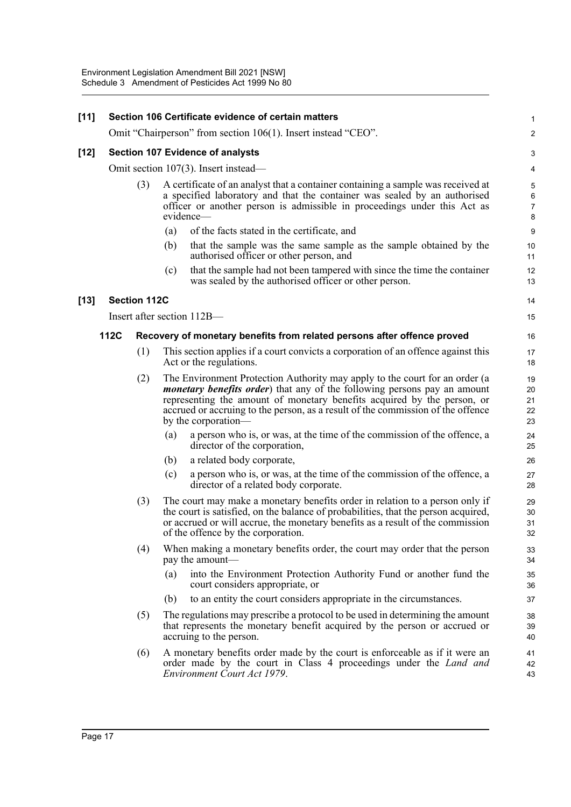| $[11]$ | Section 106 Certificate evidence of certain matters |                                         |     |                                                                                                                                                                                                                                                                                                                                                      |                                     |  |  |
|--------|-----------------------------------------------------|-----------------------------------------|-----|------------------------------------------------------------------------------------------------------------------------------------------------------------------------------------------------------------------------------------------------------------------------------------------------------------------------------------------------------|-------------------------------------|--|--|
|        |                                                     |                                         |     | Omit "Chairperson" from section 106(1). Insert instead "CEO".                                                                                                                                                                                                                                                                                        | 2                                   |  |  |
| $[12]$ |                                                     | <b>Section 107 Evidence of analysts</b> |     |                                                                                                                                                                                                                                                                                                                                                      |                                     |  |  |
|        |                                                     |                                         |     | Omit section 107(3). Insert instead—                                                                                                                                                                                                                                                                                                                 | 4                                   |  |  |
|        |                                                     | (3)                                     |     | A certificate of an analyst that a container containing a sample was received at<br>a specified laboratory and that the container was sealed by an authorised<br>officer or another person is admissible in proceedings under this Act as<br>evidence—                                                                                               | 5<br>$\,6\,$<br>$\overline{7}$<br>8 |  |  |
|        |                                                     |                                         | (a) | of the facts stated in the certificate, and                                                                                                                                                                                                                                                                                                          | 9                                   |  |  |
|        |                                                     |                                         | (b) | that the sample was the same sample as the sample obtained by the<br>authorised officer or other person, and                                                                                                                                                                                                                                         | 10<br>11                            |  |  |
|        |                                                     |                                         | (c) | that the sample had not been tampered with since the time the container<br>was sealed by the authorised officer or other person.                                                                                                                                                                                                                     | 12<br>13                            |  |  |
| $[13]$ |                                                     | <b>Section 112C</b>                     |     |                                                                                                                                                                                                                                                                                                                                                      | 14                                  |  |  |
|        |                                                     |                                         |     | Insert after section 112B—                                                                                                                                                                                                                                                                                                                           | 15                                  |  |  |
|        | <b>112C</b>                                         |                                         |     | Recovery of monetary benefits from related persons after offence proved                                                                                                                                                                                                                                                                              | 16                                  |  |  |
|        |                                                     | (1)                                     |     | This section applies if a court convicts a corporation of an offence against this<br>Act or the regulations.                                                                                                                                                                                                                                         | 17<br>18                            |  |  |
|        |                                                     | (2)                                     |     | The Environment Protection Authority may apply to the court for an order (a<br><i>monetary benefits order</i> ) that any of the following persons pay an amount<br>representing the amount of monetary benefits acquired by the person, or<br>accrued or accruing to the person, as a result of the commission of the offence<br>by the corporation- | 19<br>20<br>21<br>22<br>23          |  |  |
|        |                                                     |                                         | (a) | a person who is, or was, at the time of the commission of the offence, a<br>director of the corporation,                                                                                                                                                                                                                                             | 24<br>25                            |  |  |
|        |                                                     |                                         | (b) | a related body corporate,                                                                                                                                                                                                                                                                                                                            | 26                                  |  |  |
|        |                                                     |                                         | (c) | a person who is, or was, at the time of the commission of the offence, a<br>director of a related body corporate.                                                                                                                                                                                                                                    | 27<br>28                            |  |  |
|        |                                                     | (3)                                     |     | The court may make a monetary benefits order in relation to a person only if<br>the court is satisfied, on the balance of probabilities, that the person acquired,<br>or accrued or will accrue, the monetary benefits as a result of the commission<br>of the offence by the corporation.                                                           | 29<br>30<br>31<br>32                |  |  |
|        |                                                     | (4)                                     |     | When making a monetary benefits order, the court may order that the person<br>pay the amount—                                                                                                                                                                                                                                                        | 33<br>34                            |  |  |
|        |                                                     |                                         | (a) | into the Environment Protection Authority Fund or another fund the<br>court considers appropriate, or                                                                                                                                                                                                                                                | 35<br>36                            |  |  |
|        |                                                     |                                         | (b) | to an entity the court considers appropriate in the circumstances.                                                                                                                                                                                                                                                                                   | 37                                  |  |  |
|        |                                                     | (5)                                     |     | The regulations may prescribe a protocol to be used in determining the amount<br>that represents the monetary benefit acquired by the person or accrued or<br>accruing to the person.                                                                                                                                                                | 38<br>39<br>40                      |  |  |
|        |                                                     | (6)                                     |     | A monetary benefits order made by the court is enforceable as if it were an<br>order made by the court in Class 4 proceedings under the Land and<br>Environment Court Act 1979.                                                                                                                                                                      | 41<br>42<br>43                      |  |  |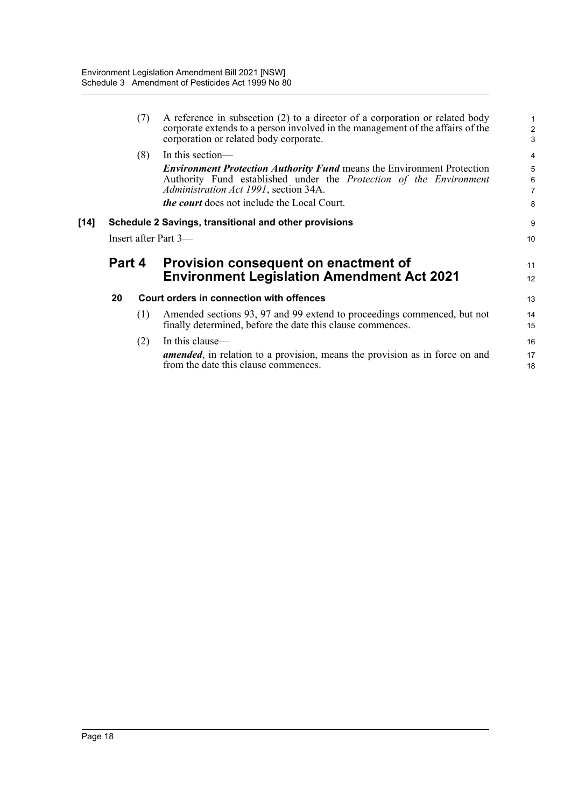|      |                      | (7) | A reference in subsection (2) to a director of a corporation or related body<br>corporate extends to a person involved in the management of the affairs of the<br>corporation or related body corporate. | $\mathbf 1$<br>$\overline{c}$<br>$\overline{3}$ |  |  |  |  |
|------|----------------------|-----|----------------------------------------------------------------------------------------------------------------------------------------------------------------------------------------------------------|-------------------------------------------------|--|--|--|--|
|      |                      | (8) | In this section—                                                                                                                                                                                         | $\overline{\mathbf{4}}$                         |  |  |  |  |
|      |                      |     | <b>Environment Protection Authority Fund means the Environment Protection</b><br>Authority Fund established under the Protection of the Environment<br>Administration Act 1991, section 34A.             | 5<br>6<br>$\overline{7}$                        |  |  |  |  |
|      |                      |     | <i>the court</i> does not include the Local Court.                                                                                                                                                       | 8                                               |  |  |  |  |
| [14] |                      |     | Schedule 2 Savings, transitional and other provisions                                                                                                                                                    | 9                                               |  |  |  |  |
|      | Insert after Part 3— |     |                                                                                                                                                                                                          |                                                 |  |  |  |  |
|      |                      |     |                                                                                                                                                                                                          |                                                 |  |  |  |  |
|      | Part 4               |     | Provision consequent on enactment of<br><b>Environment Legislation Amendment Act 2021</b>                                                                                                                | 11<br>12                                        |  |  |  |  |
|      | 20                   |     | Court orders in connection with offences                                                                                                                                                                 | 13                                              |  |  |  |  |
|      |                      | (1) | Amended sections 93, 97 and 99 extend to proceedings commenced, but not<br>finally determined, before the date this clause commences.                                                                    | 14<br>15                                        |  |  |  |  |
|      |                      | (2) | In this clause—<br>amended, in relation to a provision, means the provision as in force on and<br>from the date this clause commences.                                                                   | 16<br>17<br>18                                  |  |  |  |  |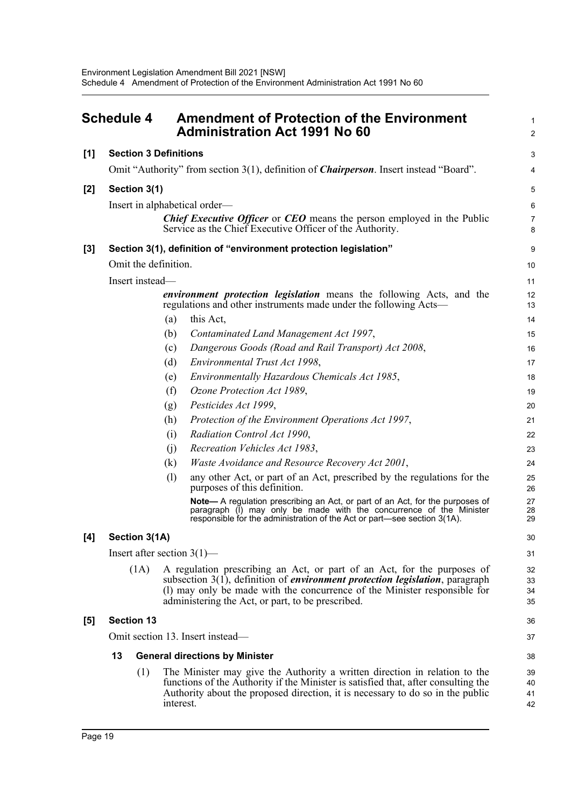<span id="page-33-0"></span>

|       | <b>Schedule 4</b>            | <b>Amendment of Protection of the Environment</b><br><b>Administration Act 1991 No 60</b>                                                                                                                                                                                                            | $\mathbf{1}$<br>$\overline{2}$ |  |  |  |
|-------|------------------------------|------------------------------------------------------------------------------------------------------------------------------------------------------------------------------------------------------------------------------------------------------------------------------------------------------|--------------------------------|--|--|--|
| $[1]$ | <b>Section 3 Definitions</b> |                                                                                                                                                                                                                                                                                                      | 3                              |  |  |  |
|       |                              | Omit "Authority" from section 3(1), definition of <i>Chairperson</i> . Insert instead "Board".                                                                                                                                                                                                       | 4                              |  |  |  |
| $[2]$ | Section 3(1)                 |                                                                                                                                                                                                                                                                                                      |                                |  |  |  |
|       |                              | Insert in alphabetical order-                                                                                                                                                                                                                                                                        | 5<br>$\,6\,$                   |  |  |  |
|       |                              | <b>Chief Executive Officer</b> or <b>CEO</b> means the person employed in the Public<br>Service as the Chief Executive Officer of the Authority.                                                                                                                                                     | $\overline{7}$<br>8            |  |  |  |
| $[3]$ |                              | Section 3(1), definition of "environment protection legislation"                                                                                                                                                                                                                                     | 9                              |  |  |  |
|       | Omit the definition.         |                                                                                                                                                                                                                                                                                                      | 10                             |  |  |  |
|       | Insert instead-              |                                                                                                                                                                                                                                                                                                      | 11                             |  |  |  |
|       |                              | <i>environment protection legislation</i> means the following Acts, and the<br>regulations and other instruments made under the following Acts—                                                                                                                                                      | 12<br>13                       |  |  |  |
|       |                              | this Act,<br>(a)                                                                                                                                                                                                                                                                                     | 14                             |  |  |  |
|       |                              | Contaminated Land Management Act 1997,<br>(b)                                                                                                                                                                                                                                                        | 15                             |  |  |  |
|       |                              | Dangerous Goods (Road and Rail Transport) Act 2008,<br>(c)                                                                                                                                                                                                                                           | 16                             |  |  |  |
|       |                              | (d)<br>Environmental Trust Act 1998,                                                                                                                                                                                                                                                                 | 17                             |  |  |  |
|       |                              | Environmentally Hazardous Chemicals Act 1985,<br>(e)                                                                                                                                                                                                                                                 | 18                             |  |  |  |
|       |                              | (f)<br>Ozone Protection Act 1989,                                                                                                                                                                                                                                                                    | 19                             |  |  |  |
|       |                              | Pesticides Act 1999,<br>(g)                                                                                                                                                                                                                                                                          | 20                             |  |  |  |
|       |                              | Protection of the Environment Operations Act 1997,<br>(h)                                                                                                                                                                                                                                            | 21                             |  |  |  |
|       |                              | Radiation Control Act 1990,<br>(i)<br>Recreation Vehicles Act 1983,                                                                                                                                                                                                                                  | 22                             |  |  |  |
|       |                              | (i)<br>(k)<br>Waste Avoidance and Resource Recovery Act 2001,                                                                                                                                                                                                                                        | 23<br>24                       |  |  |  |
|       |                              | (1)<br>any other Act, or part of an Act, prescribed by the regulations for the                                                                                                                                                                                                                       | 25                             |  |  |  |
|       |                              | purposes of this definition.                                                                                                                                                                                                                                                                         | 26                             |  |  |  |
|       |                              | Note-A regulation prescribing an Act, or part of an Act, for the purposes of<br>paragraph (I) may only be made with the concurrence of the Minister<br>responsible for the administration of the Act or part—see section 3(1A).                                                                      | 27<br>28<br>29                 |  |  |  |
| [4]   | Section 3(1A)                |                                                                                                                                                                                                                                                                                                      |                                |  |  |  |
|       |                              | Insert after section $3(1)$ —                                                                                                                                                                                                                                                                        | 31                             |  |  |  |
|       | (1A)                         | A regulation prescribing an Act, or part of an Act, for the purposes of<br>subsection $3(1)$ , definition of <i>environment protection legislation</i> , paragraph<br>(1) may only be made with the concurrence of the Minister responsible for<br>administering the Act, or part, to be prescribed. | 32<br>33<br>34<br>35           |  |  |  |
| [5]   | <b>Section 13</b>            |                                                                                                                                                                                                                                                                                                      | 36                             |  |  |  |
|       |                              | Omit section 13. Insert instead—                                                                                                                                                                                                                                                                     | 37                             |  |  |  |
|       | 13                           | <b>General directions by Minister</b>                                                                                                                                                                                                                                                                | 38                             |  |  |  |
|       | (1)                          | The Minister may give the Authority a written direction in relation to the                                                                                                                                                                                                                           | 39                             |  |  |  |
|       |                              | functions of the Authority if the Minister is satisfied that, after consulting the<br>Authority about the proposed direction, it is necessary to do so in the public<br>interest.                                                                                                                    | 40<br>41<br>42                 |  |  |  |
|       |                              |                                                                                                                                                                                                                                                                                                      |                                |  |  |  |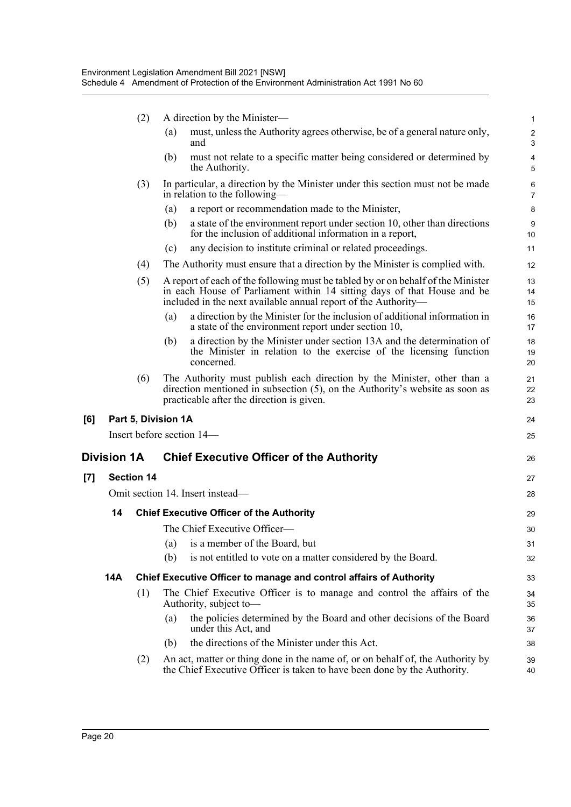|     |             | (2)               | A direction by the Minister-                                                                                                                                                                                                  | $\mathbf{1}$                 |
|-----|-------------|-------------------|-------------------------------------------------------------------------------------------------------------------------------------------------------------------------------------------------------------------------------|------------------------------|
|     |             |                   | must, unless the Authority agrees otherwise, be of a general nature only,<br>(a)<br>and                                                                                                                                       | $\sqrt{2}$<br>3              |
|     |             |                   | must not relate to a specific matter being considered or determined by<br>(b)<br>the Authority.                                                                                                                               | $\overline{\mathbf{4}}$<br>5 |
|     |             | (3)               | In particular, a direction by the Minister under this section must not be made<br>in relation to the following—                                                                                                               | 6<br>$\overline{7}$          |
|     |             |                   | a report or recommendation made to the Minister,<br>(a)                                                                                                                                                                       | 8                            |
|     |             |                   | a state of the environment report under section 10, other than directions<br>(b)<br>for the inclusion of additional information in a report,                                                                                  | 9<br>10                      |
|     |             |                   | any decision to institute criminal or related proceedings.<br>(c)                                                                                                                                                             | 11                           |
|     |             | (4)               | The Authority must ensure that a direction by the Minister is complied with.                                                                                                                                                  | 12                           |
|     |             | (5)               | A report of each of the following must be tabled by or on behalf of the Minister<br>in each House of Parliament within 14 sitting days of that House and be<br>included in the next available annual report of the Authority- | 13<br>14<br>15               |
|     |             |                   | a direction by the Minister for the inclusion of additional information in<br>(a)<br>a state of the environment report under section 10,                                                                                      | 16<br>17                     |
|     |             |                   | a direction by the Minister under section 13A and the determination of<br>(b)<br>the Minister in relation to the exercise of the licensing function<br>concerned.                                                             | 18<br>19<br>20               |
|     |             | (6)               | The Authority must publish each direction by the Minister, other than a<br>direction mentioned in subsection $(5)$ , on the Authority's website as soon as<br>practicable after the direction is given.                       | 21<br>22<br>23               |
| [6] |             |                   | Part 5, Division 1A                                                                                                                                                                                                           | 24                           |
|     |             |                   | Insert before section 14—                                                                                                                                                                                                     | 25                           |
|     | Division 1A |                   | <b>Chief Executive Officer of the Authority</b>                                                                                                                                                                               | 26                           |
| [7] |             | <b>Section 14</b> |                                                                                                                                                                                                                               | 27                           |
|     |             |                   | Omit section 14. Insert instead-                                                                                                                                                                                              | 28                           |
|     | 14          |                   | <b>Chief Executive Officer of the Authority</b>                                                                                                                                                                               | 29                           |
|     |             |                   | The Chief Executive Officer-                                                                                                                                                                                                  | 30                           |
|     |             |                   | (a) is a member of the Board, but                                                                                                                                                                                             | 31                           |
|     |             |                   | is not entitled to vote on a matter considered by the Board.<br>(b)                                                                                                                                                           | 32                           |
|     | 14A         |                   | Chief Executive Officer to manage and control affairs of Authority                                                                                                                                                            | 33                           |
|     |             | (1)               | The Chief Executive Officer is to manage and control the affairs of the<br>Authority, subject to-                                                                                                                             | 34<br>35                     |
|     |             |                   | the policies determined by the Board and other decisions of the Board<br>(a)<br>under this Act, and                                                                                                                           | 36<br>37                     |
|     |             |                   | the directions of the Minister under this Act.<br>(b)                                                                                                                                                                         | 38                           |
|     |             | (2)               | An act, matter or thing done in the name of, or on behalf of, the Authority by<br>the Chief Executive Officer is taken to have been done by the Authority.                                                                    | 39<br>40                     |

**[6]** 

**[7]**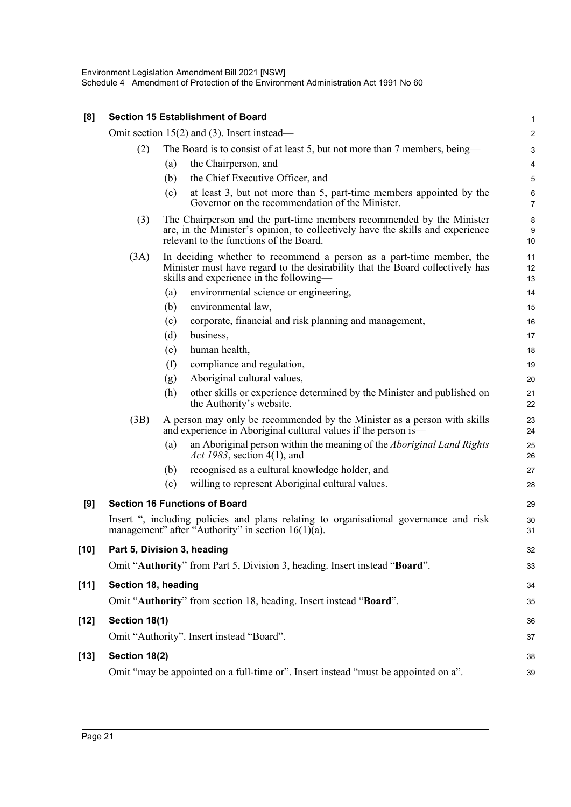| [8]    |                             |                                                                            | <b>Section 15 Establishment of Board</b>                                                                                                                                                           | 1                         |  |  |  |
|--------|-----------------------------|----------------------------------------------------------------------------|----------------------------------------------------------------------------------------------------------------------------------------------------------------------------------------------------|---------------------------|--|--|--|
|        |                             |                                                                            | Omit section $15(2)$ and (3). Insert instead—                                                                                                                                                      | $\overline{c}$            |  |  |  |
|        | (2)                         | The Board is to consist of at least 5, but not more than 7 members, being- |                                                                                                                                                                                                    |                           |  |  |  |
|        |                             | (a)                                                                        | the Chairperson, and                                                                                                                                                                               | 4                         |  |  |  |
|        |                             | (b)                                                                        | the Chief Executive Officer, and                                                                                                                                                                   | 5                         |  |  |  |
|        |                             | (c)                                                                        | at least 3, but not more than 5, part-time members appointed by the<br>Governor on the recommendation of the Minister.                                                                             | $\,6\,$<br>$\overline{7}$ |  |  |  |
|        | (3)                         |                                                                            | The Chairperson and the part-time members recommended by the Minister<br>are, in the Minister's opinion, to collectively have the skills and experience<br>relevant to the functions of the Board. | $\bf 8$<br>9<br>10        |  |  |  |
|        | (3A)                        |                                                                            | In deciding whether to recommend a person as a part-time member, the<br>Minister must have regard to the desirability that the Board collectively has<br>skills and experience in the following—   | 11<br>12<br>13            |  |  |  |
|        |                             | (a)                                                                        | environmental science or engineering,                                                                                                                                                              | 14                        |  |  |  |
|        |                             | (b)                                                                        | environmental law,                                                                                                                                                                                 | 15                        |  |  |  |
|        |                             | (c)                                                                        | corporate, financial and risk planning and management,                                                                                                                                             | 16                        |  |  |  |
|        |                             | (d)                                                                        | business,                                                                                                                                                                                          | 17                        |  |  |  |
|        |                             | (e)                                                                        | human health,                                                                                                                                                                                      | 18                        |  |  |  |
|        |                             | (f)                                                                        | compliance and regulation,                                                                                                                                                                         | 19                        |  |  |  |
|        |                             | (g)                                                                        | Aboriginal cultural values,                                                                                                                                                                        | 20                        |  |  |  |
|        |                             | (h)                                                                        | other skills or experience determined by the Minister and published on<br>the Authority's website.                                                                                                 | 21<br>22                  |  |  |  |
|        | (3B)                        |                                                                            | A person may only be recommended by the Minister as a person with skills<br>and experience in Aboriginal cultural values if the person is—                                                         | 23<br>24                  |  |  |  |
|        |                             | (a)                                                                        | an Aboriginal person within the meaning of the Aboriginal Land Rights<br>Act 1983, section 4(1), and                                                                                               | 25<br>26                  |  |  |  |
|        |                             | (b)                                                                        | recognised as a cultural knowledge holder, and                                                                                                                                                     | 27                        |  |  |  |
|        |                             | (c)                                                                        | willing to represent Aboriginal cultural values.                                                                                                                                                   | 28                        |  |  |  |
| [9]    |                             |                                                                            | <b>Section 16 Functions of Board</b>                                                                                                                                                               | 29                        |  |  |  |
|        |                             |                                                                            | Insert ", including policies and plans relating to organisational governance and risk<br>management" after "Authority" in section 16(1)(a).                                                        | 30<br>31                  |  |  |  |
| [10]   | Part 5, Division 3, heading |                                                                            |                                                                                                                                                                                                    | 32                        |  |  |  |
|        |                             |                                                                            | Omit "Authority" from Part 5, Division 3, heading. Insert instead "Board".                                                                                                                         | 33                        |  |  |  |
| $[11]$ | Section 18, heading         |                                                                            |                                                                                                                                                                                                    | 34                        |  |  |  |
|        |                             |                                                                            | Omit "Authority" from section 18, heading. Insert instead "Board".                                                                                                                                 | 35                        |  |  |  |
| $[12]$ | Section 18(1)               |                                                                            |                                                                                                                                                                                                    | 36                        |  |  |  |
|        |                             |                                                                            | Omit "Authority". Insert instead "Board".                                                                                                                                                          | 37                        |  |  |  |
| $[13]$ | Section 18(2)               |                                                                            |                                                                                                                                                                                                    | 38                        |  |  |  |
|        |                             |                                                                            | Omit "may be appointed on a full-time or". Insert instead "must be appointed on a".                                                                                                                | 39                        |  |  |  |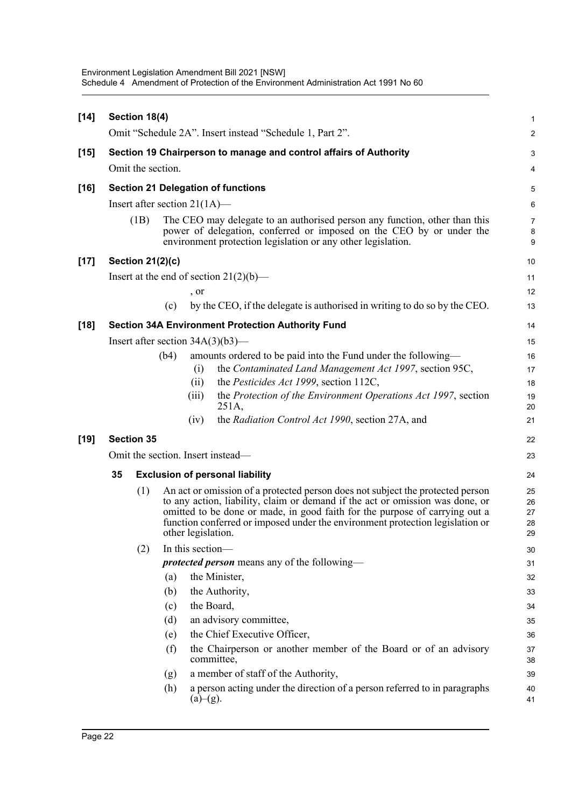| $[14]$ |                                                                   | Section 18(4)                                                                |      |                    |                                                                                                                                                                                                                                                                                                                                 | $\mathbf{1}$               |  |  |
|--------|-------------------------------------------------------------------|------------------------------------------------------------------------------|------|--------------------|---------------------------------------------------------------------------------------------------------------------------------------------------------------------------------------------------------------------------------------------------------------------------------------------------------------------------------|----------------------------|--|--|
|        |                                                                   |                                                                              |      |                    | Omit "Schedule 2A". Insert instead "Schedule 1, Part 2".                                                                                                                                                                                                                                                                        | $\boldsymbol{2}$           |  |  |
| $[15]$ | Section 19 Chairperson to manage and control affairs of Authority |                                                                              |      |                    |                                                                                                                                                                                                                                                                                                                                 |                            |  |  |
|        | Omit the section.                                                 |                                                                              |      |                    |                                                                                                                                                                                                                                                                                                                                 |                            |  |  |
| $[16]$ |                                                                   |                                                                              |      |                    |                                                                                                                                                                                                                                                                                                                                 |                            |  |  |
|        |                                                                   | <b>Section 21 Delegation of functions</b><br>Insert after section $21(1A)$ — |      |                    |                                                                                                                                                                                                                                                                                                                                 |                            |  |  |
|        |                                                                   |                                                                              |      |                    |                                                                                                                                                                                                                                                                                                                                 | $\,6$                      |  |  |
|        |                                                                   | (1B)                                                                         |      |                    | The CEO may delegate to an authorised person any function, other than this<br>power of delegation, conferred or imposed on the CEO by or under the<br>environment protection legislation or any other legislation.                                                                                                              | $\overline{7}$<br>8<br>9   |  |  |
| $[17]$ |                                                                   | Section $21(2)(c)$                                                           |      |                    |                                                                                                                                                                                                                                                                                                                                 | 10                         |  |  |
|        |                                                                   |                                                                              |      |                    | Insert at the end of section $21(2)(b)$ —                                                                                                                                                                                                                                                                                       | 11                         |  |  |
|        |                                                                   |                                                                              |      | , or               |                                                                                                                                                                                                                                                                                                                                 | 12                         |  |  |
|        |                                                                   |                                                                              | (c)  |                    | by the CEO, if the delegate is authorised in writing to do so by the CEO.                                                                                                                                                                                                                                                       | 13                         |  |  |
| $[18]$ |                                                                   |                                                                              |      |                    | <b>Section 34A Environment Protection Authority Fund</b>                                                                                                                                                                                                                                                                        | 14                         |  |  |
|        |                                                                   |                                                                              |      |                    | Insert after section $34A(3)(b3)$ —                                                                                                                                                                                                                                                                                             | 15                         |  |  |
|        |                                                                   |                                                                              | (b4) |                    | amounts ordered to be paid into the Fund under the following—                                                                                                                                                                                                                                                                   | 16                         |  |  |
|        |                                                                   |                                                                              |      | (i)                | the Contaminated Land Management Act 1997, section 95C,                                                                                                                                                                                                                                                                         | 17                         |  |  |
|        |                                                                   |                                                                              |      | (ii)               | the Pesticides Act 1999, section 112C,                                                                                                                                                                                                                                                                                          | 18                         |  |  |
|        |                                                                   |                                                                              |      | (iii)              | the Protection of the Environment Operations Act 1997, section<br>251A,                                                                                                                                                                                                                                                         | 19<br>20                   |  |  |
|        |                                                                   |                                                                              |      | (iv)               | the Radiation Control Act 1990, section 27A, and                                                                                                                                                                                                                                                                                | 21                         |  |  |
| $[19]$ |                                                                   | <b>Section 35</b>                                                            |      |                    |                                                                                                                                                                                                                                                                                                                                 | 22                         |  |  |
|        |                                                                   |                                                                              |      |                    | Omit the section. Insert instead-                                                                                                                                                                                                                                                                                               | 23                         |  |  |
|        | 35                                                                |                                                                              |      |                    | <b>Exclusion of personal liability</b>                                                                                                                                                                                                                                                                                          | 24                         |  |  |
|        | (1)                                                               |                                                                              |      | other legislation. | An act or omission of a protected person does not subject the protected person<br>to any action, liability, claim or demand if the act or omission was done, or<br>omitted to be done or made, in good faith for the purpose of carrying out a<br>function conferred or imposed under the environment protection legislation or | 25<br>26<br>27<br>28<br>29 |  |  |
|        |                                                                   | (2)                                                                          |      | In this section-   |                                                                                                                                                                                                                                                                                                                                 | 30                         |  |  |
|        |                                                                   |                                                                              |      |                    | <i>protected person</i> means any of the following—                                                                                                                                                                                                                                                                             | 31                         |  |  |
|        |                                                                   |                                                                              | (a)  |                    | the Minister,                                                                                                                                                                                                                                                                                                                   | 32                         |  |  |
|        |                                                                   |                                                                              | (b)  |                    | the Authority,                                                                                                                                                                                                                                                                                                                  | 33                         |  |  |
|        |                                                                   |                                                                              | (c)  |                    | the Board,                                                                                                                                                                                                                                                                                                                      | 34                         |  |  |
|        |                                                                   |                                                                              | (d)  |                    | an advisory committee,                                                                                                                                                                                                                                                                                                          | 35                         |  |  |
|        |                                                                   |                                                                              | (e)  |                    | the Chief Executive Officer,                                                                                                                                                                                                                                                                                                    | 36                         |  |  |
|        |                                                                   |                                                                              | (f)  |                    | the Chairperson or another member of the Board or of an advisory<br>committee,                                                                                                                                                                                                                                                  | 37<br>38                   |  |  |
|        |                                                                   |                                                                              | (g)  |                    | a member of staff of the Authority,                                                                                                                                                                                                                                                                                             | 39                         |  |  |
|        |                                                                   |                                                                              | (h)  | (a)–(g).           | a person acting under the direction of a person referred to in paragraphs                                                                                                                                                                                                                                                       | 40<br>41                   |  |  |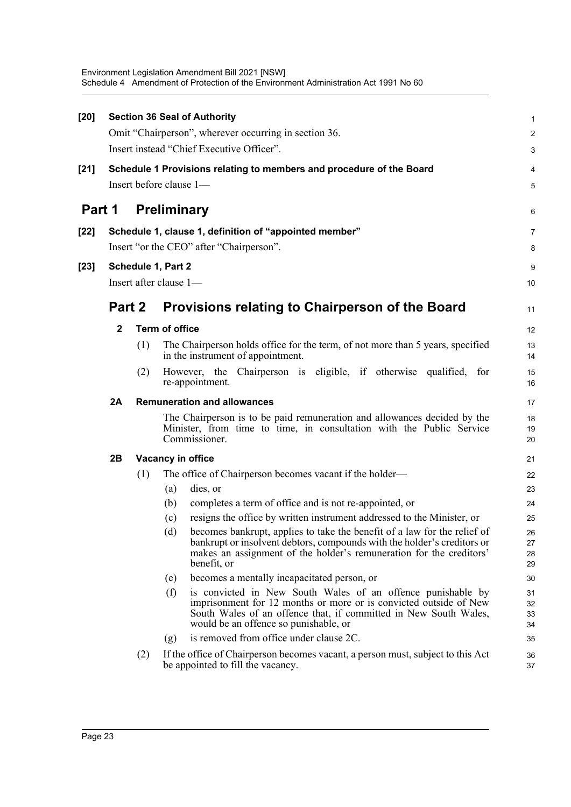| [20]   |              |     | <b>Section 36 Seal of Authority</b>                                                                                                                                                                                                                  | $\mathbf{1}$             |
|--------|--------------|-----|------------------------------------------------------------------------------------------------------------------------------------------------------------------------------------------------------------------------------------------------------|--------------------------|
|        |              |     | Omit "Chairperson", wherever occurring in section 36.                                                                                                                                                                                                | $\boldsymbol{2}$         |
|        |              |     | Insert instead "Chief Executive Officer".                                                                                                                                                                                                            | 3                        |
| $[21]$ |              |     | Schedule 1 Provisions relating to members and procedure of the Board                                                                                                                                                                                 | 4                        |
|        |              |     | Insert before clause 1-                                                                                                                                                                                                                              | 5                        |
| Part 1 |              |     | <b>Preliminary</b>                                                                                                                                                                                                                                   | 6                        |
| [22]   |              |     | Schedule 1, clause 1, definition of "appointed member"                                                                                                                                                                                               | $\overline{7}$           |
|        |              |     | Insert "or the CEO" after "Chairperson".                                                                                                                                                                                                             | 8                        |
| $[23]$ |              |     | Schedule 1, Part 2                                                                                                                                                                                                                                   | 9                        |
|        |              |     | Insert after clause 1-                                                                                                                                                                                                                               | 10                       |
|        |              |     |                                                                                                                                                                                                                                                      |                          |
|        | Part 2       |     | Provisions relating to Chairperson of the Board                                                                                                                                                                                                      | 11                       |
|        | $\mathbf{2}$ |     | <b>Term of office</b>                                                                                                                                                                                                                                | 12                       |
|        |              | (1) | The Chairperson holds office for the term, of not more than 5 years, specified<br>in the instrument of appointment.                                                                                                                                  | 13<br>14                 |
|        |              | (2) | However, the Chairperson is eligible, if otherwise qualified, for<br>re-appointment.                                                                                                                                                                 | 15<br>16                 |
|        | 2A           |     | <b>Remuneration and allowances</b>                                                                                                                                                                                                                   | 17                       |
|        |              |     | The Chairperson is to be paid remuneration and allowances decided by the<br>Minister, from time to time, in consultation with the Public Service<br>Commissioner.                                                                                    | 18<br>19<br>20           |
|        | 2B           |     | Vacancy in office                                                                                                                                                                                                                                    | 21                       |
|        |              | (1) | The office of Chairperson becomes vacant if the holder—                                                                                                                                                                                              | 22                       |
|        |              |     | dies, or<br>(a)                                                                                                                                                                                                                                      | 23                       |
|        |              |     | completes a term of office and is not re-appointed, or<br>(b)                                                                                                                                                                                        | 24                       |
|        |              |     | resigns the office by written instrument addressed to the Minister, or<br>(c)                                                                                                                                                                        | 25                       |
|        |              |     | becomes bankrupt, applies to take the benefit of a law for the relief of<br>(d)<br>bankrupt or insolvent debtors, compounds with the holder's creditors or<br>makes an assignment of the holder's remuneration for the creditors'<br>benefit, or     | 26<br>$27\,$<br>28<br>29 |
|        |              |     | becomes a mentally incapacitated person, or<br>(e)                                                                                                                                                                                                   | 30                       |
|        |              |     | is convicted in New South Wales of an offence punishable by<br>(f)<br>imprisonment for 12 months or more or is convicted outside of New<br>South Wales of an offence that, if committed in New South Wales,<br>would be an offence so punishable, or | 31<br>32<br>33<br>34     |
|        |              |     | is removed from office under clause 2C.<br>(g)                                                                                                                                                                                                       | 35                       |
|        |              | (2) | If the office of Chairperson becomes vacant, a person must, subject to this Act<br>be appointed to fill the vacancy.                                                                                                                                 | 36<br>37                 |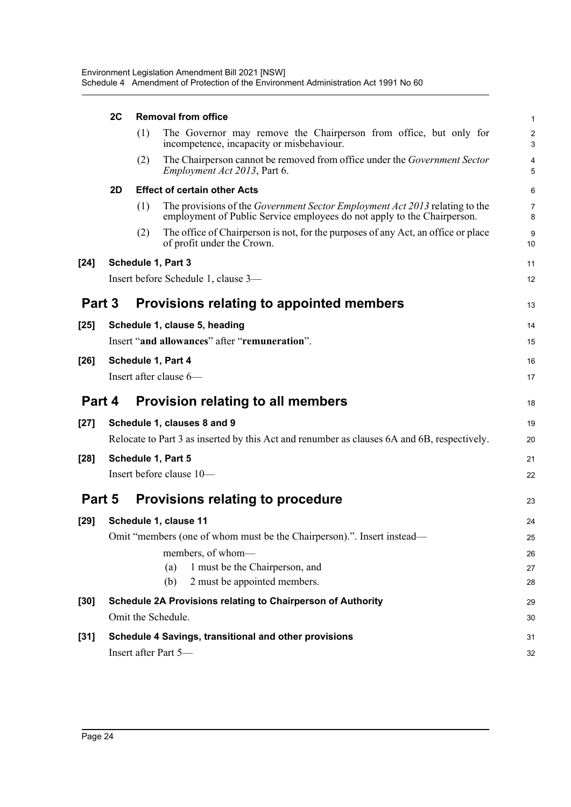|        | 2C |     | <b>Removal from office</b>                                                                                                                                    | $\mathbf{1}$                   |
|--------|----|-----|---------------------------------------------------------------------------------------------------------------------------------------------------------------|--------------------------------|
|        |    | (1) | The Governor may remove the Chairperson from office, but only for<br>incompetence, incapacity or misbehaviour.                                                | $\overline{c}$<br>$\mathbf{3}$ |
|        |    | (2) | The Chairperson cannot be removed from office under the Government Sector<br><i>Employment Act 2013</i> , Part 6.                                             | 4<br>5                         |
|        | 2D |     | <b>Effect of certain other Acts</b>                                                                                                                           | 6                              |
|        |    | (1) | The provisions of the <i>Government Sector Employment Act 2013</i> relating to the<br>employment of Public Service employees do not apply to the Chairperson. | $\overline{7}$<br>8            |
|        |    | (2) | The office of Chairperson is not, for the purposes of any Act, an office or place<br>of profit under the Crown.                                               | 9<br>10                        |
| $[24]$ |    |     | Schedule 1, Part 3                                                                                                                                            | 11                             |
|        |    |     | Insert before Schedule 1, clause 3-                                                                                                                           | 12                             |
| Part 3 |    |     | Provisions relating to appointed members                                                                                                                      | 13                             |
| $[25]$ |    |     | Schedule 1, clause 5, heading                                                                                                                                 | 14                             |
|        |    |     | Insert "and allowances" after "remuneration".                                                                                                                 | 15                             |
| [26]   |    |     | Schedule 1, Part 4                                                                                                                                            | 16                             |
|        |    |     | Insert after clause 6-                                                                                                                                        | 17                             |
| Part 4 |    |     | <b>Provision relating to all members</b>                                                                                                                      | 18                             |
| [27]   |    |     | Schedule 1, clauses 8 and 9                                                                                                                                   | 19                             |
|        |    |     | Relocate to Part 3 as inserted by this Act and renumber as clauses 6A and 6B, respectively.                                                                   | 20                             |
| $[28]$ |    |     | Schedule 1, Part 5                                                                                                                                            | 21                             |
|        |    |     | Insert before clause 10-                                                                                                                                      | 22                             |
| Part 5 |    |     | <b>Provisions relating to procedure</b>                                                                                                                       | 23                             |
| [29]   |    |     | Schedule 1, clause 11                                                                                                                                         | 24                             |
|        |    |     | Omit "members (one of whom must be the Chairperson).". Insert instead—                                                                                        | 25                             |
|        |    |     | members, of whom-                                                                                                                                             | 26                             |
|        |    |     | 1 must be the Chairperson, and<br>(a)<br>2 must be appointed members.<br>(b)                                                                                  | 27                             |
|        |    |     |                                                                                                                                                               | 28                             |
| [30]   |    |     | Schedule 2A Provisions relating to Chairperson of Authority                                                                                                   | 29                             |
|        |    |     | Omit the Schedule.                                                                                                                                            | 30                             |
| [31]   |    |     | Schedule 4 Savings, transitional and other provisions                                                                                                         | 31                             |
|        |    |     | Insert after Part 5-                                                                                                                                          | 32                             |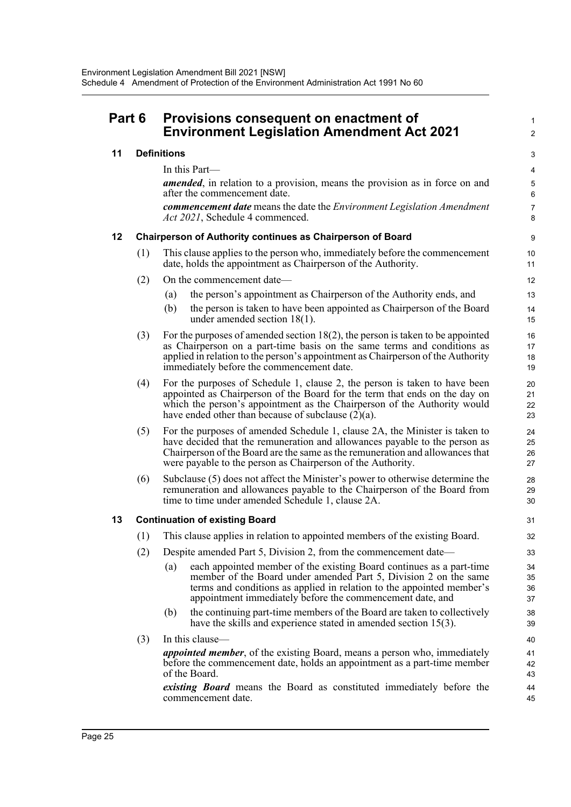| Part 6 Provisions consequent on enactment of<br><b>Environment Legislation Amendment Act 2021</b> |
|---------------------------------------------------------------------------------------------------|
|---------------------------------------------------------------------------------------------------|

### **11 Definitions**

In this Part—

*amended*, in relation to a provision, means the provision as in force on and after the commencement date.

1  $\mathfrak{p}$ 

*commencement date* means the date the *Environment Legislation Amendment Act 2021*, Schedule 4 commenced.

#### **12 Chairperson of Authority continues as Chairperson of Board**

- (1) This clause applies to the person who, immediately before the commencement date, holds the appointment as Chairperson of the Authority.
- (2) On the commencement date—
	- (a) the person's appointment as Chairperson of the Authority ends, and
	- (b) the person is taken to have been appointed as Chairperson of the Board under amended section 18(1).
- (3) For the purposes of amended section  $18(2)$ , the person is taken to be appointed as Chairperson on a part-time basis on the same terms and conditions as applied in relation to the person's appointment as Chairperson of the Authority immediately before the commencement date.
- (4) For the purposes of Schedule 1, clause 2, the person is taken to have been appointed as Chairperson of the Board for the term that ends on the day on which the person's appointment as the Chairperson of the Authority would have ended other than because of subclause  $(2)(a)$ .
- (5) For the purposes of amended Schedule 1, clause 2A, the Minister is taken to have decided that the remuneration and allowances payable to the person as Chairperson of the Board are the same as the remuneration and allowances that were payable to the person as Chairperson of the Authority.
- (6) Subclause (5) does not affect the Minister's power to otherwise determine the remuneration and allowances payable to the Chairperson of the Board from time to time under amended Schedule 1, clause 2A.

#### **13 Continuation of existing Board**

- (1) This clause applies in relation to appointed members of the existing Board.
- (2) Despite amended Part 5, Division 2, from the commencement date—
	- (a) each appointed member of the existing Board continues as a part-time member of the Board under amended Part 5, Division 2 on the same terms and conditions as applied in relation to the appointed member's appointment immediately before the commencement date, and
	- (b) the continuing part-time members of the Board are taken to collectively have the skills and experience stated in amended section 15(3).
- (3) In this clause *appointed member*, of the existing Board, means a person who, immediately before the commencement date, holds an appointment as a part-time member of the Board. *existing Board* means the Board as constituted immediately before the

commencement date.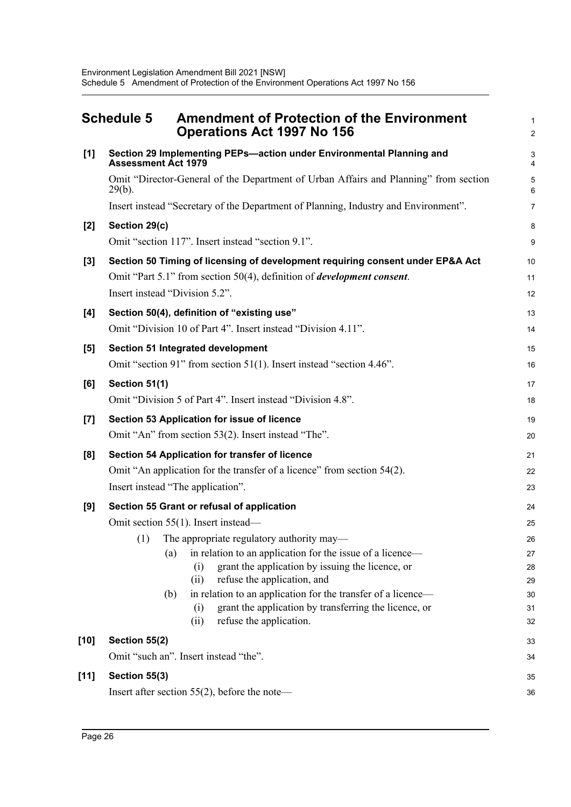<span id="page-40-0"></span>

|                  | <b>Schedule 5</b><br><b>Amendment of Protection of the Environment</b><br><b>Operations Act 1997 No 156</b> | $\mathbf{1}$<br>$\overline{2}$ |
|------------------|-------------------------------------------------------------------------------------------------------------|--------------------------------|
| [1]              | Section 29 Implementing PEPs-action under Environmental Planning and<br><b>Assessment Act 1979</b>          | $\mathbf{3}$<br>$\overline{4}$ |
|                  | Omit "Director-General of the Department of Urban Affairs and Planning" from section<br>$29(b)$ .           | $\overline{5}$<br>6            |
|                  | Insert instead "Secretary of the Department of Planning, Industry and Environment".                         | $\overline{7}$                 |
| [2]              | Section 29(c)                                                                                               | 8                              |
|                  | Omit "section 117". Insert instead "section 9.1".                                                           | 9                              |
| $[3]$            | Section 50 Timing of licensing of development requiring consent under EP&A Act                              | 10                             |
|                  | Omit "Part 5.1" from section 50(4), definition of <i>development consent</i> .                              | 11                             |
|                  | Insert instead "Division 5.2".                                                                              | 12                             |
| [4]              | Section 50(4), definition of "existing use"                                                                 | 13                             |
|                  | Omit "Division 10 of Part 4". Insert instead "Division 4.11".                                               | 14                             |
| [5]              | Section 51 Integrated development                                                                           | 15                             |
|                  | Omit "section 91" from section 51(1). Insert instead "section 4.46".                                        | 16                             |
| [6]              | Section 51(1)                                                                                               | 17                             |
|                  | Omit "Division 5 of Part 4". Insert instead "Division 4.8".                                                 | 18                             |
| $\left[7\right]$ | Section 53 Application for issue of licence                                                                 | 19                             |
|                  | Omit "An" from section 53(2). Insert instead "The".                                                         | 20                             |
| [8]              | Section 54 Application for transfer of licence                                                              | 21                             |
|                  | Omit "An application for the transfer of a licence" from section 54(2).                                     | 22                             |
|                  | Insert instead "The application".                                                                           | 23                             |
| [9]              | Section 55 Grant or refusal of application                                                                  | 24                             |
|                  | Omit section 55(1). Insert instead—                                                                         | 25                             |
|                  | (1) The appropriate regulatory authority may—                                                               | 26                             |
|                  | in relation to an application for the issue of a licence-<br>(a)                                            | 27                             |
|                  | grant the application by issuing the licence, or<br>(i)<br>refuse the application, and<br>(ii)              | 28                             |
|                  | in relation to an application for the transfer of a licence—<br>(b)                                         | 29<br>30                       |
|                  | grant the application by transferring the licence, or<br>(i)                                                | 31                             |
|                  | refuse the application.<br>(ii)                                                                             | 32                             |
| [10]             | Section 55(2)                                                                                               | 33                             |
|                  | Omit "such an". Insert instead "the".                                                                       | 34                             |
| $[11]$           | Section 55(3)                                                                                               | 35                             |
|                  | Insert after section $55(2)$ , before the note—                                                             | 36                             |
|                  |                                                                                                             |                                |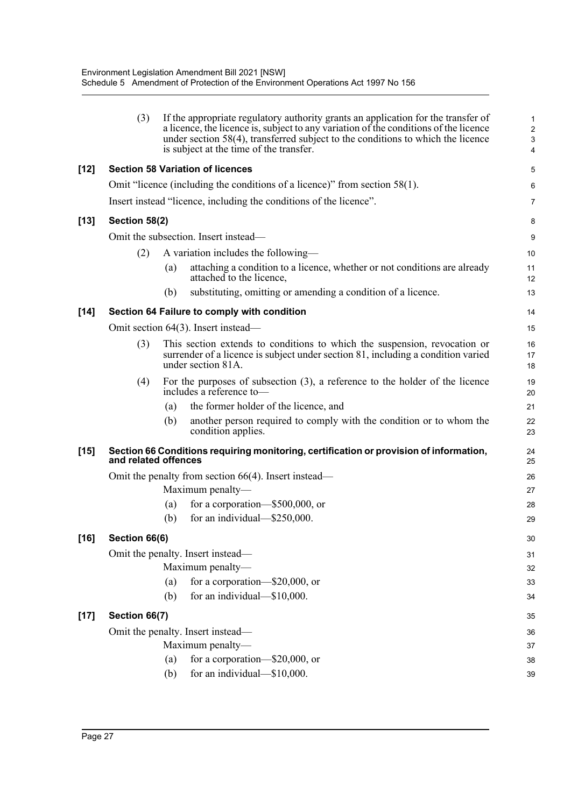|        | (3)                  |     | If the appropriate regulatory authority grants an application for the transfer of<br>a licence, the licence is, subject to any variation of the conditions of the licence<br>under section 58(4), transferred subject to the conditions to which the licence<br>is subject at the time of the transfer. | 1<br>$\overline{\mathbf{c}}$<br>3<br>4 |
|--------|----------------------|-----|---------------------------------------------------------------------------------------------------------------------------------------------------------------------------------------------------------------------------------------------------------------------------------------------------------|----------------------------------------|
| $[12]$ |                      |     | <b>Section 58 Variation of licences</b>                                                                                                                                                                                                                                                                 | 5                                      |
|        |                      |     | Omit "licence (including the conditions of a licence)" from section 58(1).                                                                                                                                                                                                                              | 6                                      |
|        |                      |     | Insert instead "licence, including the conditions of the licence".                                                                                                                                                                                                                                      | 7                                      |
| $[13]$ | Section 58(2)        |     |                                                                                                                                                                                                                                                                                                         | 8                                      |
|        |                      |     | Omit the subsection. Insert instead—                                                                                                                                                                                                                                                                    | 9                                      |
|        | (2)                  |     | A variation includes the following—                                                                                                                                                                                                                                                                     | 10                                     |
|        |                      | (a) | attaching a condition to a licence, whether or not conditions are already<br>attached to the licence,                                                                                                                                                                                                   | 11<br>12                               |
|        |                      | (b) | substituting, omitting or amending a condition of a licence.                                                                                                                                                                                                                                            | 13                                     |
| $[14]$ |                      |     | Section 64 Failure to comply with condition                                                                                                                                                                                                                                                             | 14                                     |
|        |                      |     | Omit section 64(3). Insert instead—                                                                                                                                                                                                                                                                     | 15                                     |
|        | (3)                  |     | This section extends to conditions to which the suspension, revocation or<br>surrender of a licence is subject under section 81, including a condition varied<br>under section 81A.                                                                                                                     | 16<br>17<br>18                         |
|        | (4)                  |     | For the purposes of subsection $(3)$ , a reference to the holder of the licence<br>includes a reference to-                                                                                                                                                                                             | 19<br>20                               |
|        |                      | (a) | the former holder of the licence, and                                                                                                                                                                                                                                                                   | 21                                     |
|        |                      | (b) | another person required to comply with the condition or to whom the<br>condition applies.                                                                                                                                                                                                               | 22<br>23                               |
| $[15]$ | and related offences |     | Section 66 Conditions requiring monitoring, certification or provision of information,                                                                                                                                                                                                                  | 24<br>25                               |
|        |                      |     | Omit the penalty from section $66(4)$ . Insert instead—                                                                                                                                                                                                                                                 | 26                                     |
|        |                      |     | Maximum penalty—                                                                                                                                                                                                                                                                                        | 27                                     |
|        |                      | (a) | for a corporation— $$500,000$ , or                                                                                                                                                                                                                                                                      | 28                                     |
|        |                      | (b) | for an individual-\$250,000.                                                                                                                                                                                                                                                                            | 29                                     |
| $[16]$ | Section 66(6)        |     |                                                                                                                                                                                                                                                                                                         | 30                                     |
|        |                      |     | Omit the penalty. Insert instead—                                                                                                                                                                                                                                                                       | 31                                     |
|        |                      |     | Maximum penalty-                                                                                                                                                                                                                                                                                        | 32                                     |
|        |                      | (a) | for a corporation-\$20,000, or                                                                                                                                                                                                                                                                          | 33                                     |
|        |                      | (b) | for an individual-\$10,000.                                                                                                                                                                                                                                                                             | 34                                     |
| $[17]$ | Section 66(7)        |     |                                                                                                                                                                                                                                                                                                         | 35                                     |
|        |                      |     | Omit the penalty. Insert instead—                                                                                                                                                                                                                                                                       | 36                                     |
|        |                      |     | Maximum penalty-                                                                                                                                                                                                                                                                                        | 37                                     |
|        |                      | (a) | for a corporation-\$20,000, or                                                                                                                                                                                                                                                                          | 38                                     |
|        |                      | (b) | for an individual-\$10,000.                                                                                                                                                                                                                                                                             | 39                                     |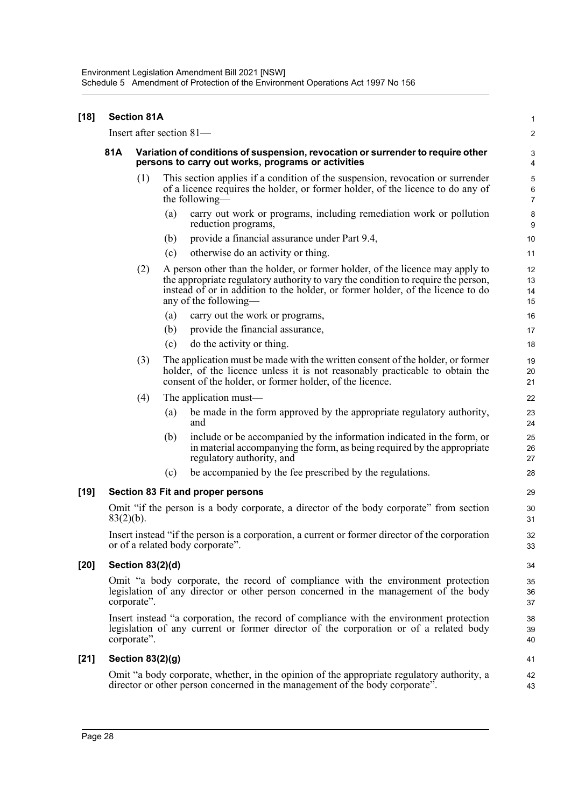| $[18]$ |              | <b>Section 81A</b>                                                                                                                    |     |                                                                                                                                                                                                                                                                                | 1                       |  |  |
|--------|--------------|---------------------------------------------------------------------------------------------------------------------------------------|-----|--------------------------------------------------------------------------------------------------------------------------------------------------------------------------------------------------------------------------------------------------------------------------------|-------------------------|--|--|
|        |              |                                                                                                                                       |     | Insert after section 81-                                                                                                                                                                                                                                                       | $\overline{\mathbf{c}}$ |  |  |
|        | 81A          | Variation of conditions of suspension, revocation or surrender to require other<br>persons to carry out works, programs or activities |     |                                                                                                                                                                                                                                                                                |                         |  |  |
|        |              | (1)                                                                                                                                   |     | This section applies if a condition of the suspension, revocation or surrender<br>of a licence requires the holder, or former holder, of the licence to do any of<br>the following—                                                                                            | 5<br>6<br>7             |  |  |
|        |              |                                                                                                                                       | (a) | carry out work or programs, including remediation work or pollution<br>reduction programs,                                                                                                                                                                                     | 8<br>9                  |  |  |
|        |              |                                                                                                                                       | (b) | provide a financial assurance under Part 9.4,                                                                                                                                                                                                                                  | 10                      |  |  |
|        |              |                                                                                                                                       | (c) | otherwise do an activity or thing.                                                                                                                                                                                                                                             | 11                      |  |  |
|        |              | (2)                                                                                                                                   |     | A person other than the holder, or former holder, of the licence may apply to<br>the appropriate regulatory authority to vary the condition to require the person,<br>instead of or in addition to the holder, or former holder, of the licence to do<br>any of the following— | 12<br>13<br>14<br>15    |  |  |
|        |              |                                                                                                                                       | (a) | carry out the work or programs,                                                                                                                                                                                                                                                | 16                      |  |  |
|        |              |                                                                                                                                       | (b) | provide the financial assurance,                                                                                                                                                                                                                                               | 17                      |  |  |
|        |              |                                                                                                                                       | (c) | do the activity or thing.                                                                                                                                                                                                                                                      | 18                      |  |  |
|        |              | (3)                                                                                                                                   |     | The application must be made with the written consent of the holder, or former<br>holder, of the licence unless it is not reasonably practicable to obtain the<br>consent of the holder, or former holder, of the licence.                                                     | 19<br>20<br>21          |  |  |
|        |              | (4)                                                                                                                                   |     | The application must—                                                                                                                                                                                                                                                          | 22                      |  |  |
|        |              |                                                                                                                                       | (a) | be made in the form approved by the appropriate regulatory authority,<br>and                                                                                                                                                                                                   | 23<br>24                |  |  |
|        |              |                                                                                                                                       | (b) | include or be accompanied by the information indicated in the form, or<br>in material accompanying the form, as being required by the appropriate<br>regulatory authority, and                                                                                                 | 25<br>26<br>27          |  |  |
|        |              |                                                                                                                                       | (c) | be accompanied by the fee prescribed by the regulations.                                                                                                                                                                                                                       | 28                      |  |  |
| $[19]$ |              |                                                                                                                                       |     | Section 83 Fit and proper persons                                                                                                                                                                                                                                              | 29                      |  |  |
|        | $83(2)(b)$ . |                                                                                                                                       |     | Omit "if the person is a body corporate, a director of the body corporate" from section                                                                                                                                                                                        | 30<br>31                |  |  |
|        |              |                                                                                                                                       |     | Insert instead "if the person is a corporation, a current or former director of the corporation<br>or of a related body corporate".                                                                                                                                            | 32<br>33                |  |  |
| [20]   |              | Section 83(2)(d)                                                                                                                      |     |                                                                                                                                                                                                                                                                                | 34                      |  |  |
|        |              | corporate".                                                                                                                           |     | Omit "a body corporate, the record of compliance with the environment protection<br>legislation of any director or other person concerned in the management of the body                                                                                                        | 35<br>36<br>37          |  |  |
|        |              | corporate".                                                                                                                           |     | Insert instead "a corporation, the record of compliance with the environment protection<br>legislation of any current or former director of the corporation or of a related body                                                                                               | 38<br>39<br>40          |  |  |
| $[21]$ |              | Section $83(2)(g)$                                                                                                                    |     |                                                                                                                                                                                                                                                                                | 41                      |  |  |
|        |              |                                                                                                                                       |     | Omit "a body corporate, whether, in the opinion of the appropriate regulatory authority, a<br>director or other person concerned in the management of the body corporate".                                                                                                     | 42<br>43                |  |  |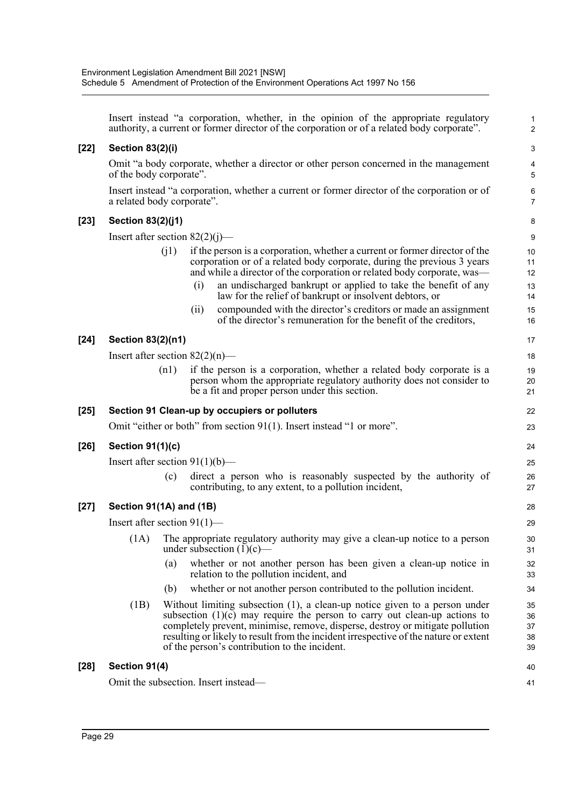|        |                                      |      |      | Insert instead "a corporation, whether, in the opinion of the appropriate regulatory<br>authority, a current or former director of the corporation or of a related body corporate".                                                                                                                                                                                                    | $\mathbf{1}$<br>$\overline{2}$ |
|--------|--------------------------------------|------|------|----------------------------------------------------------------------------------------------------------------------------------------------------------------------------------------------------------------------------------------------------------------------------------------------------------------------------------------------------------------------------------------|--------------------------------|
| [22]   | <b>Section 83(2)(i)</b>              |      |      |                                                                                                                                                                                                                                                                                                                                                                                        | 3                              |
|        | of the body corporate".              |      |      | Omit "a body corporate, whether a director or other person concerned in the management                                                                                                                                                                                                                                                                                                 | 4<br>5                         |
|        | a related body corporate".           |      |      | Insert instead "a corporation, whether a current or former director of the corporation or of                                                                                                                                                                                                                                                                                           | 6<br>$\overline{7}$            |
| [23]   | Section 83(2)(j1)                    |      |      |                                                                                                                                                                                                                                                                                                                                                                                        | 8                              |
|        | Insert after section $82(2)(j)$ —    |      |      |                                                                                                                                                                                                                                                                                                                                                                                        | 9                              |
|        |                                      | (i1) |      | if the person is a corporation, whether a current or former director of the<br>corporation or of a related body corporate, during the previous 3 years<br>and while a director of the corporation or related body corporate, was—                                                                                                                                                      | 10<br>11<br>12                 |
|        |                                      |      | (i)  | an undischarged bankrupt or applied to take the benefit of any<br>law for the relief of bankrupt or insolvent debtors, or                                                                                                                                                                                                                                                              | 13<br>14                       |
|        |                                      |      | (ii) | compounded with the director's creditors or made an assignment<br>of the director's remuneration for the benefit of the creditors,                                                                                                                                                                                                                                                     | 15<br>16                       |
| $[24]$ | Section 83(2)(n1)                    |      |      |                                                                                                                                                                                                                                                                                                                                                                                        | 17                             |
|        | Insert after section $82(2)(n)$ —    |      |      |                                                                                                                                                                                                                                                                                                                                                                                        | 18                             |
|        |                                      | (n1) |      | if the person is a corporation, whether a related body corporate is a<br>person whom the appropriate regulatory authority does not consider to<br>be a fit and proper person under this section.                                                                                                                                                                                       | 19<br>20<br>21                 |
| [25]   |                                      |      |      | Section 91 Clean-up by occupiers or polluters                                                                                                                                                                                                                                                                                                                                          | 22                             |
|        |                                      |      |      | Omit "either or both" from section 91(1). Insert instead "1 or more".                                                                                                                                                                                                                                                                                                                  | 23                             |
| [26]   | <b>Section 91(1)(c)</b>              |      |      |                                                                                                                                                                                                                                                                                                                                                                                        | 24                             |
|        | Insert after section $91(1)(b)$ —    |      |      |                                                                                                                                                                                                                                                                                                                                                                                        | 25                             |
|        |                                      | (c)  |      | direct a person who is reasonably suspected by the authority of<br>contributing, to any extent, to a pollution incident,                                                                                                                                                                                                                                                               | 26<br>27                       |
| [27]   | Section 91(1A) and (1B)              |      |      |                                                                                                                                                                                                                                                                                                                                                                                        | 28                             |
|        | Insert after section $91(1)$ —       |      |      |                                                                                                                                                                                                                                                                                                                                                                                        | 29                             |
|        | (1A)                                 |      |      | The appropriate regulatory authority may give a clean-up notice to a person<br>under subsection $(1)(c)$ —                                                                                                                                                                                                                                                                             | 30<br>31                       |
|        |                                      | (a)  |      | whether or not another person has been given a clean-up notice in<br>relation to the pollution incident, and                                                                                                                                                                                                                                                                           | 32<br>33                       |
|        |                                      | (b)  |      | whether or not another person contributed to the pollution incident.                                                                                                                                                                                                                                                                                                                   | 34                             |
|        | (1B)                                 |      |      | Without limiting subsection $(1)$ , a clean-up notice given to a person under<br>subsection $(1)(c)$ may require the person to carry out clean-up actions to<br>completely prevent, minimise, remove, disperse, destroy or mitigate pollution<br>resulting or likely to result from the incident irrespective of the nature or extent<br>of the person's contribution to the incident. | 35<br>36<br>37<br>38<br>39     |
| $[28]$ | Section 91(4)                        |      |      |                                                                                                                                                                                                                                                                                                                                                                                        | 40                             |
|        | Omit the subsection. Insert instead— |      |      |                                                                                                                                                                                                                                                                                                                                                                                        | 41                             |
|        |                                      |      |      |                                                                                                                                                                                                                                                                                                                                                                                        |                                |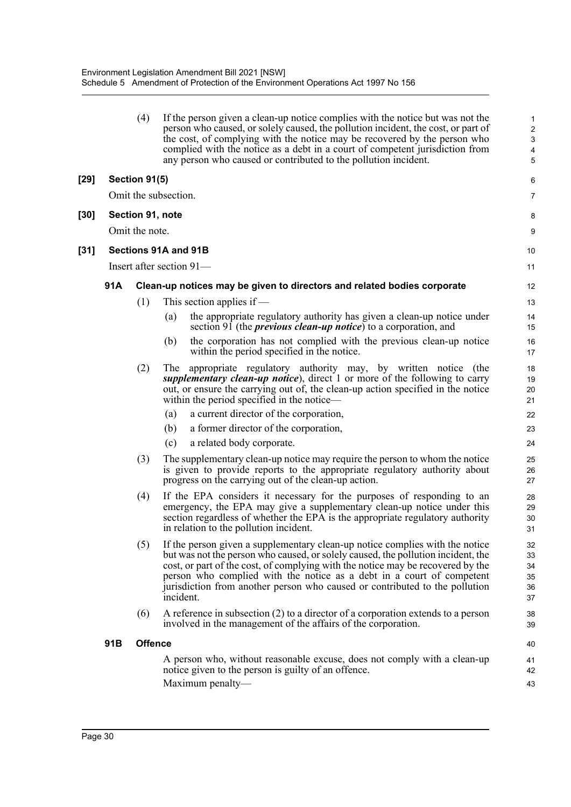|        |     | (4)                  |           | If the person given a clean-up notice complies with the notice but was not the<br>person who caused, or solely caused, the pollution incident, the cost, or part of<br>the cost, of complying with the notice may be recovered by the person who<br>complied with the notice as a debt in a court of competent jurisdiction from<br>any person who caused or contributed to the pollution incident.         | $\mathbf 1$<br>$\overline{2}$<br>$\ensuremath{\mathsf{3}}$<br>4<br>5 |
|--------|-----|----------------------|-----------|-------------------------------------------------------------------------------------------------------------------------------------------------------------------------------------------------------------------------------------------------------------------------------------------------------------------------------------------------------------------------------------------------------------|----------------------------------------------------------------------|
| $[29]$ |     | Section 91(5)        |           |                                                                                                                                                                                                                                                                                                                                                                                                             | 6                                                                    |
|        |     | Omit the subsection. |           |                                                                                                                                                                                                                                                                                                                                                                                                             | 7                                                                    |
| $[30]$ |     | Section 91, note     |           |                                                                                                                                                                                                                                                                                                                                                                                                             | 8                                                                    |
|        |     | Omit the note.       |           |                                                                                                                                                                                                                                                                                                                                                                                                             | 9                                                                    |
|        |     | Sections 91A and 91B |           |                                                                                                                                                                                                                                                                                                                                                                                                             |                                                                      |
| $[31]$ |     |                      |           |                                                                                                                                                                                                                                                                                                                                                                                                             | 10                                                                   |
|        |     |                      |           | Insert after section 91—                                                                                                                                                                                                                                                                                                                                                                                    | 11                                                                   |
|        | 91A |                      |           | Clean-up notices may be given to directors and related bodies corporate                                                                                                                                                                                                                                                                                                                                     | 12                                                                   |
|        |     | (1)                  |           | This section applies if $-$                                                                                                                                                                                                                                                                                                                                                                                 | 13                                                                   |
|        |     |                      | (a)       | the appropriate regulatory authority has given a clean-up notice under<br>section 91 (the <i>previous clean-up notice</i> ) to a corporation, and                                                                                                                                                                                                                                                           | 14<br>15                                                             |
|        |     |                      | (b)       | the corporation has not complied with the previous clean-up notice<br>within the period specified in the notice.                                                                                                                                                                                                                                                                                            | 16<br>17                                                             |
|        |     | (2)                  | The       | appropriate regulatory authority may, by written notice (the<br>supplementary clean-up notice), direct 1 or more of the following to carry<br>out, or ensure the carrying out of, the clean-up action specified in the notice<br>within the period specified in the notice—                                                                                                                                 | 18<br>19<br>20<br>21                                                 |
|        |     |                      | (a)       | a current director of the corporation,                                                                                                                                                                                                                                                                                                                                                                      | 22                                                                   |
|        |     |                      | (b)       | a former director of the corporation,                                                                                                                                                                                                                                                                                                                                                                       | 23                                                                   |
|        |     |                      | (c)       | a related body corporate.                                                                                                                                                                                                                                                                                                                                                                                   | 24                                                                   |
|        |     | (3)                  |           | The supplementary clean-up notice may require the person to whom the notice<br>is given to provide reports to the appropriate regulatory authority about<br>progress on the carrying out of the clean-up action.                                                                                                                                                                                            | 25<br>26<br>27                                                       |
|        |     | (4)                  |           | If the EPA considers it necessary for the purposes of responding to an<br>emergency, the EPA may give a supplementary clean-up notice under this<br>section regardless of whether the EPA is the appropriate regulatory authority<br>in relation to the pollution incident.                                                                                                                                 | 28<br>29<br>30<br>31                                                 |
|        |     | (5)                  | incident. | If the person given a supplementary clean-up notice complies with the notice<br>but was not the person who caused, or solely caused, the pollution incident, the<br>cost, or part of the cost, of complying with the notice may be recovered by the<br>person who complied with the notice as a debt in a court of competent<br>jurisdiction from another person who caused or contributed to the pollution | 32<br>33<br>34<br>35<br>36<br>37                                     |
|        |     | (6)                  |           | A reference in subsection $(2)$ to a director of a corporation extends to a person<br>involved in the management of the affairs of the corporation.                                                                                                                                                                                                                                                         | 38<br>39                                                             |
|        | 91B | <b>Offence</b>       |           |                                                                                                                                                                                                                                                                                                                                                                                                             | 40                                                                   |
|        |     |                      |           | A person who, without reasonable excuse, does not comply with a clean-up<br>notice given to the person is guilty of an offence.<br>Maximum penalty-                                                                                                                                                                                                                                                         | 41<br>42<br>43                                                       |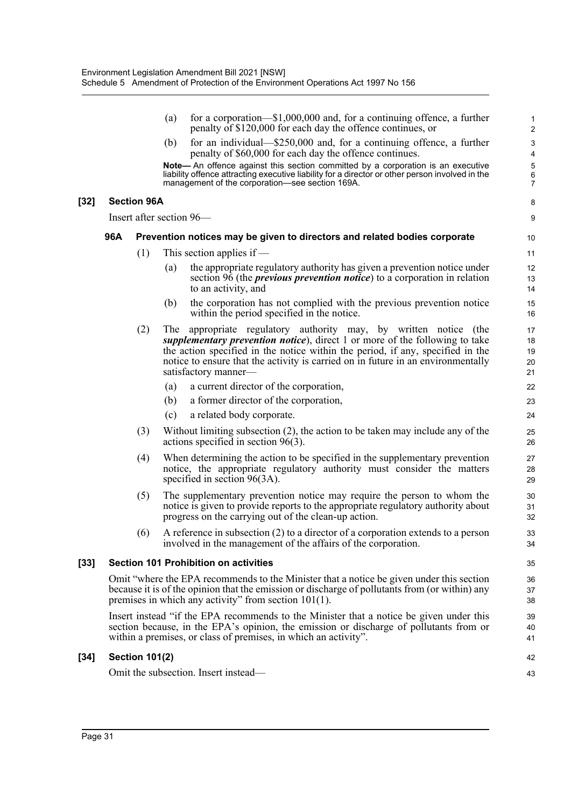|        |     |                       | (a) | for a corporation— $$1,000,000$ and, for a continuing offence, a further<br>penalty of \$120,000 for each day the offence continues, or                                                                                                                                                                                                   | $\mathbf{1}$<br>$\overline{2}$ |
|--------|-----|-----------------------|-----|-------------------------------------------------------------------------------------------------------------------------------------------------------------------------------------------------------------------------------------------------------------------------------------------------------------------------------------------|--------------------------------|
|        |     |                       | (b) | for an individual—\$250,000 and, for a continuing offence, a further<br>penalty of \$60,000 for each day the offence continues.                                                                                                                                                                                                           | $\ensuremath{\mathsf{3}}$<br>4 |
|        |     |                       |     | Note- An offence against this section committed by a corporation is an executive<br>liability offence attracting executive liability for a director or other person involved in the<br>management of the corporation—see section 169A.                                                                                                    | 5<br>6<br>7                    |
| $[32]$ |     | <b>Section 96A</b>    |     |                                                                                                                                                                                                                                                                                                                                           | 8                              |
|        |     |                       |     | Insert after section 96—                                                                                                                                                                                                                                                                                                                  | 9                              |
|        | 96A |                       |     | Prevention notices may be given to directors and related bodies corporate                                                                                                                                                                                                                                                                 | 10                             |
|        |     | (1)                   |     | This section applies if $-$                                                                                                                                                                                                                                                                                                               | 11                             |
|        |     |                       | (a) | the appropriate regulatory authority has given a prevention notice under<br>section $96$ (the <i>previous prevention notice</i> ) to a corporation in relation<br>to an activity, and                                                                                                                                                     | 12<br>13<br>14                 |
|        |     |                       | (b) | the corporation has not complied with the previous prevention notice<br>within the period specified in the notice.                                                                                                                                                                                                                        | 15<br>16                       |
|        |     | (2)                   | The | appropriate regulatory authority may, by written notice (the<br>supplementary prevention notice), direct 1 or more of the following to take<br>the action specified in the notice within the period, if any, specified in the<br>notice to ensure that the activity is carried on in future in an environmentally<br>satisfactory manner- | 17<br>18<br>19<br>20<br>21     |
|        |     |                       | (a) | a current director of the corporation,                                                                                                                                                                                                                                                                                                    | 22                             |
|        |     |                       | (b) | a former director of the corporation,                                                                                                                                                                                                                                                                                                     | 23                             |
|        |     |                       | (c) | a related body corporate.                                                                                                                                                                                                                                                                                                                 | 24                             |
|        |     | (3)                   |     | Without limiting subsection $(2)$ , the action to be taken may include any of the<br>actions specified in section $96(3)$ .                                                                                                                                                                                                               | 25<br>26                       |
|        |     | (4)                   |     | When determining the action to be specified in the supplementary prevention<br>notice, the appropriate regulatory authority must consider the matters<br>specified in section $96(3A)$ .                                                                                                                                                  | 27<br>28<br>29                 |
|        |     | (5)                   |     | The supplementary prevention notice may require the person to whom the<br>notice is given to provide reports to the appropriate regulatory authority about<br>progress on the carrying out of the clean-up action.                                                                                                                        | 30<br>31<br>32                 |
|        |     | (6)                   |     | A reference in subsection $(2)$ to a director of a corporation extends to a person<br>involved in the management of the affairs of the corporation.                                                                                                                                                                                       | 33<br>34                       |
| $[33]$ |     |                       |     | <b>Section 101 Prohibition on activities</b>                                                                                                                                                                                                                                                                                              | 35                             |
|        |     |                       |     | Omit "where the EPA recommends to the Minister that a notice be given under this section<br>because it is of the opinion that the emission or discharge of pollutants from (or within) any<br>premises in which any activity" from section $101(1)$ .                                                                                     | 36<br>37<br>38                 |
|        |     |                       |     | Insert instead "if the EPA recommends to the Minister that a notice be given under this<br>section because, in the EPA's opinion, the emission or discharge of pollutants from or<br>within a premises, or class of premises, in which an activity".                                                                                      | 39<br>40<br>41                 |
| $[34]$ |     | <b>Section 101(2)</b> |     |                                                                                                                                                                                                                                                                                                                                           | 42                             |
|        |     |                       |     | Omit the subsection. Insert instead—                                                                                                                                                                                                                                                                                                      | 43                             |
|        |     |                       |     |                                                                                                                                                                                                                                                                                                                                           |                                |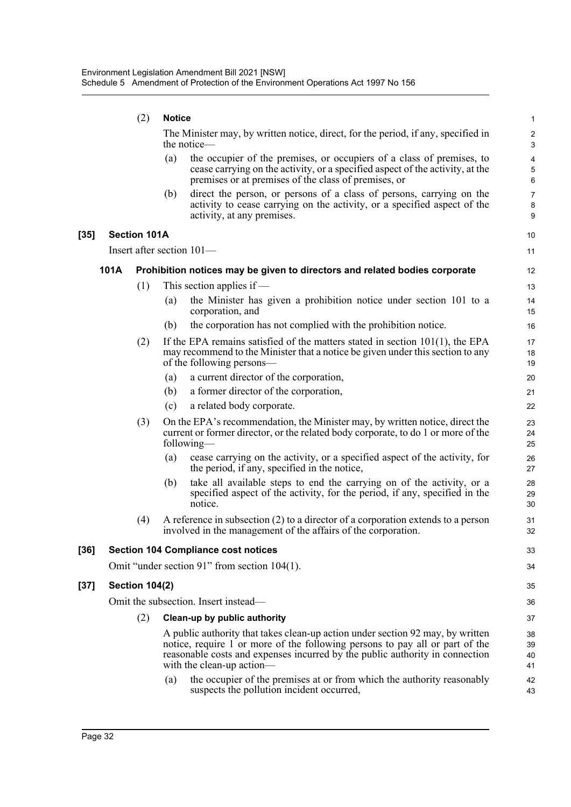|      |      | (2)                   | <b>Notice</b> |                                                                                                                                                                                                                                                                             | $\mathbf{1}$                                      |
|------|------|-----------------------|---------------|-----------------------------------------------------------------------------------------------------------------------------------------------------------------------------------------------------------------------------------------------------------------------------|---------------------------------------------------|
|      |      |                       |               | The Minister may, by written notice, direct, for the period, if any, specified in<br>the notice—                                                                                                                                                                            | $\sqrt{2}$<br>$\mathsf 3$                         |
|      |      |                       | (a)           | the occupier of the premises, or occupiers of a class of premises, to<br>cease carrying on the activity, or a specified aspect of the activity, at the<br>premises or at premises of the class of premises, or                                                              | $\overline{\mathbf{4}}$<br>$\mathbf 5$<br>$\,6\,$ |
|      |      |                       | (b)           | direct the person, or persons of a class of persons, carrying on the<br>activity to cease carrying on the activity, or a specified aspect of the<br>activity, at any premises.                                                                                              | $\overline{7}$<br>8<br>9                          |
| [35] |      | <b>Section 101A</b>   |               |                                                                                                                                                                                                                                                                             | 10                                                |
|      |      |                       |               | Insert after section 101-                                                                                                                                                                                                                                                   | 11                                                |
|      | 101A |                       |               | Prohibition notices may be given to directors and related bodies corporate                                                                                                                                                                                                  | 12                                                |
|      |      | (1)                   |               | This section applies if $-$                                                                                                                                                                                                                                                 | 13                                                |
|      |      |                       | (a)           | the Minister has given a prohibition notice under section 101 to a<br>corporation, and                                                                                                                                                                                      | 14<br>15                                          |
|      |      |                       | (b)           | the corporation has not complied with the prohibition notice.                                                                                                                                                                                                               | 16                                                |
|      |      | (2)                   |               | If the EPA remains satisfied of the matters stated in section $101(1)$ , the EPA<br>may recommend to the Minister that a notice be given under this section to any<br>of the following persons—                                                                             | 17<br>18<br>19                                    |
|      |      |                       | (a)           | a current director of the corporation,                                                                                                                                                                                                                                      | 20                                                |
|      |      |                       | (b)           | a former director of the corporation,                                                                                                                                                                                                                                       | 21                                                |
|      |      |                       | (c)           | a related body corporate.                                                                                                                                                                                                                                                   | 22                                                |
|      |      | (3)                   |               | On the EPA's recommendation, the Minister may, by written notice, direct the<br>current or former director, or the related body corporate, to do 1 or more of the<br>following—                                                                                             | 23<br>24<br>25                                    |
|      |      |                       | (a)           | cease carrying on the activity, or a specified aspect of the activity, for<br>the period, if any, specified in the notice,                                                                                                                                                  | 26<br>27                                          |
|      |      |                       | (b)           | take all available steps to end the carrying on of the activity, or a<br>specified aspect of the activity, for the period, if any, specified in the<br>notice.                                                                                                              | 28<br>29<br>30                                    |
|      |      | (4)                   |               | A reference in subsection $(2)$ to a director of a corporation extends to a person<br>involved in the management of the affairs of the corporation.                                                                                                                         | 31<br>32                                          |
| [36] |      |                       |               | <b>Section 104 Compliance cost notices</b>                                                                                                                                                                                                                                  | 33                                                |
|      |      |                       |               | Omit "under section 91" from section 104(1).                                                                                                                                                                                                                                | 34                                                |
| [37] |      | <b>Section 104(2)</b> |               |                                                                                                                                                                                                                                                                             | 35                                                |
|      |      |                       |               | Omit the subsection. Insert instead—                                                                                                                                                                                                                                        | 36                                                |
|      |      | (2)                   |               | Clean-up by public authority                                                                                                                                                                                                                                                | 37                                                |
|      |      |                       |               | A public authority that takes clean-up action under section 92 may, by written<br>notice, require 1 or more of the following persons to pay all or part of the<br>reasonable costs and expenses incurred by the public authority in connection<br>with the clean-up action— | 38<br>39<br>40<br>41                              |
|      |      |                       | (a)           | the occupier of the premises at or from which the authority reasonably<br>suspects the pollution incident occurred,                                                                                                                                                         | 42<br>43                                          |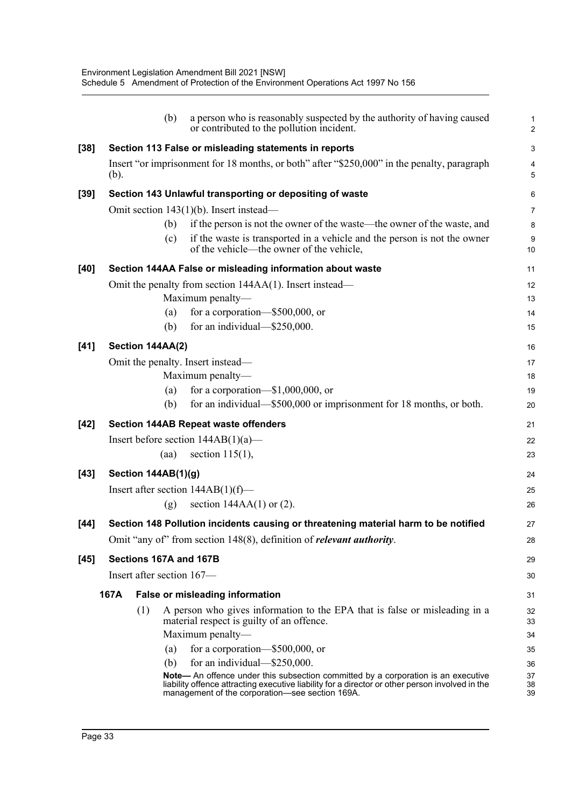|        | (b)                         | a person who is reasonably suspected by the authority of having caused<br>or contributed to the pollution incident.                                                                                                                            | 1<br>$\overline{2}$ |
|--------|-----------------------------|------------------------------------------------------------------------------------------------------------------------------------------------------------------------------------------------------------------------------------------------|---------------------|
| $[38]$ |                             | Section 113 False or misleading statements in reports                                                                                                                                                                                          | 3                   |
|        | (b).                        | Insert "or imprisonment for 18 months, or both" after "\$250,000" in the penalty, paragraph                                                                                                                                                    | 4<br>5              |
| $[39]$ |                             | Section 143 Unlawful transporting or depositing of waste                                                                                                                                                                                       | 6                   |
|        |                             | Omit section 143(1)(b). Insert instead—                                                                                                                                                                                                        | $\overline{7}$      |
|        | (b)                         | if the person is not the owner of the waste—the owner of the waste, and                                                                                                                                                                        | 8                   |
|        | (c)                         | if the waste is transported in a vehicle and the person is not the owner<br>of the vehicle—the owner of the vehicle,                                                                                                                           | 9<br>10             |
| [40]   |                             | Section 144AA False or misleading information about waste                                                                                                                                                                                      | 11                  |
|        |                             | Omit the penalty from section 144AA(1). Insert instead—                                                                                                                                                                                        | 12                  |
|        |                             | Maximum penalty-                                                                                                                                                                                                                               | 13                  |
|        | (a)                         | for a corporation-\$500,000, or                                                                                                                                                                                                                | 14                  |
|        | (b)                         | for an individual—\$250,000.                                                                                                                                                                                                                   | 15                  |
| $[41]$ | Section 144AA(2)            |                                                                                                                                                                                                                                                | 16                  |
|        |                             | Omit the penalty. Insert instead—                                                                                                                                                                                                              | 17                  |
|        |                             | Maximum penalty-                                                                                                                                                                                                                               | 18                  |
|        | (a)                         | for a corporation- $$1,000,000$ , or                                                                                                                                                                                                           | 19                  |
|        | (b)                         | for an individual—\$500,000 or imprisonment for 18 months, or both.                                                                                                                                                                            | 20                  |
| $[42]$ |                             | <b>Section 144AB Repeat waste offenders</b>                                                                                                                                                                                                    | 21                  |
|        |                             | Insert before section $144AB(1)(a)$ —                                                                                                                                                                                                          | 22                  |
|        | (aa)                        | section $115(1)$ ,                                                                                                                                                                                                                             | 23                  |
| $[43]$ | Section 144AB(1)(g)         |                                                                                                                                                                                                                                                | 24                  |
|        |                             | Insert after section $144AB(1)(f)$ —                                                                                                                                                                                                           | 25                  |
|        | (g)                         | section $144AA(1)$ or (2).                                                                                                                                                                                                                     | 26                  |
| $[44]$ |                             | Section 148 Pollution incidents causing or threatening material harm to be notified                                                                                                                                                            | 27                  |
|        |                             | Omit "any of" from section 148(8), definition of <i>relevant authority</i> .                                                                                                                                                                   | 28                  |
| $[45]$ | Sections 167A and 167B      |                                                                                                                                                                                                                                                | 29                  |
|        | Insert after section $167-$ |                                                                                                                                                                                                                                                | 30                  |
|        | 167A                        | <b>False or misleading information</b>                                                                                                                                                                                                         | 31                  |
|        | (1)                         | A person who gives information to the EPA that is false or misleading in a<br>material respect is guilty of an offence.                                                                                                                        | 32<br>33            |
|        |                             | Maximum penalty-                                                                                                                                                                                                                               | 34                  |
|        | (a)                         | for a corporation- $$500,000$ , or                                                                                                                                                                                                             | 35                  |
|        | (b)                         | for an individual— $$250,000$ .                                                                                                                                                                                                                | 36                  |
|        |                             | <b>Note—</b> An offence under this subsection committed by a corporation is an executive<br>liability offence attracting executive liability for a director or other person involved in the<br>management of the corporation-see section 169A. | 37<br>38<br>39      |
|        |                             |                                                                                                                                                                                                                                                |                     |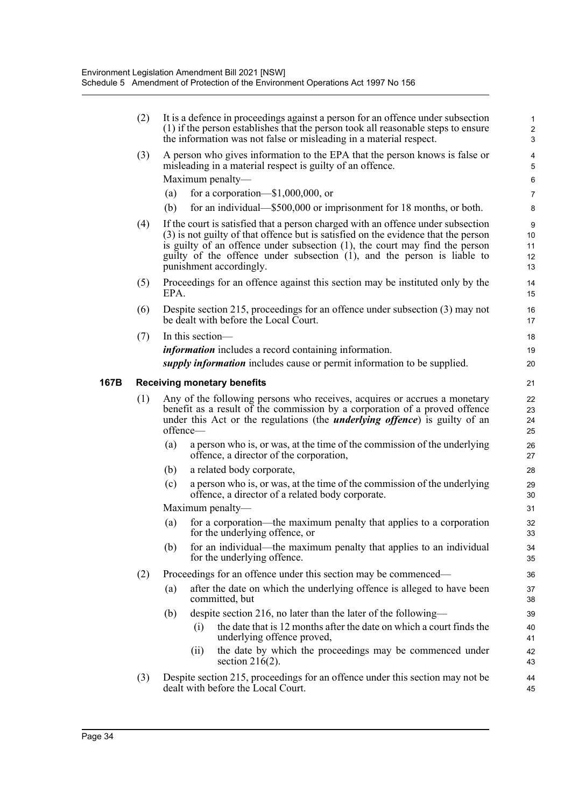|      | (2) |          | It is a defence in proceedings against a person for an offence under subsection<br>(1) if the person establishes that the person took all reasonable steps to ensure<br>the information was not false or misleading in a material respect.                                                                                                                     | $\mathbf{1}$<br>$\sqrt{2}$<br>3 |
|------|-----|----------|----------------------------------------------------------------------------------------------------------------------------------------------------------------------------------------------------------------------------------------------------------------------------------------------------------------------------------------------------------------|---------------------------------|
|      | (3) |          | A person who gives information to the EPA that the person knows is false or<br>misleading in a material respect is guilty of an offence.                                                                                                                                                                                                                       | $\overline{4}$<br>5             |
|      |     |          | Maximum penalty-                                                                                                                                                                                                                                                                                                                                               | $\,6\,$                         |
|      |     | (a)      | for a corporation— $$1,000,000$ , or                                                                                                                                                                                                                                                                                                                           | $\overline{7}$                  |
|      |     | (b)      | for an individual—\$500,000 or imprisonment for 18 months, or both.                                                                                                                                                                                                                                                                                            | 8                               |
|      | (4) |          | If the court is satisfied that a person charged with an offence under subsection<br>(3) is not guilty of that offence but is satisfied on the evidence that the person<br>is guilty of an offence under subsection $(1)$ , the court may find the person<br>guilty of the offence under subsection (1), and the person is liable to<br>punishment accordingly. | 9<br>10<br>11<br>12<br>13       |
|      | (5) | EPA.     | Proceedings for an offence against this section may be instituted only by the                                                                                                                                                                                                                                                                                  | 14<br>15                        |
|      | (6) |          | Despite section 215, proceedings for an offence under subsection (3) may not<br>be dealt with before the Local Court.                                                                                                                                                                                                                                          | 16<br>17                        |
|      | (7) |          | In this section-                                                                                                                                                                                                                                                                                                                                               | 18                              |
|      |     |          | <i>information</i> includes a record containing information.                                                                                                                                                                                                                                                                                                   | 19                              |
|      |     |          | supply information includes cause or permit information to be supplied.                                                                                                                                                                                                                                                                                        | 20                              |
| 167B |     |          | <b>Receiving monetary benefits</b>                                                                                                                                                                                                                                                                                                                             | 21                              |
|      | (1) | offence- | Any of the following persons who receives, acquires or accrues a monetary<br>benefit as a result of the commission by a corporation of a proved offence<br>under this Act or the regulations (the <i>underlying offence</i> ) is guilty of an                                                                                                                  | 22<br>23<br>24<br>25            |
|      |     | (a)      | a person who is, or was, at the time of the commission of the underlying<br>offence, a director of the corporation,                                                                                                                                                                                                                                            | 26<br>27                        |
|      |     | (b)      | a related body corporate,                                                                                                                                                                                                                                                                                                                                      | 28                              |
|      |     | (c)      | a person who is, or was, at the time of the commission of the underlying<br>offence, a director of a related body corporate.                                                                                                                                                                                                                                   | 29<br>30                        |
|      |     |          | Maximum penalty—                                                                                                                                                                                                                                                                                                                                               | 31                              |
|      |     | (a)      | for a corporation—the maximum penalty that applies to a corporation<br>for the underlying offence, or                                                                                                                                                                                                                                                          | 32<br>33                        |
|      |     | (b)      | for an individual—the maximum penalty that applies to an individual<br>for the underlying offence.                                                                                                                                                                                                                                                             | 34<br>35                        |
|      | (2) |          | Proceedings for an offence under this section may be commenced—                                                                                                                                                                                                                                                                                                | 36                              |
|      |     | (a)      | after the date on which the underlying offence is alleged to have been<br>committed, but                                                                                                                                                                                                                                                                       | 37<br>38                        |
|      |     | (b)      | despite section 216, no later than the later of the following—                                                                                                                                                                                                                                                                                                 | 39                              |
|      |     |          | the date that is 12 months after the date on which a court finds the<br>(i)                                                                                                                                                                                                                                                                                    | 40<br>41                        |
|      |     |          | underlying offence proved,                                                                                                                                                                                                                                                                                                                                     |                                 |
|      |     |          | the date by which the proceedings may be commenced under<br>(i)<br>section $216(2)$ .                                                                                                                                                                                                                                                                          | 42<br>43                        |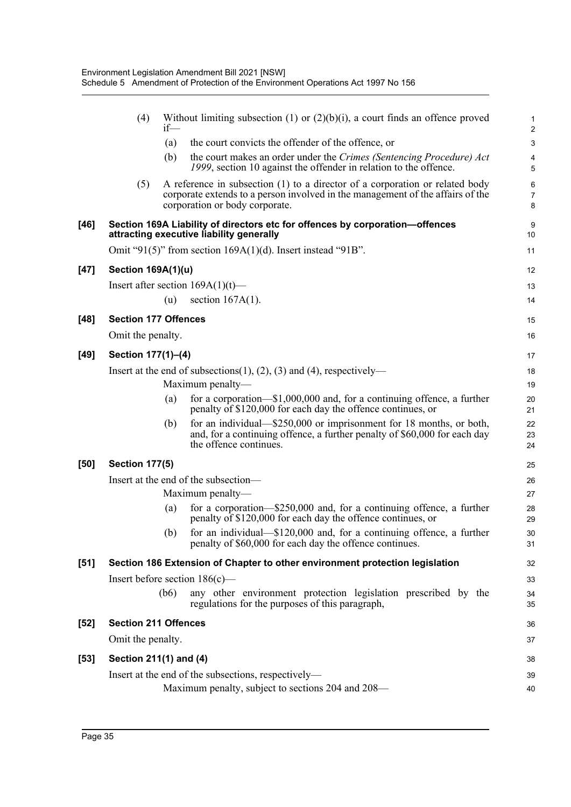|        | (4)                                                                              | $if$ — | Without limiting subsection (1) or $(2)(b)(i)$ , a court finds an offence proved                                                                                                                 | $\mathbf{1}$<br>$\overline{2}$        |  |  |  |
|--------|----------------------------------------------------------------------------------|--------|--------------------------------------------------------------------------------------------------------------------------------------------------------------------------------------------------|---------------------------------------|--|--|--|
|        |                                                                                  | (a)    | the court convicts the offender of the offence, or                                                                                                                                               | $\sqrt{3}$                            |  |  |  |
|        |                                                                                  | (b)    | the court makes an order under the Crimes (Sentencing Procedure) Act<br>1999, section 10 against the offender in relation to the offence.                                                        | 4<br>5                                |  |  |  |
|        | (5)                                                                              |        | A reference in subsection (1) to a director of a corporation or related body<br>corporate extends to a person involved in the management of the affairs of the<br>corporation or body corporate. | $6\phantom{1}$<br>$\overline{7}$<br>8 |  |  |  |
| $[46]$ |                                                                                  |        | Section 169A Liability of directors etc for offences by corporation-offences<br>attracting executive liability generally                                                                         | 9<br>10                               |  |  |  |
|        |                                                                                  |        | Omit "91(5)" from section $169A(1)(d)$ . Insert instead "91B".                                                                                                                                   | 11                                    |  |  |  |
| $[47]$ | <b>Section 169A(1)(u)</b>                                                        |        |                                                                                                                                                                                                  | 12                                    |  |  |  |
|        |                                                                                  |        | Insert after section $169A(1)(t)$ —                                                                                                                                                              | 13                                    |  |  |  |
|        |                                                                                  | (u)    | section $167A(1)$ .                                                                                                                                                                              | 14                                    |  |  |  |
| $[48]$ | <b>Section 177 Offences</b>                                                      |        |                                                                                                                                                                                                  | 15                                    |  |  |  |
|        | Omit the penalty.                                                                |        |                                                                                                                                                                                                  | 16                                    |  |  |  |
| $[49]$ | Section 177(1)-(4)                                                               |        |                                                                                                                                                                                                  | 17                                    |  |  |  |
|        | Insert at the end of subsections $(1)$ , $(2)$ , $(3)$ and $(4)$ , respectively— |        |                                                                                                                                                                                                  |                                       |  |  |  |
|        |                                                                                  |        | Maximum penalty-                                                                                                                                                                                 | 19                                    |  |  |  |
|        |                                                                                  | (a)    | for a corporation— $$1,000,000$ and, for a continuing offence, a further<br>penalty of \$120,000 for each day the offence continues, or                                                          | 20<br>21                              |  |  |  |
|        |                                                                                  | (b)    | for an individual— $$250,000$ or imprisonment for 18 months, or both,<br>and, for a continuing offence, a further penalty of \$60,000 for each day<br>the offence continues.                     | 22<br>23<br>24                        |  |  |  |
| [50]   | <b>Section 177(5)</b>                                                            |        |                                                                                                                                                                                                  | 25                                    |  |  |  |
|        |                                                                                  |        | Insert at the end of the subsection-                                                                                                                                                             | 26                                    |  |  |  |
|        |                                                                                  |        | Maximum penalty-                                                                                                                                                                                 | 27                                    |  |  |  |
|        |                                                                                  | (a)    | for a corporation— $$250,000$ and, for a continuing offence, a further<br>penalty of \$120,000 for each day the offence continues, or                                                            | 28<br>29                              |  |  |  |
|        |                                                                                  |        | (b) for an individual—\$120,000 and, for a continuing offence, a further<br>penalty of \$60,000 for each day the offence continues.                                                              | $30\,$<br>31                          |  |  |  |
| [51]   |                                                                                  |        | Section 186 Extension of Chapter to other environment protection legislation                                                                                                                     | 32                                    |  |  |  |
|        |                                                                                  |        | Insert before section $186(c)$ —                                                                                                                                                                 | 33                                    |  |  |  |
|        |                                                                                  | (b6)   | any other environment protection legislation prescribed by the<br>regulations for the purposes of this paragraph,                                                                                | 34<br>35                              |  |  |  |
| $[52]$ | <b>Section 211 Offences</b>                                                      |        |                                                                                                                                                                                                  | 36                                    |  |  |  |
|        | Omit the penalty.                                                                |        |                                                                                                                                                                                                  | 37                                    |  |  |  |
| $[53]$ | Section 211(1) and (4)                                                           |        |                                                                                                                                                                                                  | 38                                    |  |  |  |
|        |                                                                                  |        | Insert at the end of the subsections, respectively-                                                                                                                                              | 39                                    |  |  |  |
|        |                                                                                  |        | Maximum penalty, subject to sections 204 and 208—                                                                                                                                                | 40                                    |  |  |  |
|        |                                                                                  |        |                                                                                                                                                                                                  |                                       |  |  |  |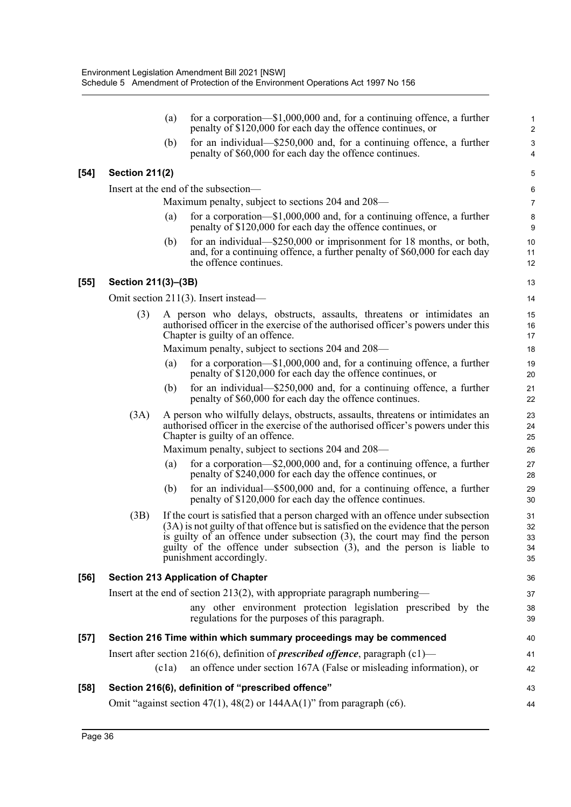|        |                       | (a)   | for a corporation— $$1,000,000$ and, for a continuing offence, a further<br>penalty of \$120,000 for each day the offence continues, or                                                                                                                                                                                                                         | $\mathbf{1}$<br>$\overline{2}$ |
|--------|-----------------------|-------|-----------------------------------------------------------------------------------------------------------------------------------------------------------------------------------------------------------------------------------------------------------------------------------------------------------------------------------------------------------------|--------------------------------|
|        |                       | (b)   | for an individual—\$250,000 and, for a continuing offence, a further<br>penalty of \$60,000 for each day the offence continues.                                                                                                                                                                                                                                 | $\mathsf 3$<br>4               |
| $[54]$ | <b>Section 211(2)</b> |       |                                                                                                                                                                                                                                                                                                                                                                 | 5                              |
|        |                       |       | Insert at the end of the subsection—                                                                                                                                                                                                                                                                                                                            | 6                              |
|        |                       |       | Maximum penalty, subject to sections 204 and 208—                                                                                                                                                                                                                                                                                                               | $\overline{7}$                 |
|        |                       | (a)   | for a corporation— $$1,000,000$ and, for a continuing offence, a further<br>penalty of \$120,000 for each day the offence continues, or                                                                                                                                                                                                                         | $\bf 8$<br>9                   |
|        |                       | (b)   | for an individual—\$250,000 or imprisonment for 18 months, or both,<br>and, for a continuing offence, a further penalty of \$60,000 for each day<br>the offence continues.                                                                                                                                                                                      | 10<br>11<br>12                 |
| $[55]$ | Section 211(3)-(3B)   |       |                                                                                                                                                                                                                                                                                                                                                                 | 13                             |
|        |                       |       | Omit section 211(3). Insert instead—                                                                                                                                                                                                                                                                                                                            | 14                             |
|        | (3)                   |       | A person who delays, obstructs, assaults, threatens or intimidates an<br>authorised officer in the exercise of the authorised officer's powers under this<br>Chapter is guilty of an offence.                                                                                                                                                                   | 15<br>16<br>17                 |
|        |                       |       | Maximum penalty, subject to sections 204 and 208—                                                                                                                                                                                                                                                                                                               | 18                             |
|        |                       | (a)   | for a corporation— $$1,000,000$ and, for a continuing offence, a further<br>penalty of \$120,000 for each day the offence continues, or                                                                                                                                                                                                                         | 19<br>20                       |
|        |                       | (b)   | for an individual—\$250,000 and, for a continuing offence, a further<br>penalty of \$60,000 for each day the offence continues.                                                                                                                                                                                                                                 | 21<br>22                       |
|        | (3A)                  |       | A person who wilfully delays, obstructs, assaults, threatens or intimidates an<br>authorised officer in the exercise of the authorised officer's powers under this<br>Chapter is guilty of an offence.                                                                                                                                                          | 23<br>24<br>25                 |
|        |                       |       | Maximum penalty, subject to sections 204 and 208—                                                                                                                                                                                                                                                                                                               | 26                             |
|        |                       | (a)   | for a corporation— $$2,000,000$ and, for a continuing offence, a further<br>penalty of \$240,000 for each day the offence continues, or                                                                                                                                                                                                                         | 27<br>28                       |
|        |                       | (b)   | for an individual-\$500,000 and, for a continuing offence, a further<br>penalty of \$120,000 for each day the offence continues.                                                                                                                                                                                                                                | 29<br>30                       |
|        | (3B)                  |       | If the court is satisfied that a person charged with an offence under subsection<br>(3A) is not guilty of that offence but is satisfied on the evidence that the person<br>is guilty of an offence under subsection $(3)$ , the court may find the person<br>guilty of the offence under subsection (3), and the person is liable to<br>punishment accordingly. | 31<br>32<br>33<br>34<br>35     |
| $[56]$ |                       |       | <b>Section 213 Application of Chapter</b>                                                                                                                                                                                                                                                                                                                       | 36                             |
|        |                       |       | Insert at the end of section 213(2), with appropriate paragraph numbering—                                                                                                                                                                                                                                                                                      | 37                             |
|        |                       |       | any other environment protection legislation prescribed by the<br>regulations for the purposes of this paragraph.                                                                                                                                                                                                                                               | 38<br>39                       |
| $[57]$ |                       |       | Section 216 Time within which summary proceedings may be commenced                                                                                                                                                                                                                                                                                              | 40                             |
|        |                       |       | Insert after section 216(6), definition of <i>prescribed offence</i> , paragraph $(c1)$ —                                                                                                                                                                                                                                                                       | 41                             |
|        |                       | (c1a) | an offence under section 167A (False or misleading information), or                                                                                                                                                                                                                                                                                             | 42                             |
| $[58]$ |                       |       | Section 216(6), definition of "prescribed offence"                                                                                                                                                                                                                                                                                                              | 43                             |
|        |                       |       | Omit "against section 47(1), 48(2) or 144AA(1)" from paragraph (c6).                                                                                                                                                                                                                                                                                            | 44                             |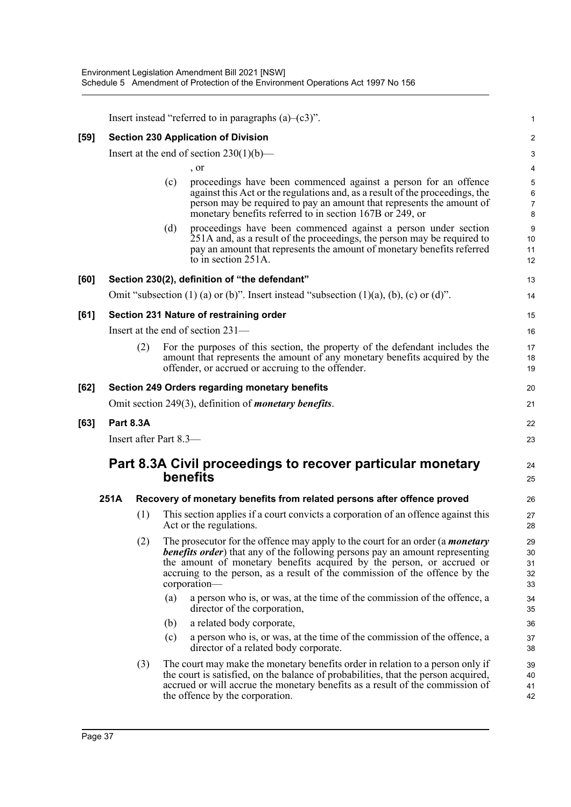|      |                  | Insert instead "referred to in paragraphs $(a)$ – $(c3)$ ". |     |                                                                                                                                                                                                                                                                                                                                                       |                               |  |  |  |
|------|------------------|-------------------------------------------------------------|-----|-------------------------------------------------------------------------------------------------------------------------------------------------------------------------------------------------------------------------------------------------------------------------------------------------------------------------------------------------------|-------------------------------|--|--|--|
| [59] |                  |                                                             |     | <b>Section 230 Application of Division</b>                                                                                                                                                                                                                                                                                                            | $\overline{c}$                |  |  |  |
|      |                  |                                                             |     | Insert at the end of section $230(1)(b)$ —                                                                                                                                                                                                                                                                                                            | 3                             |  |  |  |
|      |                  |                                                             |     | , or                                                                                                                                                                                                                                                                                                                                                  | 4                             |  |  |  |
|      |                  |                                                             | (c) | proceedings have been commenced against a person for an offence<br>against this Act or the regulations and, as a result of the proceedings, the<br>person may be required to pay an amount that represents the amount of<br>monetary benefits referred to in section 167B or 249, or                                                                  | 5<br>6<br>$\overline{7}$<br>8 |  |  |  |
|      |                  |                                                             | (d) | proceedings have been commenced against a person under section<br>251A and, as a result of the proceedings, the person may be required to<br>pay an amount that represents the amount of monetary benefits referred<br>to in section 251A.                                                                                                            | 9<br>10<br>11<br>12           |  |  |  |
| [60] |                  |                                                             |     | Section 230(2), definition of "the defendant"                                                                                                                                                                                                                                                                                                         | 13                            |  |  |  |
|      |                  |                                                             |     | Omit "subsection $(1)$ (a) or (b)". Insert instead "subsection $(1)(a)$ , (b), (c) or (d)".                                                                                                                                                                                                                                                           | 14                            |  |  |  |
| [61] |                  |                                                             |     | Section 231 Nature of restraining order                                                                                                                                                                                                                                                                                                               | 15                            |  |  |  |
|      |                  |                                                             |     | Insert at the end of section 231-                                                                                                                                                                                                                                                                                                                     | 16                            |  |  |  |
|      |                  | (2)                                                         |     | For the purposes of this section, the property of the defendant includes the<br>amount that represents the amount of any monetary benefits acquired by the<br>offender, or accrued or accruing to the offender.                                                                                                                                       | 17<br>18<br>19                |  |  |  |
| [62] |                  |                                                             |     | <b>Section 249 Orders regarding monetary benefits</b>                                                                                                                                                                                                                                                                                                 | 20                            |  |  |  |
|      |                  |                                                             |     | Omit section 249(3), definition of <i>monetary benefits</i> .                                                                                                                                                                                                                                                                                         | 21                            |  |  |  |
| [63] | <b>Part 8.3A</b> |                                                             |     |                                                                                                                                                                                                                                                                                                                                                       | 22                            |  |  |  |
|      |                  | Insert after Part 8.3-                                      |     |                                                                                                                                                                                                                                                                                                                                                       | 23                            |  |  |  |
|      |                  |                                                             |     | Part 8.3A Civil proceedings to recover particular monetary<br>benefits                                                                                                                                                                                                                                                                                | 24<br>25                      |  |  |  |
|      | 251A             |                                                             |     | Recovery of monetary benefits from related persons after offence proved                                                                                                                                                                                                                                                                               | 26                            |  |  |  |
|      |                  | (1)                                                         |     | This section applies if a court convicts a corporation of an offence against this<br>Act or the regulations.                                                                                                                                                                                                                                          | 27<br>28                      |  |  |  |
|      |                  | (2)                                                         |     | The prosecutor for the offence may apply to the court for an order (a <i>monetary</i><br><b>benefits order</b> ) that any of the following persons pay an amount representing<br>the amount of monetary benefits acquired by the person, or accrued or<br>accruing to the person, as a result of the commission of the offence by the<br>corporation- | 29<br>30<br>31<br>32<br>33    |  |  |  |
|      |                  |                                                             | (a) | a person who is, or was, at the time of the commission of the offence, a<br>director of the corporation,                                                                                                                                                                                                                                              | 34<br>35                      |  |  |  |
|      |                  |                                                             | (b) | a related body corporate,                                                                                                                                                                                                                                                                                                                             | 36                            |  |  |  |
|      |                  |                                                             | (c) | a person who is, or was, at the time of the commission of the offence, a<br>director of a related body corporate.                                                                                                                                                                                                                                     | 37<br>38                      |  |  |  |
|      |                  | (3)                                                         |     | The court may make the monetary benefits order in relation to a person only if<br>the court is satisfied, on the balance of probabilities, that the person acquired,<br>accrued or will accrue the monetary benefits as a result of the commission of<br>the offence by the corporation.                                                              | 39<br>40<br>41<br>42          |  |  |  |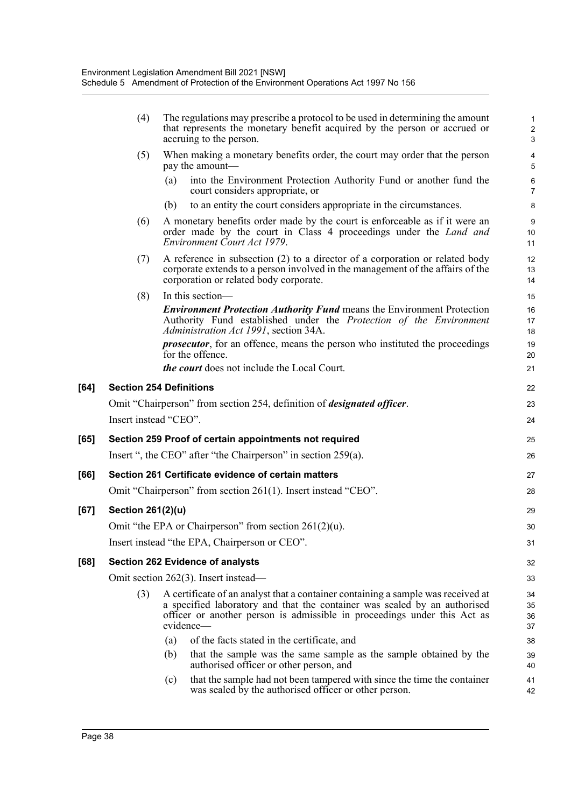|      | (4)                   | The regulations may prescribe a protocol to be used in determining the amount<br>that represents the monetary benefit acquired by the person or accrued or<br>accruing to the person.                                                                  | $\mathbf{1}$<br>$\overline{c}$<br>3 |
|------|-----------------------|--------------------------------------------------------------------------------------------------------------------------------------------------------------------------------------------------------------------------------------------------------|-------------------------------------|
|      | (5)                   | When making a monetary benefits order, the court may order that the person<br>pay the amount-                                                                                                                                                          | 4<br>5                              |
|      |                       | (a)<br>into the Environment Protection Authority Fund or another fund the<br>court considers appropriate, or                                                                                                                                           | 6<br>$\overline{7}$                 |
|      |                       | to an entity the court considers appropriate in the circumstances.<br>(b)                                                                                                                                                                              | 8                                   |
|      | (6)                   | A monetary benefits order made by the court is enforceable as if it were an<br>order made by the court in Class 4 proceedings under the Land and<br>Environment Court Act 1979.                                                                        | $\boldsymbol{9}$<br>10<br>11        |
|      | (7)                   | A reference in subsection (2) to a director of a corporation or related body<br>corporate extends to a person involved in the management of the affairs of the<br>corporation or related body corporate.                                               | 12<br>13<br>14                      |
|      | (8)                   | In this section-                                                                                                                                                                                                                                       | 15                                  |
|      |                       | <b>Environment Protection Authority Fund means the Environment Protection</b><br>Authority Fund established under the Protection of the Environment<br>Administration Act 1991, section 34A.                                                           | 16<br>17<br>18                      |
|      |                       | <i>prosecutor</i> , for an offence, means the person who instituted the proceedings<br>for the offence.                                                                                                                                                | 19<br>20                            |
|      |                       | the court does not include the Local Court.                                                                                                                                                                                                            | 21                                  |
| [64] |                       | <b>Section 254 Definitions</b>                                                                                                                                                                                                                         | 22                                  |
|      |                       | Omit "Chairperson" from section 254, definition of <i>designated officer</i> .                                                                                                                                                                         | 23                                  |
|      | Insert instead "CEO". |                                                                                                                                                                                                                                                        | 24                                  |
| [65] |                       | Section 259 Proof of certain appointments not required                                                                                                                                                                                                 | 25                                  |
|      |                       | Insert ", the CEO" after "the Chairperson" in section 259(a).                                                                                                                                                                                          | 26                                  |
| [66] |                       | Section 261 Certificate evidence of certain matters                                                                                                                                                                                                    | 27                                  |
|      |                       | Omit "Chairperson" from section 261(1). Insert instead "CEO".                                                                                                                                                                                          | 28                                  |
| [67] | Section 261(2)(u)     |                                                                                                                                                                                                                                                        | 29                                  |
|      |                       | Omit "the EPA or Chairperson" from section $261(2)(u)$ .                                                                                                                                                                                               | 30                                  |
|      |                       | Insert instead "the EPA, Chairperson or CEO".                                                                                                                                                                                                          | 31                                  |
| [68] |                       | <b>Section 262 Evidence of analysts</b>                                                                                                                                                                                                                | 32                                  |
|      |                       | Omit section 262(3). Insert instead—                                                                                                                                                                                                                   | 33                                  |
|      | (3)                   | A certificate of an analyst that a container containing a sample was received at<br>a specified laboratory and that the container was sealed by an authorised<br>officer or another person is admissible in proceedings under this Act as<br>evidence— | 34<br>35<br>36<br>37                |
|      |                       | (a)<br>of the facts stated in the certificate, and                                                                                                                                                                                                     | 38                                  |
|      |                       | (b)<br>that the sample was the same sample as the sample obtained by the<br>authorised officer or other person, and                                                                                                                                    | 39<br>40                            |
|      |                       | that the sample had not been tampered with since the time the container<br>(c)<br>was sealed by the authorised officer or other person.                                                                                                                | 41<br>42                            |
|      |                       |                                                                                                                                                                                                                                                        |                                     |

 $[64]$ 

[67]

**[68]**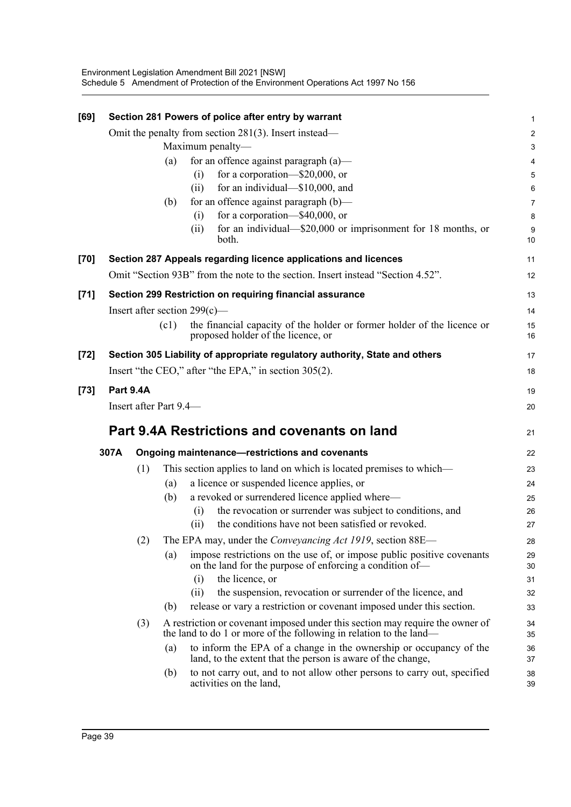| [69]   |                  |     |                                         | Section 281 Powers of police after entry by warrant                                                                                                 | 1                       |
|--------|------------------|-----|-----------------------------------------|-----------------------------------------------------------------------------------------------------------------------------------------------------|-------------------------|
|        |                  |     |                                         | Omit the penalty from section $281(3)$ . Insert instead—                                                                                            | $\overline{\mathbf{c}}$ |
|        |                  |     |                                         | Maximum penalty-                                                                                                                                    | 3                       |
|        |                  |     | (a)                                     | for an offence against paragraph (a)-                                                                                                               | 4                       |
|        |                  |     |                                         | for a corporation-\$20,000, or<br>(i)                                                                                                               | 5                       |
|        |                  |     | for an individual-\$10,000, and<br>(ii) |                                                                                                                                                     | 6                       |
|        |                  |     | (b)                                     | for an offence against paragraph (b)—                                                                                                               | 7                       |
|        |                  |     |                                         | for a corporation-\$40,000, or<br>(i)                                                                                                               | 8                       |
|        |                  |     |                                         | for an individual—\$20,000 or imprisonment for 18 months, or<br>(ii)<br>both.                                                                       | 9<br>10                 |
| [70]   |                  |     |                                         | Section 287 Appeals regarding licence applications and licences                                                                                     | 11                      |
|        |                  |     |                                         | Omit "Section 93B" from the note to the section. Insert instead "Section 4.52".                                                                     | 12                      |
| $[71]$ |                  |     |                                         | Section 299 Restriction on requiring financial assurance                                                                                            | 13                      |
|        |                  |     |                                         | Insert after section $299(c)$ —                                                                                                                     | 14                      |
|        |                  |     | (c1)                                    | the financial capacity of the holder or former holder of the licence or<br>proposed holder of the licence, or                                       | 15<br>16                |
| $[72]$ |                  |     |                                         | Section 305 Liability of appropriate regulatory authority, State and others                                                                         | 17                      |
|        |                  |     |                                         | Insert "the CEO," after "the EPA," in section 305(2).                                                                                               | 18                      |
| $[73]$ | <b>Part 9.4A</b> |     |                                         |                                                                                                                                                     | 19                      |
|        |                  |     | Insert after Part 9.4-                  |                                                                                                                                                     | 20                      |
|        |                  |     |                                         | Part 9.4A Restrictions and covenants on land                                                                                                        | 21                      |
|        | 307A             |     |                                         | Ongoing maintenance-restrictions and covenants                                                                                                      | 22                      |
|        |                  | (1) |                                         | This section applies to land on which is located premises to which—                                                                                 | 23                      |
|        |                  |     | (a)                                     | a licence or suspended licence applies, or                                                                                                          | 24                      |
|        |                  |     | (b)                                     | a revoked or surrendered licence applied where-                                                                                                     | 25                      |
|        |                  |     |                                         | the revocation or surrender was subject to conditions, and<br>(i)                                                                                   | 26                      |
|        |                  |     |                                         | the conditions have not been satisfied or revoked.<br>(i)                                                                                           | 27                      |
|        |                  | (2) |                                         | The EPA may, under the <i>Conveyancing Act 1919</i> , section 88E—                                                                                  | 28                      |
|        |                  |     | (a)                                     | impose restrictions on the use of, or impose public positive covenants<br>on the land for the purpose of enforcing a condition of-                  | 29<br>30                |
|        |                  |     |                                         | the licence, or<br>(i)                                                                                                                              | 31                      |
|        |                  |     |                                         | the suspension, revocation or surrender of the licence, and<br>(i)                                                                                  | 32                      |
|        |                  |     | (b)                                     | release or vary a restriction or covenant imposed under this section.                                                                               | 33                      |
|        |                  | (3) |                                         | A restriction or covenant imposed under this section may require the owner of<br>the land to do 1 or more of the following in relation to the land— | 34<br>35                |
|        |                  |     | (a)                                     | to inform the EPA of a change in the ownership or occupancy of the<br>land, to the extent that the person is aware of the change,                   | 36<br>37                |
|        |                  |     | (b)                                     | to not carry out, and to not allow other persons to carry out, specified<br>activities on the land,                                                 | 38<br>39                |
|        |                  |     |                                         |                                                                                                                                                     |                         |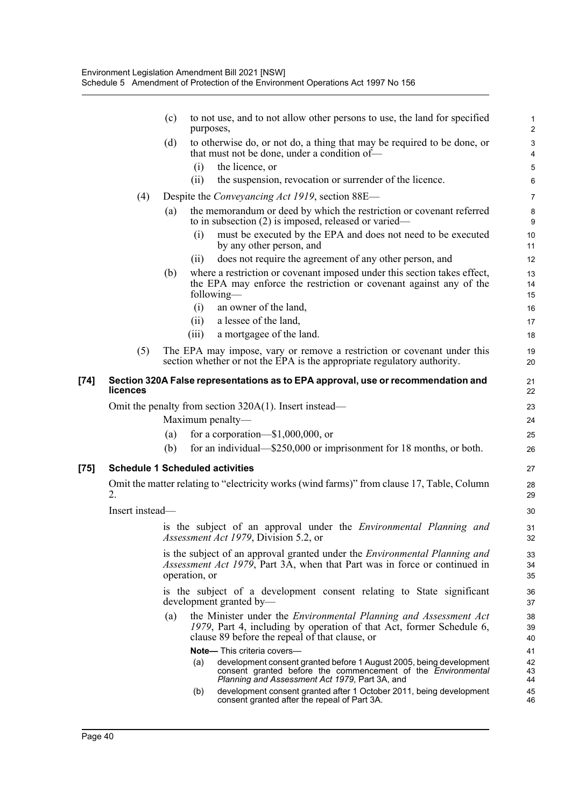|      |                 | (c) | to not use, and to not allow other persons to use, the land for specified<br>purposes,                                                                                                                                                    | $\mathbf{1}$<br>$\overline{2}$ |
|------|-----------------|-----|-------------------------------------------------------------------------------------------------------------------------------------------------------------------------------------------------------------------------------------------|--------------------------------|
|      |                 | (d) | to otherwise do, or not do, a thing that may be required to be done, or<br>that must not be done, under a condition of-                                                                                                                   | $\mathbf{3}$<br>4              |
|      |                 |     | (i)<br>the licence, or                                                                                                                                                                                                                    | 5                              |
|      |                 |     | the suspension, revocation or surrender of the licence.<br>(i)                                                                                                                                                                            | 6                              |
|      | (4)             |     | Despite the <i>Conveyancing Act 1919</i> , section 88E—                                                                                                                                                                                   | $\overline{7}$                 |
|      |                 | (a) | the memorandum or deed by which the restriction or covenant referred<br>to in subsection (2) is imposed, released or varied—                                                                                                              | 8<br>9                         |
|      |                 |     | must be executed by the EPA and does not need to be executed<br>(i)<br>by any other person, and                                                                                                                                           | 10<br>11                       |
|      |                 |     | does not require the agreement of any other person, and<br>(i)                                                                                                                                                                            | 12                             |
|      |                 | (b) | where a restriction or covenant imposed under this section takes effect,<br>the EPA may enforce the restriction or covenant against any of the<br>following—                                                                              | 13<br>14<br>15                 |
|      |                 |     | an owner of the land,<br>(i)                                                                                                                                                                                                              | 16                             |
|      |                 |     | a lessee of the land,<br>(ii)                                                                                                                                                                                                             | 17                             |
|      |                 |     | (iii)<br>a mortgagee of the land.                                                                                                                                                                                                         | 18                             |
|      | (5)             |     | The EPA may impose, vary or remove a restriction or covenant under this<br>section whether or not the EPA is the appropriate regulatory authority.                                                                                        | 19<br>20                       |
| [74] | licences        |     | Section 320A False representations as to EPA approval, use or recommendation and                                                                                                                                                          | 21<br>22                       |
|      |                 |     | Omit the penalty from section $320A(1)$ . Insert instead—                                                                                                                                                                                 | 23                             |
|      |                 |     | Maximum penalty-                                                                                                                                                                                                                          | 24                             |
|      |                 | (a) | for a corporation— $$1,000,000$ , or                                                                                                                                                                                                      | 25                             |
|      |                 | (b) | for an individual— $$250,000$ or imprisonment for 18 months, or both.                                                                                                                                                                     | 26                             |
| [75] |                 |     | <b>Schedule 1 Scheduled activities</b>                                                                                                                                                                                                    | 27                             |
|      | 2.              |     | Omit the matter relating to "electricity works (wind farms)" from clause 17, Table, Column                                                                                                                                                | 28<br>29                       |
|      | Insert instead- |     |                                                                                                                                                                                                                                           | 30                             |
|      |                 |     | is the subject of an approval under the Environmental Planning and<br>Assessment Act 1979, Division 5.2, or                                                                                                                               | 31<br>32                       |
|      |                 |     | is the subject of an approval granted under the <i>Environmental Planning and</i><br><i>Assessment Act 1979</i> , Part 3A, when that Part was in force or continued in<br>operation, or                                                   | 33<br>34<br>35                 |
|      |                 |     | is the subject of a development consent relating to State significant<br>development granted by-                                                                                                                                          | 36<br>37                       |
|      |                 | (a) | the Minister under the <i>Environmental Planning and Assessment Act</i><br>1979, Part 4, including by operation of that Act, former Schedule 6,<br>clause 89 before the repeal of that clause, or                                         | 38<br>39<br>40                 |
|      |                 |     | <b>Note—</b> This criteria covers—<br>development consent granted before 1 August 2005, being development<br>(a)<br>consent granted before the commencement of the <i>Environmental</i><br>Planning and Assessment Act 1979, Part 3A, and | 41<br>42<br>43<br>44           |
|      |                 |     | development consent granted after 1 October 2011, being development<br>(b)<br>consent granted after the repeal of Part 3A.                                                                                                                | 45<br>46                       |

 $[75]$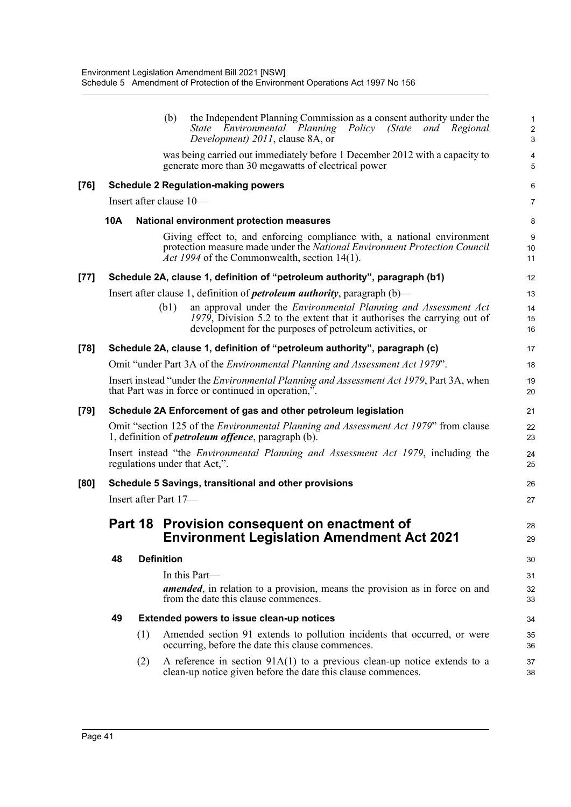|      |                                                       |     | the Independent Planning Commission as a consent authority under the<br>(b)<br>State Environmental Planning<br>Policy<br>(State)<br>and Regional<br>Development) 2011, clause 8A, or                                  | 1<br>$\overline{c}$<br>$\mathbf{3}$ |  |
|------|-------------------------------------------------------|-----|-----------------------------------------------------------------------------------------------------------------------------------------------------------------------------------------------------------------------|-------------------------------------|--|
|      |                                                       |     | was being carried out immediately before 1 December 2012 with a capacity to<br>generate more than 30 megawatts of electrical power                                                                                    | $\overline{\mathbf{4}}$<br>5        |  |
| [76] |                                                       |     | <b>Schedule 2 Regulation-making powers</b>                                                                                                                                                                            | 6                                   |  |
|      |                                                       |     | Insert after clause 10-                                                                                                                                                                                               | $\overline{7}$                      |  |
|      | 10A                                                   |     | National environment protection measures                                                                                                                                                                              | 8                                   |  |
|      |                                                       |     | Giving effect to, and enforcing compliance with, a national environment<br>protection measure made under the National Environment Protection Council<br><i>Act 1994</i> of the Commonwealth, section 14(1).           | 9<br>10<br>11                       |  |
| [77] |                                                       |     | Schedule 2A, clause 1, definition of "petroleum authority", paragraph (b1)                                                                                                                                            | 12                                  |  |
|      |                                                       |     | Insert after clause 1, definition of <i>petroleum authority</i> , paragraph $(b)$ —                                                                                                                                   | 13                                  |  |
|      |                                                       |     | (b1)<br>an approval under the <i>Environmental Planning and Assessment Act</i><br>1979, Division 5.2 to the extent that it authorises the carrying out of<br>development for the purposes of petroleum activities, or | 14<br>15<br>16                      |  |
| [78] |                                                       |     | Schedule 2A, clause 1, definition of "petroleum authority", paragraph (c)                                                                                                                                             | 17                                  |  |
|      |                                                       |     | Omit "under Part 3A of the <i>Environmental Planning and Assessment Act 1979</i> ".                                                                                                                                   | 18                                  |  |
|      |                                                       |     | Insert instead "under the <i>Environmental Planning and Assessment Act 1979</i> , Part 3A, when<br>that Part was in force or continued in operation,".                                                                | 19<br>20                            |  |
| [79] |                                                       |     | Schedule 2A Enforcement of gas and other petroleum legislation                                                                                                                                                        | 21                                  |  |
|      |                                                       |     | Omit "section 125 of the <i>Environmental Planning and Assessment Act 1979</i> " from clause<br>1, definition of <i>petroleum offence</i> , paragraph (b).                                                            | 22<br>23                            |  |
|      |                                                       |     | Insert instead "the <i>Environmental Planning and Assessment Act 1979</i> , including the<br>regulations under that Act,".                                                                                            | 24<br>25                            |  |
| [80] | Schedule 5 Savings, transitional and other provisions |     |                                                                                                                                                                                                                       |                                     |  |
|      |                                                       |     | Insert after Part 17-                                                                                                                                                                                                 | 27                                  |  |
|      |                                                       |     | Part 18 Provision consequent on enactment of<br><b>Environment Legislation Amendment Act 2021</b>                                                                                                                     | 28<br>29                            |  |
|      | 48                                                    |     | <b>Definition</b>                                                                                                                                                                                                     | 30                                  |  |
|      |                                                       |     | In this Part-                                                                                                                                                                                                         | 31                                  |  |
|      |                                                       |     | <b>amended</b> , in relation to a provision, means the provision as in force on and<br>from the date this clause commences.                                                                                           | 32<br>33                            |  |
|      | 49                                                    |     | Extended powers to issue clean-up notices                                                                                                                                                                             | 34                                  |  |
|      |                                                       | (1) | Amended section 91 extends to pollution incidents that occurred, or were<br>occurring, before the date this clause commences.                                                                                         | 35<br>36                            |  |
|      |                                                       | (2) | A reference in section $91A(1)$ to a previous clean-up notice extends to a<br>clean-up notice given before the date this clause commences.                                                                            | 37<br>38                            |  |
|      |                                                       |     |                                                                                                                                                                                                                       |                                     |  |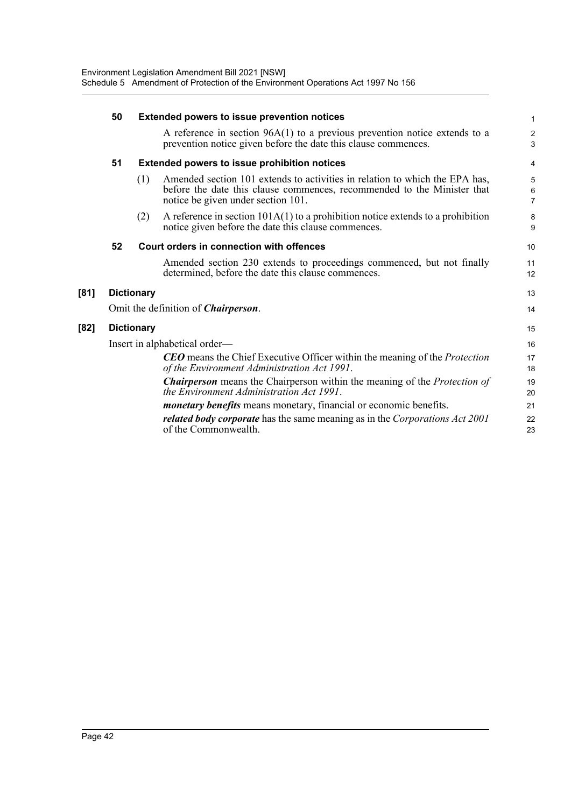| 50 | <b>Extended powers to issue prevention notices</b> |                                                                                                                                                                                              |                              |  |  |  |  |  |
|----|----------------------------------------------------|----------------------------------------------------------------------------------------------------------------------------------------------------------------------------------------------|------------------------------|--|--|--|--|--|
|    |                                                    | A reference in section $96A(1)$ to a previous prevention notice extends to a<br>prevention notice given before the date this clause commences.                                               | $\overline{\mathbf{c}}$<br>3 |  |  |  |  |  |
| 51 |                                                    | <b>Extended powers to issue prohibition notices</b>                                                                                                                                          | 4                            |  |  |  |  |  |
|    | (1)                                                | Amended section 101 extends to activities in relation to which the EPA has,<br>before the date this clause commences, recommended to the Minister that<br>notice be given under section 101. | 5<br>6<br>$\overline{7}$     |  |  |  |  |  |
|    | (2)                                                | A reference in section $101A(1)$ to a prohibition notice extends to a prohibition<br>notice given before the date this clause commences.                                                     | 8<br>9                       |  |  |  |  |  |
| 52 |                                                    | Court orders in connection with offences                                                                                                                                                     | 10                           |  |  |  |  |  |
|    |                                                    | Amended section 230 extends to proceedings commenced, but not finally<br>determined, before the date this clause commences.                                                                  | 11<br>12                     |  |  |  |  |  |
|    | <b>Dictionary</b>                                  |                                                                                                                                                                                              | 13                           |  |  |  |  |  |
|    |                                                    | Omit the definition of <i>Chairperson</i> .                                                                                                                                                  | 14                           |  |  |  |  |  |
|    | <b>Dictionary</b>                                  |                                                                                                                                                                                              | 15                           |  |  |  |  |  |
|    |                                                    | Insert in alphabetical order—                                                                                                                                                                | 16                           |  |  |  |  |  |
|    |                                                    | <b>CEO</b> means the Chief Executive Officer within the meaning of the <i>Protection</i><br>of the Environment Administration Act 1991.                                                      | 17<br>18                     |  |  |  |  |  |
|    |                                                    | <b>Chairperson</b> means the Chairperson within the meaning of the <i>Protection of</i><br>the Environment Administration Act 1991.                                                          | 19<br>20                     |  |  |  |  |  |
|    |                                                    | <i>monetary benefits</i> means monetary, financial or economic benefits.                                                                                                                     | 21                           |  |  |  |  |  |
|    |                                                    | related body corporate has the same meaning as in the Corporations Act 2001<br>of the Commonwealth.                                                                                          | 22<br>23                     |  |  |  |  |  |

**[81]** 

**[82]**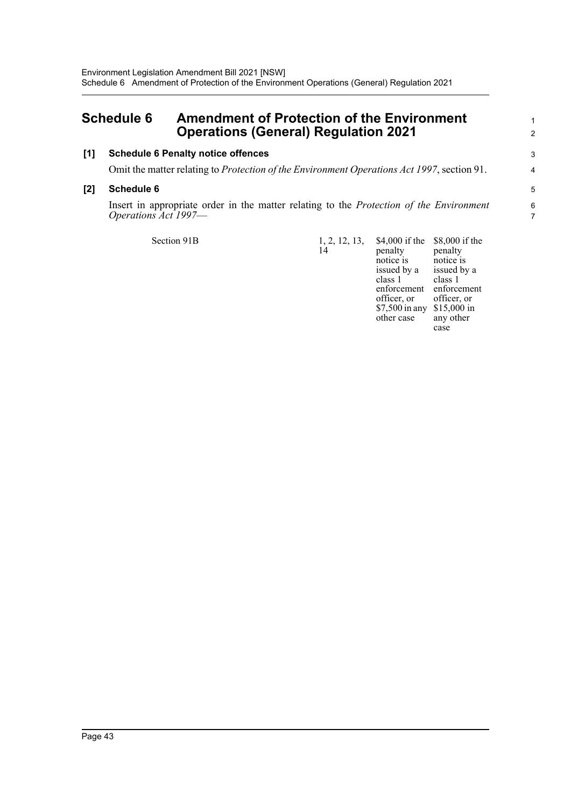## <span id="page-57-0"></span>**Schedule 6 Amendment of Protection of the Environment Operations (General) Regulation 2021**

### **[1] Schedule 6 Penalty notice offences**

Omit the matter relating to *Protection of the Environment Operations Act 1997*, section 91.

#### **[2] Schedule 6**

Insert in appropriate order in the matter relating to the *Protection of the Environment Operations Act 1997*—

Section 91B

| \$4,000 if the<br>penalty<br>notice is<br>issued by a<br>class 1<br>enforcement<br>officer, or<br>\$7,500 in any<br>other case | \$8,000 if the<br>penalty<br>notice is<br>issued by a<br>class 1<br>enforcement<br>officer, or<br>\$15,000 in<br>any other<br>case |
|--------------------------------------------------------------------------------------------------------------------------------|------------------------------------------------------------------------------------------------------------------------------------|
|                                                                                                                                |                                                                                                                                    |
|                                                                                                                                |                                                                                                                                    |

1 2

3 4

5 6 7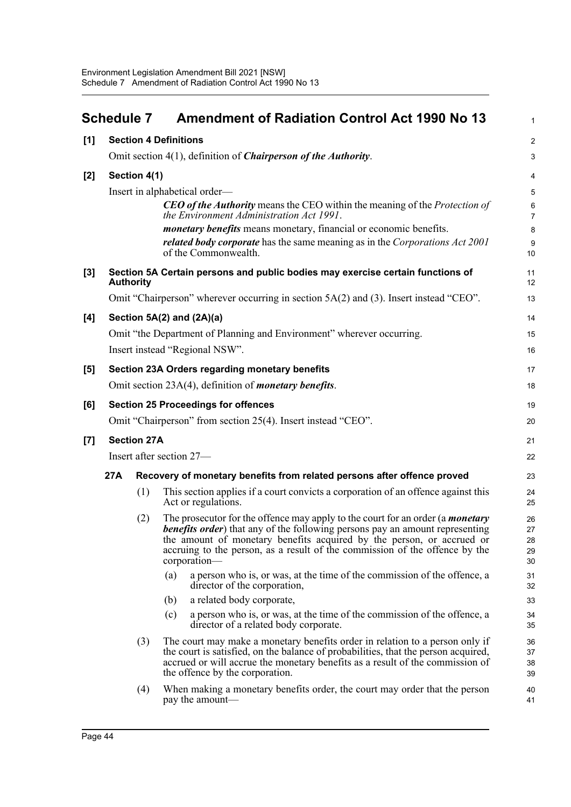<span id="page-58-0"></span>

|       | <b>Schedule 7</b> |                    | <b>Amendment of Radiation Control Act 1990 No 13</b>                                                                                                                                                                                                                                                                                                  | $\mathbf{1}$               |
|-------|-------------------|--------------------|-------------------------------------------------------------------------------------------------------------------------------------------------------------------------------------------------------------------------------------------------------------------------------------------------------------------------------------------------------|----------------------------|
| [1]   |                   |                    | <b>Section 4 Definitions</b>                                                                                                                                                                                                                                                                                                                          | $\overline{2}$             |
|       |                   |                    | Omit section 4(1), definition of <i>Chairperson of the Authority</i> .                                                                                                                                                                                                                                                                                | 3                          |
| $[2]$ |                   | Section 4(1)       |                                                                                                                                                                                                                                                                                                                                                       | $\overline{4}$             |
|       |                   |                    | Insert in alphabetical order—                                                                                                                                                                                                                                                                                                                         | 5                          |
|       |                   |                    | <b>CEO of the Authority</b> means the CEO within the meaning of the <i>Protection of</i><br>the Environment Administration Act 1991.                                                                                                                                                                                                                  | $\,6\,$<br>$\overline{7}$  |
|       |                   |                    | <i>monetary benefits</i> means monetary, financial or economic benefits.                                                                                                                                                                                                                                                                              | $\bf 8$                    |
|       |                   |                    | related body corporate has the same meaning as in the Corporations Act 2001<br>of the Commonwealth.                                                                                                                                                                                                                                                   | $\boldsymbol{9}$<br>10     |
| $[3]$ |                   | <b>Authority</b>   | Section 5A Certain persons and public bodies may exercise certain functions of                                                                                                                                                                                                                                                                        | 11<br>12                   |
|       |                   |                    | Omit "Chairperson" wherever occurring in section 5A(2) and (3). Insert instead "CEO".                                                                                                                                                                                                                                                                 | 13                         |
| [4]   |                   |                    | Section 5A(2) and (2A)(a)                                                                                                                                                                                                                                                                                                                             | 14                         |
|       |                   |                    | Omit "the Department of Planning and Environment" wherever occurring.                                                                                                                                                                                                                                                                                 | 15                         |
|       |                   |                    | Insert instead "Regional NSW".                                                                                                                                                                                                                                                                                                                        | 16                         |
| [5]   |                   |                    | Section 23A Orders regarding monetary benefits                                                                                                                                                                                                                                                                                                        | 17                         |
|       |                   |                    | Omit section 23A(4), definition of <i>monetary benefits</i> .                                                                                                                                                                                                                                                                                         | 18                         |
| [6]   |                   |                    | <b>Section 25 Proceedings for offences</b>                                                                                                                                                                                                                                                                                                            | 19                         |
|       |                   |                    | Omit "Chairperson" from section 25(4). Insert instead "CEO".                                                                                                                                                                                                                                                                                          | 20                         |
| $[7]$ |                   | <b>Section 27A</b> |                                                                                                                                                                                                                                                                                                                                                       | 21                         |
|       |                   |                    | Insert after section 27-                                                                                                                                                                                                                                                                                                                              | 22                         |
|       | 27A               |                    | Recovery of monetary benefits from related persons after offence proved                                                                                                                                                                                                                                                                               | 23                         |
|       |                   | (1)                | This section applies if a court convicts a corporation of an offence against this<br>Act or regulations.                                                                                                                                                                                                                                              | 24<br>25                   |
|       |                   | (2)                | The prosecutor for the offence may apply to the court for an order (a <i>monetary</i><br><b>benefits order</b> ) that any of the following persons pay an amount representing<br>the amount of monetary benefits acquired by the person, or accrued or<br>accruing to the person, as a result of the commission of the offence by the<br>corporation- | 26<br>27<br>28<br>29<br>30 |
|       |                   |                    | a person who is, or was, at the time of the commission of the offence, a<br>(a)<br>director of the corporation,                                                                                                                                                                                                                                       | 31<br>32                   |
|       |                   |                    | a related body corporate,<br>(b)                                                                                                                                                                                                                                                                                                                      | 33                         |
|       |                   |                    | a person who is, or was, at the time of the commission of the offence, a<br>(c)<br>director of a related body corporate.                                                                                                                                                                                                                              | 34<br>35                   |
|       |                   | (3)                | The court may make a monetary benefits order in relation to a person only if<br>the court is satisfied, on the balance of probabilities, that the person acquired,<br>accrued or will accrue the monetary benefits as a result of the commission of<br>the offence by the corporation.                                                                | 36<br>37<br>38<br>39       |
|       |                   | (4)                | When making a monetary benefits order, the court may order that the person<br>pay the amount—                                                                                                                                                                                                                                                         | 40<br>41                   |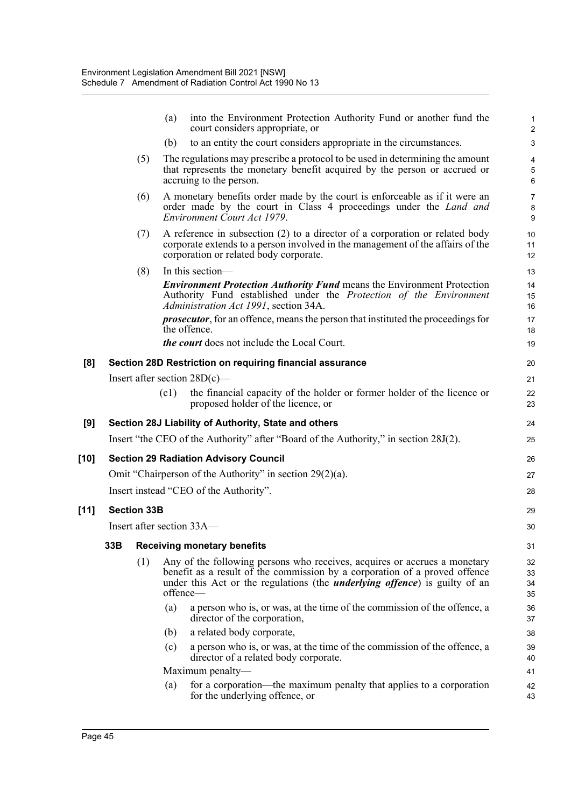|        |     |                    | (a)      | into the Environment Protection Authority Fund or another fund the<br>court considers appropriate, or                                                                                                                                         | $\mathbf{1}$<br>2                       |
|--------|-----|--------------------|----------|-----------------------------------------------------------------------------------------------------------------------------------------------------------------------------------------------------------------------------------------------|-----------------------------------------|
|        |     |                    | (b)      | to an entity the court considers appropriate in the circumstances.                                                                                                                                                                            | 3                                       |
|        |     | (5)                |          | The regulations may prescribe a protocol to be used in determining the amount<br>that represents the monetary benefit acquired by the person or accrued or<br>accruing to the person.                                                         | $\overline{4}$<br>$\mathbf 5$<br>6      |
|        |     | (6)                |          | A monetary benefits order made by the court is enforceable as if it were an<br>order made by the court in Class 4 proceedings under the <i>Land and</i><br>Environment Court Act 1979.                                                        | $\overline{7}$<br>8<br>$\boldsymbol{9}$ |
|        |     | (7)                |          | A reference in subsection (2) to a director of a corporation or related body<br>corporate extends to a person involved in the management of the affairs of the<br>corporation or related body corporate.                                      | 10<br>11<br>12                          |
|        |     | (8)                |          | In this section-                                                                                                                                                                                                                              | 13                                      |
|        |     |                    |          | <b>Environment Protection Authority Fund means the Environment Protection</b><br>Authority Fund established under the Protection of the Environment<br>Administration Act 1991, section 34A.                                                  | 14<br>15<br>16                          |
|        |     |                    |          | <i>prosecutor</i> , for an offence, means the person that instituted the proceedings for<br>the offence.                                                                                                                                      | 17<br>18                                |
|        |     |                    |          | <i>the court</i> does not include the Local Court.                                                                                                                                                                                            | 19                                      |
| [8]    |     |                    |          | Section 28D Restriction on requiring financial assurance                                                                                                                                                                                      | 20                                      |
|        |     |                    |          | Insert after section $28D(c)$ —                                                                                                                                                                                                               | 21                                      |
|        |     |                    | (c1)     | the financial capacity of the holder or former holder of the licence or<br>proposed holder of the licence, or                                                                                                                                 | 22<br>23                                |
|        |     |                    |          |                                                                                                                                                                                                                                               |                                         |
| [9]    |     |                    |          | Section 28J Liability of Authority, State and others                                                                                                                                                                                          | 24                                      |
|        |     |                    |          | Insert "the CEO of the Authority" after "Board of the Authority," in section 28J(2).                                                                                                                                                          | 25                                      |
| $[10]$ |     |                    |          | <b>Section 29 Radiation Advisory Council</b>                                                                                                                                                                                                  | 26                                      |
|        |     |                    |          | Omit "Chairperson of the Authority" in section $29(2)(a)$ .                                                                                                                                                                                   | 27                                      |
|        |     |                    |          | Insert instead "CEO of the Authority".                                                                                                                                                                                                        | 28                                      |
| $[11]$ |     | <b>Section 33B</b> |          |                                                                                                                                                                                                                                               | 29                                      |
|        |     |                    |          | Insert after section 33A—                                                                                                                                                                                                                     | 30                                      |
|        | 33B |                    |          | <b>Receiving monetary benefits</b>                                                                                                                                                                                                            | 31                                      |
|        |     | (1)                | offence- | Any of the following persons who receives, acquires or accrues a monetary<br>benefit as a result of the commission by a corporation of a proved offence<br>under this Act or the regulations (the <i>underlying offence</i> ) is guilty of an | 32<br>33<br>34<br>35                    |
|        |     |                    | (a)      | a person who is, or was, at the time of the commission of the offence, a<br>director of the corporation,                                                                                                                                      | 36<br>37                                |
|        |     |                    | (b)      | a related body corporate,                                                                                                                                                                                                                     | 38                                      |
|        |     |                    | (c)      | a person who is, or was, at the time of the commission of the offence, a<br>director of a related body corporate.                                                                                                                             | 39<br>40                                |
|        |     |                    |          | Maximum penalty—<br>for a corporation—the maximum penalty that applies to a corporation                                                                                                                                                       | 41                                      |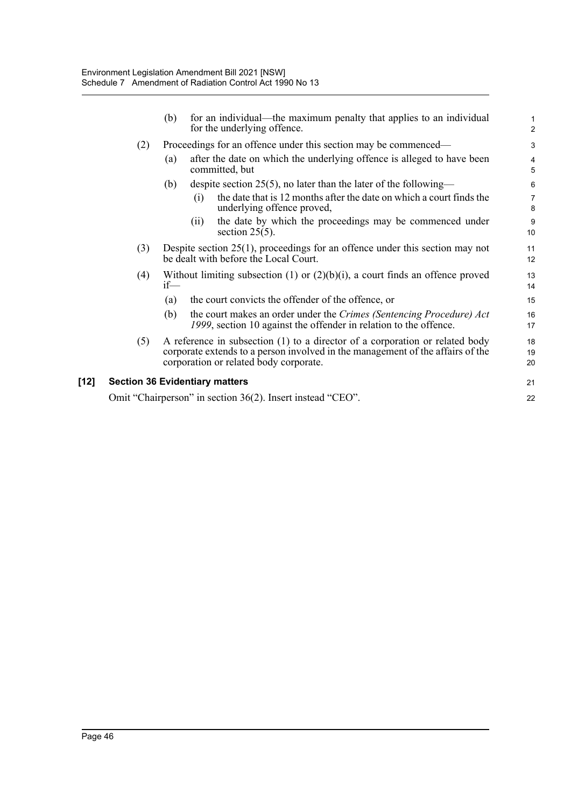|        |                                       | (b)    |                                                                 | for an individual—the maximum penalty that applies to an individual<br>for the underlying offence.                                                                                                       | $\mathbf{1}$<br>$\overline{c}$ |
|--------|---------------------------------------|--------|-----------------------------------------------------------------|----------------------------------------------------------------------------------------------------------------------------------------------------------------------------------------------------------|--------------------------------|
|        | (2)                                   |        | Proceedings for an offence under this section may be commenced— |                                                                                                                                                                                                          |                                |
|        |                                       | (a)    |                                                                 | after the date on which the underlying offence is alleged to have been<br>committed, but                                                                                                                 | $\overline{4}$<br>5            |
|        |                                       | (b)    |                                                                 | despite section 25(5), no later than the later of the following—                                                                                                                                         | 6                              |
|        |                                       |        | (i)                                                             | the date that is 12 months after the date on which a court finds the<br>underlying offence proved,                                                                                                       | $\overline{7}$<br>8            |
|        |                                       |        | (11)                                                            | the date by which the proceedings may be commenced under<br>section $25(5)$ .                                                                                                                            | 9<br>10                        |
|        | (3)                                   |        |                                                                 | Despite section $25(1)$ , proceedings for an offence under this section may not<br>be dealt with before the Local Court.                                                                                 | 11<br>12                       |
|        | (4)                                   | $if$ — |                                                                 | Without limiting subsection $(1)$ or $(2)(b)(i)$ , a court finds an offence proved                                                                                                                       | 13<br>14                       |
|        |                                       | (a)    |                                                                 | the court convicts the offender of the offence, or                                                                                                                                                       | 15                             |
|        |                                       | (b)    |                                                                 | the court makes an order under the Crimes (Sentencing Procedure) Act<br>1999, section 10 against the offender in relation to the offence.                                                                | 16<br>17                       |
|        | (5)                                   |        |                                                                 | A reference in subsection (1) to a director of a corporation or related body<br>corporate extends to a person involved in the management of the affairs of the<br>corporation or related body corporate. | 18<br>19<br>20                 |
| $[12]$ | <b>Section 36 Evidentiary matters</b> |        |                                                                 |                                                                                                                                                                                                          | 21                             |
|        |                                       |        |                                                                 | Omit "Chairperson" in section 36(2). Insert instead "CEO".                                                                                                                                               | 22                             |
|        |                                       |        |                                                                 |                                                                                                                                                                                                          |                                |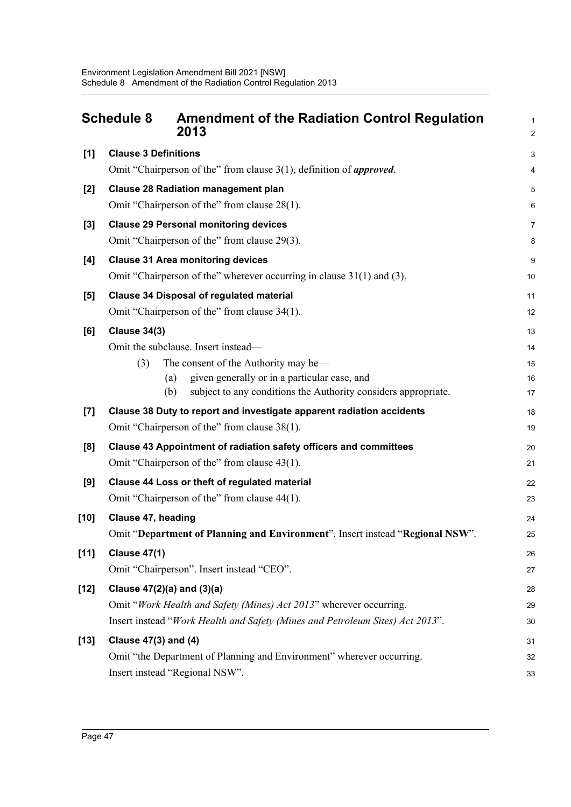<span id="page-61-0"></span>

|        | <b>Schedule 8</b><br><b>Amendment of the Radiation Control Regulation</b><br>2013                                            | $\mathbf{1}$<br>$\mathbf 2$ |
|--------|------------------------------------------------------------------------------------------------------------------------------|-----------------------------|
| [1]    | <b>Clause 3 Definitions</b>                                                                                                  | $\mathsf 3$                 |
|        | Omit "Chairperson of the" from clause 3(1), definition of <i>approved</i> .                                                  | $\overline{\mathbf{4}}$     |
| $[2]$  | <b>Clause 28 Radiation management plan</b>                                                                                   | 5                           |
|        | Omit "Chairperson of the" from clause 28(1).                                                                                 | 6                           |
| $[3]$  | <b>Clause 29 Personal monitoring devices</b>                                                                                 | $\overline{7}$              |
|        | Omit "Chairperson of the" from clause 29(3).                                                                                 | 8                           |
| [4]    | <b>Clause 31 Area monitoring devices</b>                                                                                     | 9                           |
|        | Omit "Chairperson of the" wherever occurring in clause 31(1) and (3).                                                        | 10                          |
| [5]    | <b>Clause 34 Disposal of regulated material</b>                                                                              | 11                          |
|        | Omit "Chairperson of the" from clause 34(1).                                                                                 | 12                          |
| [6]    | <b>Clause 34(3)</b>                                                                                                          | 13                          |
|        | Omit the subclause. Insert instead-                                                                                          | 14                          |
|        | The consent of the Authority may be—<br>(3)                                                                                  | 15                          |
|        | given generally or in a particular case, and<br>(a)<br>(b)<br>subject to any conditions the Authority considers appropriate. | 16                          |
|        |                                                                                                                              | 17                          |
| [7]    | Clause 38 Duty to report and investigate apparent radiation accidents<br>Omit "Chairperson of the" from clause 38(1).        | 18<br>19                    |
|        |                                                                                                                              |                             |
| [8]    | Clause 43 Appointment of radiation safety officers and committees<br>Omit "Chairperson of the" from clause 43(1).            | 20<br>21                    |
|        |                                                                                                                              |                             |
| [9]    | Clause 44 Loss or theft of regulated material<br>Omit "Chairperson of the" from clause 44(1).                                | 22<br>23                    |
| $[10]$ | Clause 47, heading                                                                                                           | 24                          |
|        | Omit "Department of Planning and Environment". Insert instead "Regional NSW"                                                 | 25                          |
| $[11]$ | <b>Clause 47(1)</b>                                                                                                          | 26                          |
|        | Omit "Chairperson". Insert instead "CEO".                                                                                    | 27                          |
| $[12]$ | Clause $47(2)(a)$ and $(3)(a)$                                                                                               | 28                          |
|        | Omit "Work Health and Safety (Mines) Act 2013" wherever occurring.                                                           | 29                          |
|        | Insert instead "Work Health and Safety (Mines and Petroleum Sites) Act 2013".                                                | 30                          |
| $[13]$ | <b>Clause 47(3) and (4)</b>                                                                                                  | 31                          |
|        | Omit "the Department of Planning and Environment" wherever occurring.                                                        | 32                          |
|        | Insert instead "Regional NSW".                                                                                               | 33                          |
|        |                                                                                                                              |                             |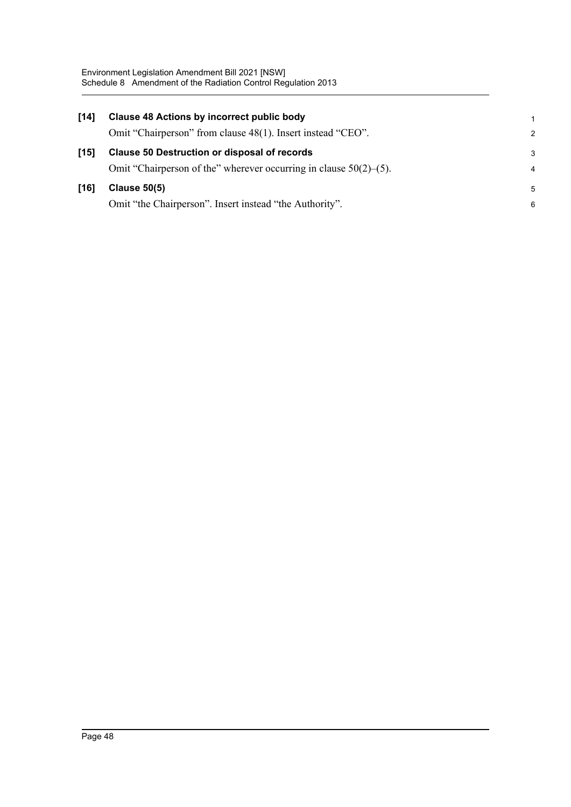| [14]   | <b>Clause 48 Actions by incorrect public body</b>                    | 1              |
|--------|----------------------------------------------------------------------|----------------|
|        | Omit "Chairperson" from clause 48(1). Insert instead "CEO".          | 2              |
| $[15]$ | <b>Clause 50 Destruction or disposal of records</b>                  | 3              |
|        | Omit "Chairperson of the" wherever occurring in clause $50(2)$ –(5). | $\overline{4}$ |
| [16]   | <b>Clause 50(5)</b>                                                  | -5             |
|        | Omit "the Chairperson". Insert instead "the Authority".              | 6              |